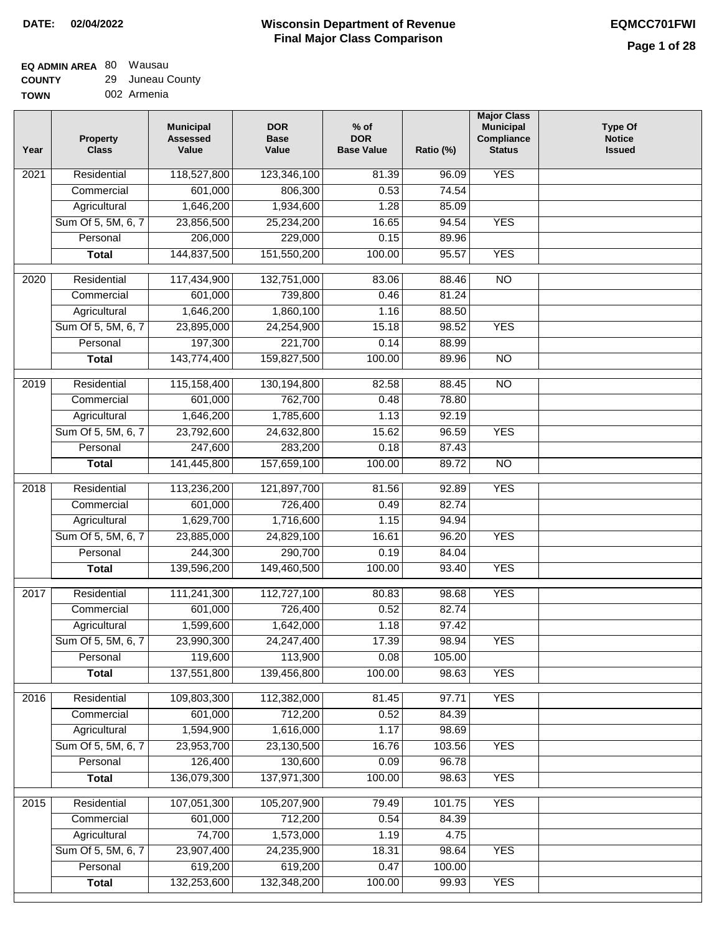## **EQ ADMIN AREA** 80 Wausau **COUNTY**

| <b>COUNTY</b> | 29 Juneau County |
|---------------|------------------|
| <b>TOWN</b>   | 002 Armenia      |

| Year | <b>Property</b><br><b>Class</b>    | <b>Municipal</b><br><b>Assessed</b><br>Value | <b>DOR</b><br><b>Base</b><br>Value | $%$ of<br><b>DOR</b><br><b>Base Value</b> | Ratio (%)      | <b>Major Class</b><br><b>Municipal</b><br>Compliance<br><b>Status</b> | <b>Type Of</b><br><b>Notice</b><br><b>Issued</b> |
|------|------------------------------------|----------------------------------------------|------------------------------------|-------------------------------------------|----------------|-----------------------------------------------------------------------|--------------------------------------------------|
| 2021 | Residential                        | 118,527,800                                  | 123,346,100                        | 81.39                                     | 96.09          | <b>YES</b>                                                            |                                                  |
|      | Commercial                         | 601,000                                      | 806,300                            | 0.53                                      | 74.54          |                                                                       |                                                  |
|      | Agricultural                       | 1,646,200                                    | 1,934,600                          | 1.28                                      | 85.09          |                                                                       |                                                  |
|      | Sum Of 5, 5M, 6, 7                 | 23,856,500                                   | 25,234,200                         | 16.65                                     | 94.54          | <b>YES</b>                                                            |                                                  |
|      | Personal                           | 206,000                                      | 229,000                            | 0.15                                      | 89.96          |                                                                       |                                                  |
|      | <b>Total</b>                       | 144,837,500                                  | 151,550,200                        | 100.00                                    | 95.57          | <b>YES</b>                                                            |                                                  |
| 2020 | Residential                        | 117,434,900                                  | 132,751,000                        | 83.06                                     | 88.46          | $\overline{NO}$                                                       |                                                  |
|      | Commercial                         | 601,000                                      | 739,800                            | 0.46                                      | 81.24          |                                                                       |                                                  |
|      | Agricultural                       | 1,646,200                                    | 1,860,100                          | 1.16                                      | 88.50          |                                                                       |                                                  |
|      | Sum Of 5, 5M, 6, 7                 | 23,895,000                                   | 24,254,900                         | 15.18                                     | 98.52          | <b>YES</b>                                                            |                                                  |
|      | Personal                           | 197,300                                      | 221,700                            | 0.14                                      | 88.99          |                                                                       |                                                  |
|      | <b>Total</b>                       | 143,774,400                                  | 159,827,500                        | 100.00                                    | 89.96          | <b>NO</b>                                                             |                                                  |
|      | Residential                        |                                              |                                    |                                           |                |                                                                       |                                                  |
| 2019 | Commercial                         | 115,158,400<br>601,000                       | 130,194,800<br>762,700             | 82.58<br>0.48                             | 88.45<br>78.80 | $\overline{10}$                                                       |                                                  |
|      |                                    | 1,646,200                                    | 1,785,600                          | 1.13                                      | 92.19          |                                                                       |                                                  |
|      | Agricultural<br>Sum Of 5, 5M, 6, 7 |                                              |                                    |                                           | 96.59          | <b>YES</b>                                                            |                                                  |
|      | Personal                           | 23,792,600                                   | 24,632,800                         | 15.62<br>0.18                             | 87.43          |                                                                       |                                                  |
|      |                                    | 247,600<br>141,445,800                       | 283,200<br>157,659,100             | 100.00                                    | 89.72          | $\overline{NO}$                                                       |                                                  |
|      | <b>Total</b>                       |                                              |                                    |                                           |                |                                                                       |                                                  |
| 2018 | Residential                        | 113,236,200                                  | 121,897,700                        | 81.56                                     | 92.89          | <b>YES</b>                                                            |                                                  |
|      | Commercial                         | 601,000                                      | 726,400                            | 0.49                                      | 82.74          |                                                                       |                                                  |
|      | Agricultural                       | 1,629,700                                    | 1,716,600                          | 1.15                                      | 94.94          |                                                                       |                                                  |
|      | Sum Of 5, 5M, 6, 7                 | 23,885,000                                   | 24,829,100                         | 16.61                                     | 96.20          | <b>YES</b>                                                            |                                                  |
|      | Personal                           | 244,300                                      | 290,700                            | 0.19                                      | 84.04          |                                                                       |                                                  |
|      | <b>Total</b>                       | 139,596,200                                  | 149,460,500                        | 100.00                                    | 93.40          | <b>YES</b>                                                            |                                                  |
| 2017 | Residential                        | 111,241,300                                  | 112,727,100                        | 80.83                                     | 98.68          | <b>YES</b>                                                            |                                                  |
|      | Commercial                         | 601,000                                      | 726,400                            | 0.52                                      | 82.74          |                                                                       |                                                  |
|      | Agricultural                       | 1,599,600                                    | 1,642,000                          | 1.18                                      | 97.42          |                                                                       |                                                  |
|      | Sum Of 5, 5M, 6, 7                 | 23,990,300                                   | 24,247,400                         | 17.39                                     | 98.94          | <b>YES</b>                                                            |                                                  |
|      | Personal                           | 119,600                                      | 113,900                            | 0.08                                      | 105.00         |                                                                       |                                                  |
|      | <b>Total</b>                       | 137,551,800                                  | 139,456,800                        | 100.00                                    | 98.63          | <b>YES</b>                                                            |                                                  |
| 2016 | Residential                        | 109,803,300                                  | 112,382,000                        | 81.45                                     | 97.71          | <b>YES</b>                                                            |                                                  |
|      | Commercial                         | 601,000                                      | 712,200                            | 0.52                                      | 84.39          |                                                                       |                                                  |
|      | Agricultural                       | 1,594,900                                    | 1,616,000                          | 1.17                                      | 98.69          |                                                                       |                                                  |
|      | Sum Of 5, 5M, 6, 7                 | 23,953,700                                   | 23,130,500                         | 16.76                                     | 103.56         | <b>YES</b>                                                            |                                                  |
|      | Personal                           | 126,400                                      | 130,600                            | 0.09                                      | 96.78          |                                                                       |                                                  |
|      | <b>Total</b>                       | 136,079,300                                  | 137,971,300                        | 100.00                                    | 98.63          | <b>YES</b>                                                            |                                                  |
| 2015 | Residential                        | 107,051,300                                  | 105,207,900                        | 79.49                                     | 101.75         | <b>YES</b>                                                            |                                                  |
|      | Commercial                         | 601,000                                      | 712,200                            | 0.54                                      | 84.39          |                                                                       |                                                  |
|      | Agricultural                       | 74,700                                       | 1,573,000                          | 1.19                                      | 4.75           |                                                                       |                                                  |
|      | Sum Of 5, 5M, 6, 7                 | 23,907,400                                   | 24,235,900                         | 18.31                                     | 98.64          | <b>YES</b>                                                            |                                                  |
|      | Personal                           | 619,200                                      | 619,200                            | 0.47                                      | 100.00         |                                                                       |                                                  |
|      | <b>Total</b>                       | 132,253,600                                  | 132,348,200                        | 100.00                                    | 99.93          | <b>YES</b>                                                            |                                                  |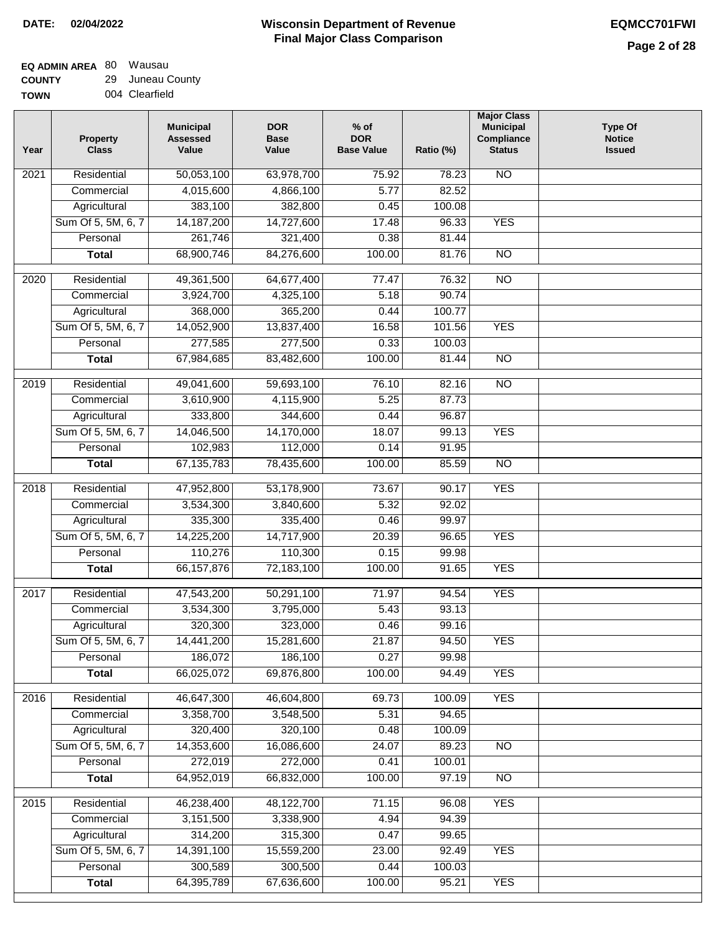#### **EQ ADMIN AREA** 80 Wausau **COUNTY** 29 Juneau County

**TOWN** 004 Clearfield

| Year | <b>Property</b><br><b>Class</b> | <b>Municipal</b><br><b>Assessed</b><br>Value | <b>DOR</b><br><b>Base</b><br>Value | $%$ of<br><b>DOR</b><br><b>Base Value</b> | Ratio (%)       | <b>Major Class</b><br><b>Municipal</b><br>Compliance<br><b>Status</b> | <b>Type Of</b><br><b>Notice</b><br><b>Issued</b> |
|------|---------------------------------|----------------------------------------------|------------------------------------|-------------------------------------------|-----------------|-----------------------------------------------------------------------|--------------------------------------------------|
| 2021 | Residential                     | 50,053,100                                   | 63,978,700                         | 75.92                                     | 78.23           | <b>NO</b>                                                             |                                                  |
|      | Commercial                      | 4,015,600                                    | 4,866,100                          | 5.77                                      | 82.52           |                                                                       |                                                  |
|      | Agricultural                    | 383,100                                      | 382,800                            | 0.45                                      | 100.08          |                                                                       |                                                  |
|      | Sum Of 5, 5M, 6, 7              | 14, 187, 200                                 | 14,727,600                         | 17.48                                     | 96.33           | <b>YES</b>                                                            |                                                  |
|      | Personal                        | 261,746                                      | 321,400                            | 0.38                                      | 81.44           |                                                                       |                                                  |
|      | <b>Total</b>                    | 68,900,746                                   | 84,276,600                         | 100.00                                    | 81.76           | $\overline{NO}$                                                       |                                                  |
| 2020 | Residential                     | 49,361,500                                   | 64,677,400                         | 77.47                                     | 76.32           | $\overline{NO}$                                                       |                                                  |
|      | Commercial                      | 3,924,700                                    | 4,325,100                          | 5.18                                      | 90.74           |                                                                       |                                                  |
|      | Agricultural                    | 368,000                                      | 365,200                            | 0.44                                      | 100.77          |                                                                       |                                                  |
|      | Sum Of 5, 5M, 6, 7              | 14,052,900                                   | 13,837,400                         | 16.58                                     | 101.56          | <b>YES</b>                                                            |                                                  |
|      | Personal                        | 277,585                                      | 277,500                            | 0.33                                      | 100.03          |                                                                       |                                                  |
|      | <b>Total</b>                    | 67,984,685                                   | 83,482,600                         | 100.00                                    | 81.44           | $\overline{NO}$                                                       |                                                  |
|      |                                 |                                              |                                    |                                           |                 |                                                                       |                                                  |
| 2019 | Residential                     | 49,041,600                                   | 59,693,100                         | 76.10                                     | 82.16           | $\overline{3}$                                                        |                                                  |
|      | Commercial                      | 3,610,900                                    | 4,115,900                          | 5.25                                      | 87.73           |                                                                       |                                                  |
|      | Agricultural                    | 333,800                                      | 344,600                            | 0.44                                      | 96.87           |                                                                       |                                                  |
|      | Sum Of 5, 5M, 6, 7              | 14,046,500                                   | 14,170,000                         | 18.07                                     | 99.13           | <b>YES</b>                                                            |                                                  |
|      | Personal                        | 102,983                                      | 112,000                            | 0.14                                      | 91.95           |                                                                       |                                                  |
|      | <b>Total</b>                    | 67, 135, 783                                 | 78,435,600                         | 100.00                                    | 85.59           | $\overline{NO}$                                                       |                                                  |
| 2018 | Residential                     | 47,952,800                                   | 53,178,900                         | 73.67                                     | 90.17           | <b>YES</b>                                                            |                                                  |
|      | Commercial                      | 3,534,300                                    | 3,840,600                          | 5.32                                      | 92.02           |                                                                       |                                                  |
|      | Agricultural                    | 335,300                                      | 335,400                            | 0.46                                      | 99.97           |                                                                       |                                                  |
|      | Sum Of 5, 5M, 6, 7              | 14,225,200                                   | 14,717,900                         | 20.39                                     | 96.65           | <b>YES</b>                                                            |                                                  |
|      | Personal                        | 110,276                                      | 110,300                            | 0.15                                      | 99.98           |                                                                       |                                                  |
|      | <b>Total</b>                    | 66, 157, 876                                 | 72,183,100                         | 100.00                                    | 91.65           | <b>YES</b>                                                            |                                                  |
| 2017 | Residential                     | 47,543,200                                   | 50,291,100                         | 71.97                                     | 94.54           | <b>YES</b>                                                            |                                                  |
|      | Commercial                      | 3,534,300                                    | 3,795,000                          | 5.43                                      | 93.13           |                                                                       |                                                  |
|      | Agricultural                    | 320,300                                      | 323,000                            | 0.46                                      | 99.16           |                                                                       |                                                  |
|      | Sum Of 5, 5M, 6, 7              | 14,441,200                                   | 15,281,600                         | 21.87                                     | 94.50           | <b>YES</b>                                                            |                                                  |
|      | Personal                        | 186,072                                      | 186,100                            | 0.27                                      | 99.98           |                                                                       |                                                  |
|      | <b>Total</b>                    | 66,025,072                                   | 69,876,800                         | 100.00                                    | 94.49           | <b>YES</b>                                                            |                                                  |
| 2016 | Residential                     | 46,647,300                                   | 46,604,800                         | 69.73                                     | 100.09          | <b>YES</b>                                                            |                                                  |
|      | Commercial                      | 3,358,700                                    | 3,548,500                          | 5.31                                      | 94.65           |                                                                       |                                                  |
|      | Agricultural                    | 320,400                                      | 320,100                            | 0.48                                      | 100.09          |                                                                       |                                                  |
|      | Sum Of 5, 5M, 6, 7              | 14,353,600                                   | 16,086,600                         | 24.07                                     | 89.23           | N <sub>O</sub>                                                        |                                                  |
|      | Personal                        | 272,019                                      | 272,000                            | 0.41                                      | 100.01          |                                                                       |                                                  |
|      | <b>Total</b>                    | 64,952,019                                   | 66,832,000                         | 100.00                                    | 97.19           | N <sub>O</sub>                                                        |                                                  |
|      |                                 |                                              |                                    |                                           |                 |                                                                       |                                                  |
| 2015 | Residential                     | 46,238,400                                   | 48,122,700                         | 71.15                                     | 96.08           | <b>YES</b>                                                            |                                                  |
|      | Commercial                      | 3,151,500                                    | 3,338,900                          | 4.94                                      | 94.39           |                                                                       |                                                  |
|      | Agricultural                    | 314,200                                      | 315,300                            | 0.47                                      | 99.65           |                                                                       |                                                  |
|      | Sum Of 5, 5M, 6, 7<br>Personal  | 14,391,100                                   | 15,559,200<br>300,500              | 23.00<br>0.44                             | 92.49           | <b>YES</b>                                                            |                                                  |
|      | <b>Total</b>                    | 300,589<br>64,395,789                        | 67,636,600                         | 100.00                                    | 100.03<br>95.21 | <b>YES</b>                                                            |                                                  |
|      |                                 |                                              |                                    |                                           |                 |                                                                       |                                                  |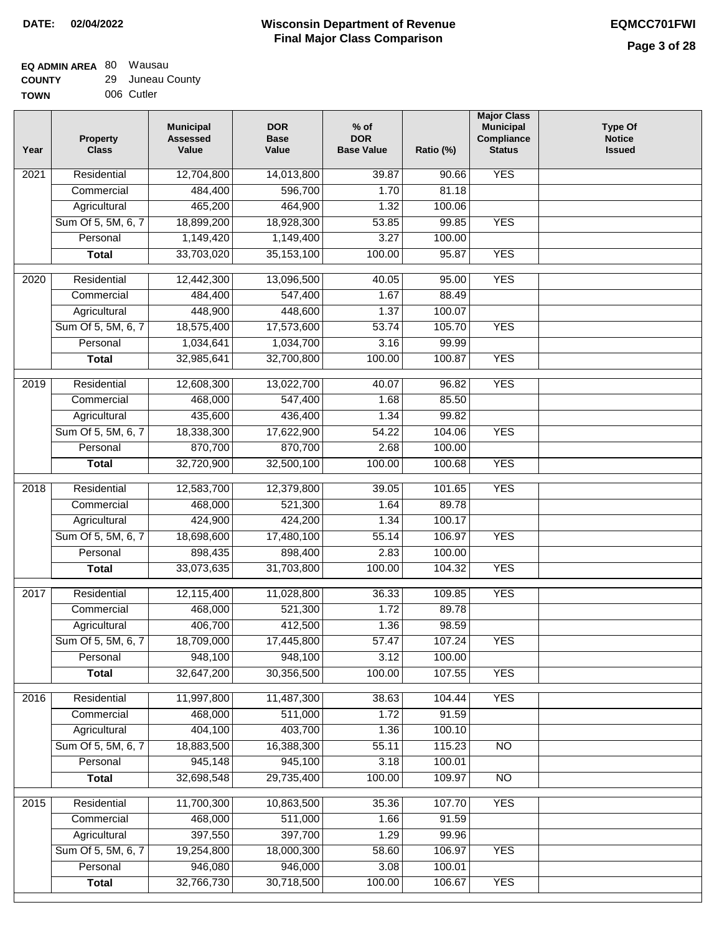| <b>TOWN</b> | 006 Cutler |
|-------------|------------|
|             |            |

| Year              | <b>Property</b><br><b>Class</b> | <b>Municipal</b><br><b>Assessed</b><br>Value | <b>DOR</b><br><b>Base</b><br>Value | $%$ of<br><b>DOR</b><br><b>Base Value</b> | Ratio (%) | <b>Major Class</b><br><b>Municipal</b><br>Compliance<br><b>Status</b> | <b>Type Of</b><br><b>Notice</b><br><b>Issued</b> |
|-------------------|---------------------------------|----------------------------------------------|------------------------------------|-------------------------------------------|-----------|-----------------------------------------------------------------------|--------------------------------------------------|
| $\overline{202}1$ | Residential                     | 12,704,800                                   | 14,013,800                         | 39.87                                     | 90.66     | <b>YES</b>                                                            |                                                  |
|                   | Commercial                      | 484,400                                      | 596,700                            | 1.70                                      | 81.18     |                                                                       |                                                  |
|                   | Agricultural                    | 465,200                                      | 464,900                            | 1.32                                      | 100.06    |                                                                       |                                                  |
|                   | Sum Of 5, 5M, 6, 7              | 18,899,200                                   | 18,928,300                         | 53.85                                     | 99.85     | <b>YES</b>                                                            |                                                  |
|                   | Personal                        | 1,149,420                                    | 1,149,400                          | 3.27                                      | 100.00    |                                                                       |                                                  |
|                   | <b>Total</b>                    | 33,703,020                                   | 35, 153, 100                       | 100.00                                    | 95.87     | <b>YES</b>                                                            |                                                  |
| $\overline{2020}$ | Residential                     | 12,442,300                                   | 13,096,500                         | 40.05                                     | 95.00     | <b>YES</b>                                                            |                                                  |
|                   | Commercial                      | 484,400                                      | 547,400                            | 1.67                                      | 88.49     |                                                                       |                                                  |
|                   | Agricultural                    | 448,900                                      | 448,600                            | 1.37                                      | 100.07    |                                                                       |                                                  |
|                   | Sum Of 5, 5M, 6, 7              | 18,575,400                                   | 17,573,600                         | 53.74                                     | 105.70    | <b>YES</b>                                                            |                                                  |
|                   | Personal                        | 1,034,641                                    | 1,034,700                          | 3.16                                      | 99.99     |                                                                       |                                                  |
|                   | <b>Total</b>                    | 32,985,641                                   | 32,700,800                         | 100.00                                    | 100.87    | <b>YES</b>                                                            |                                                  |
| 2019              | Residential                     | 12,608,300                                   | 13,022,700                         | 40.07                                     | 96.82     | <b>YES</b>                                                            |                                                  |
|                   | Commercial                      | 468,000                                      | 547,400                            | 1.68                                      | 85.50     |                                                                       |                                                  |
|                   | Agricultural                    | 435,600                                      | 436,400                            | 1.34                                      | 99.82     |                                                                       |                                                  |
|                   | Sum Of 5, 5M, 6, 7              | 18,338,300                                   | 17,622,900                         | 54.22                                     | 104.06    | <b>YES</b>                                                            |                                                  |
|                   | Personal                        | 870,700                                      | 870,700                            | 2.68                                      | 100.00    |                                                                       |                                                  |
|                   | <b>Total</b>                    | 32,720,900                                   | 32,500,100                         | 100.00                                    | 100.68    | <b>YES</b>                                                            |                                                  |
| 2018              | Residential                     | 12,583,700                                   | 12,379,800                         | 39.05                                     | 101.65    | <b>YES</b>                                                            |                                                  |
|                   | Commercial                      | 468,000                                      | 521,300                            | 1.64                                      | 89.78     |                                                                       |                                                  |
|                   | Agricultural                    | 424,900                                      | 424,200                            | 1.34                                      | 100.17    |                                                                       |                                                  |
|                   | Sum Of 5, 5M, 6, 7              | 18,698,600                                   | 17,480,100                         | 55.14                                     | 106.97    | <b>YES</b>                                                            |                                                  |
|                   | Personal                        | 898,435                                      | 898,400                            | 2.83                                      | 100.00    |                                                                       |                                                  |
|                   | <b>Total</b>                    | 33,073,635                                   | 31,703,800                         | 100.00                                    | 104.32    | <b>YES</b>                                                            |                                                  |
| $\overline{2017}$ | Residential                     | 12,115,400                                   | 11,028,800                         | 36.33                                     | 109.85    | <b>YES</b>                                                            |                                                  |
|                   | Commercial                      | 468,000                                      | 521,300                            | 1.72                                      | 89.78     |                                                                       |                                                  |
|                   | Agricultural                    | 406,700                                      | 412,500                            | 1.36                                      | 98.59     |                                                                       |                                                  |
|                   | Sum Of 5, 5M, 6, 7              | 18,709,000                                   | 17,445,800                         | 57.47                                     | 107.24    | <b>YES</b>                                                            |                                                  |
|                   | Personal                        | 948,100                                      | 948,100                            | 3.12                                      | 100.00    |                                                                       |                                                  |
|                   | <b>Total</b>                    | 32,647,200                                   | 30,356,500                         | 100.00                                    | 107.55    | <b>YES</b>                                                            |                                                  |
| 2016              | Residential                     | 11,997,800                                   | 11,487,300                         | 38.63                                     | 104.44    | <b>YES</b>                                                            |                                                  |
|                   | Commercial                      | 468,000                                      | 511,000                            | 1.72                                      | 91.59     |                                                                       |                                                  |
|                   | Agricultural                    | 404,100                                      | 403,700                            | 1.36                                      | 100.10    |                                                                       |                                                  |
|                   | Sum Of 5, 5M, 6, 7              | 18,883,500                                   | 16,388,300                         | 55.11                                     | 115.23    | $\overline{NO}$                                                       |                                                  |
|                   | Personal                        | 945,148                                      | 945,100                            | 3.18                                      | 100.01    |                                                                       |                                                  |
|                   | <b>Total</b>                    | 32,698,548                                   | 29,735,400                         | 100.00                                    | 109.97    | N <sub>O</sub>                                                        |                                                  |
| 2015              | Residential                     | 11,700,300                                   | 10,863,500                         | 35.36                                     | 107.70    | <b>YES</b>                                                            |                                                  |
|                   | Commercial                      | 468,000                                      | 511,000                            | 1.66                                      | 91.59     |                                                                       |                                                  |
|                   | Agricultural                    | 397,550                                      | 397,700                            | 1.29                                      | 99.96     |                                                                       |                                                  |
|                   | Sum Of 5, 5M, 6, 7              | 19,254,800                                   | 18,000,300                         | 58.60                                     | 106.97    | <b>YES</b>                                                            |                                                  |
|                   | Personal                        | 946,080                                      | 946,000                            | 3.08                                      | 100.01    |                                                                       |                                                  |
|                   | <b>Total</b>                    | 32,766,730                                   | 30,718,500                         | 100.00                                    | 106.67    | <b>YES</b>                                                            |                                                  |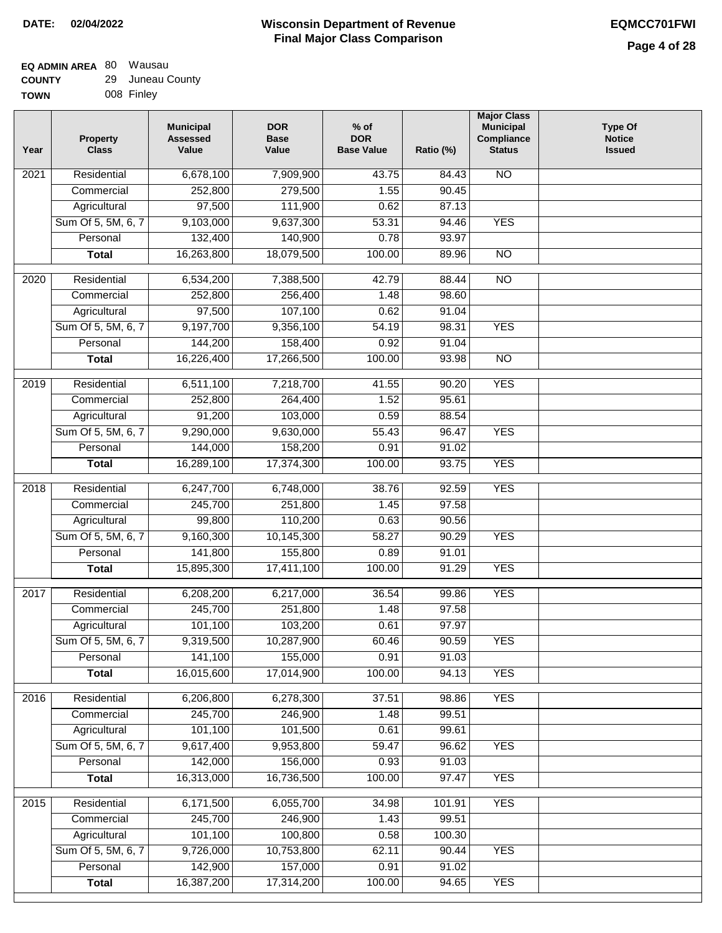| <b>TOWN</b> | 008 Finley |
|-------------|------------|
|             |            |

| Year              | <b>Property</b><br><b>Class</b> | <b>Municipal</b><br><b>Assessed</b><br>Value | <b>DOR</b><br><b>Base</b><br>Value | $%$ of<br><b>DOR</b><br><b>Base Value</b> | Ratio (%)       | <b>Major Class</b><br><b>Municipal</b><br>Compliance<br><b>Status</b> | <b>Type Of</b><br><b>Notice</b><br><b>Issued</b> |
|-------------------|---------------------------------|----------------------------------------------|------------------------------------|-------------------------------------------|-----------------|-----------------------------------------------------------------------|--------------------------------------------------|
| 2021              | Residential                     | 6,678,100                                    | 7,909,900                          | 43.75                                     | 84.43           | <b>NO</b>                                                             |                                                  |
|                   | Commercial                      | 252,800                                      | 279,500                            | 1.55                                      | 90.45           |                                                                       |                                                  |
|                   | Agricultural                    | 97,500                                       | 111,900                            | 0.62                                      | 87.13           |                                                                       |                                                  |
|                   | Sum Of 5, 5M, 6, 7              | 9,103,000                                    | 9,637,300                          | 53.31                                     | 94.46           | <b>YES</b>                                                            |                                                  |
|                   | Personal                        | 132,400                                      | 140,900                            | 0.78                                      | 93.97           |                                                                       |                                                  |
|                   | <b>Total</b>                    | 16,263,800                                   | 18,079,500                         | 100.00                                    | 89.96           | $\overline{NO}$                                                       |                                                  |
| 2020              | Residential                     | 6,534,200                                    | 7,388,500                          | 42.79                                     | 88.44           | $\overline{NO}$                                                       |                                                  |
|                   | Commercial                      | 252,800                                      | 256,400                            | 1.48                                      | 98.60           |                                                                       |                                                  |
|                   | Agricultural                    | 97,500                                       | 107,100                            | 0.62                                      | 91.04           |                                                                       |                                                  |
|                   | Sum Of 5, 5M, 6, 7              | 9,197,700                                    | 9,356,100                          | 54.19                                     | 98.31           | <b>YES</b>                                                            |                                                  |
|                   | Personal                        | 144,200                                      | 158,400                            | 0.92                                      | 91.04           |                                                                       |                                                  |
|                   | <b>Total</b>                    | 16,226,400                                   | 17,266,500                         | 100.00                                    | 93.98           | $\overline{NO}$                                                       |                                                  |
|                   |                                 |                                              |                                    |                                           |                 |                                                                       |                                                  |
| $\frac{1}{2019}$  | Residential                     | 6,511,100                                    | 7,218,700                          | 41.55                                     | 90.20           | <b>YES</b>                                                            |                                                  |
|                   | Commercial                      | 252,800                                      | 264,400                            | 1.52                                      | 95.61           |                                                                       |                                                  |
|                   | Agricultural                    | 91,200                                       | 103,000                            | 0.59<br>55.43                             | 88.54           | <b>YES</b>                                                            |                                                  |
|                   | Sum Of 5, 5M, 6, 7<br>Personal  | 9,290,000<br>144,000                         | 9,630,000<br>158,200               | 0.91                                      | 96.47<br>91.02  |                                                                       |                                                  |
|                   | <b>Total</b>                    | 16,289,100                                   | 17,374,300                         | 100.00                                    | 93.75           | <b>YES</b>                                                            |                                                  |
|                   |                                 |                                              |                                    |                                           |                 |                                                                       |                                                  |
| 2018              | Residential                     | 6,247,700                                    | 6,748,000                          | 38.76                                     | 92.59           | <b>YES</b>                                                            |                                                  |
|                   | Commercial                      | 245,700                                      | 251,800                            | 1.45                                      | 97.58           |                                                                       |                                                  |
|                   | Agricultural                    | 99,800                                       | 110,200                            | 0.63                                      | 90.56           |                                                                       |                                                  |
|                   | Sum Of 5, 5M, 6, 7              | 9,160,300                                    | 10,145,300                         | 58.27                                     | 90.29           | <b>YES</b>                                                            |                                                  |
|                   | Personal                        | 141,800                                      | 155,800                            | 0.89                                      | 91.01           |                                                                       |                                                  |
|                   | <b>Total</b>                    | 15,895,300                                   | 17,411,100                         | 100.00                                    | 91.29           | <b>YES</b>                                                            |                                                  |
| $\overline{2017}$ | Residential                     | 6,208,200                                    | 6,217,000                          | 36.54                                     | 99.86           | <b>YES</b>                                                            |                                                  |
|                   | Commercial                      | 245,700                                      | 251,800                            | 1.48                                      | 97.58           |                                                                       |                                                  |
|                   | Agricultural                    | 101,100                                      | 103,200                            | 0.61                                      | 97.97           |                                                                       |                                                  |
|                   | Sum Of 5, 5M, 6, 7              | 9,319,500                                    | 10,287,900                         | 60.46                                     | 90.59           | <b>YES</b>                                                            |                                                  |
|                   | Personal                        | 141,100                                      | 155,000                            | 0.91                                      | 91.03           |                                                                       |                                                  |
|                   | <b>Total</b>                    | 16,015,600                                   | 17,014,900                         | 100.00                                    | 94.13           | <b>YES</b>                                                            |                                                  |
| 2016              | Residential                     | 6,206,800                                    | 6,278,300                          | 37.51                                     | 98.86           | <b>YES</b>                                                            |                                                  |
|                   | Commercial                      | 245,700                                      | 246,900                            | 1.48                                      | 99.51           |                                                                       |                                                  |
|                   | Agricultural                    | 101,100                                      | 101,500                            | 0.61                                      | 99.61           |                                                                       |                                                  |
|                   | Sum Of 5, 5M, 6, 7              | 9,617,400                                    | 9,953,800                          | 59.47                                     | 96.62           | <b>YES</b>                                                            |                                                  |
|                   | Personal                        | 142,000                                      | 156,000                            | 0.93                                      | 91.03           |                                                                       |                                                  |
|                   | <b>Total</b>                    | 16,313,000                                   | 16,736,500                         | 100.00                                    | 97.47           | <b>YES</b>                                                            |                                                  |
|                   | Residential                     |                                              |                                    |                                           |                 | <b>YES</b>                                                            |                                                  |
| 2015              | Commercial                      | 6,171,500<br>245,700                         | 6,055,700<br>246,900               | 34.98<br>1.43                             | 101.91<br>99.51 |                                                                       |                                                  |
|                   | Agricultural                    | 101,100                                      | 100,800                            | 0.58                                      | 100.30          |                                                                       |                                                  |
|                   | Sum Of 5, 5M, 6, 7              | 9,726,000                                    | 10,753,800                         | 62.11                                     | 90.44           | <b>YES</b>                                                            |                                                  |
|                   | Personal                        | 142,900                                      | 157,000                            | 0.91                                      | 91.02           |                                                                       |                                                  |
|                   | <b>Total</b>                    | 16,387,200                                   | 17,314,200                         | 100.00                                    | 94.65           | <b>YES</b>                                                            |                                                  |
|                   |                                 |                                              |                                    |                                           |                 |                                                                       |                                                  |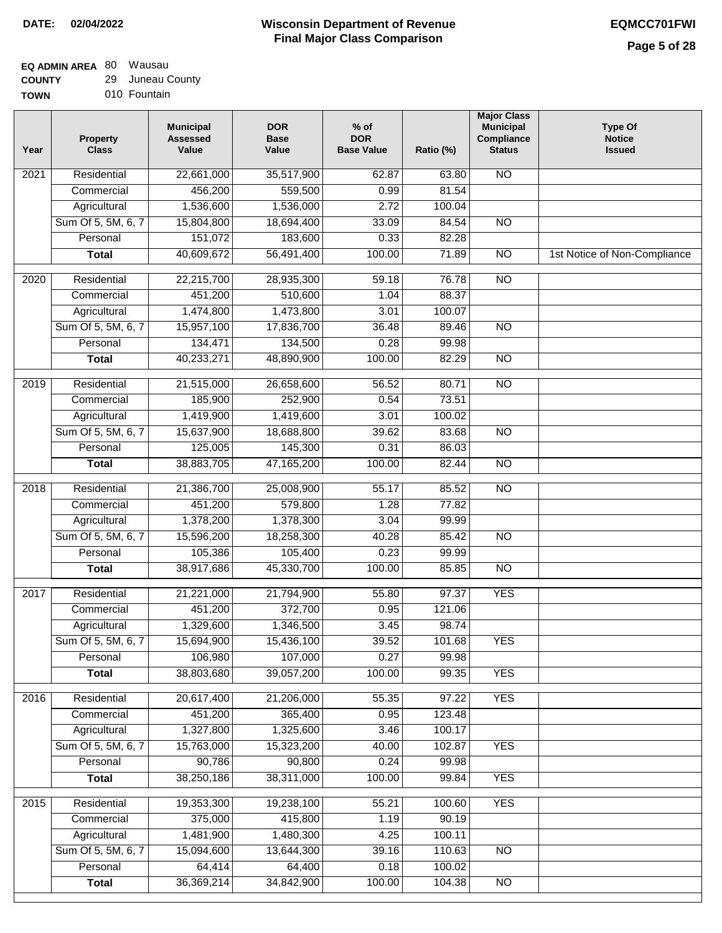#### **Wisconsin Department of Revenue Final Major Class Comparison DATE: 02/04/2022 EQMCC701FWI**

## **EQ ADMIN AREA** 80 Wausau **COUNTY**

| <b>COUNTY</b> | 29 Juneau County |
|---------------|------------------|
| <b>TOWN</b>   | 010 Fountain     |

| Year             | <b>Property</b><br><b>Class</b> | <b>Municipal</b><br><b>Assessed</b><br>Value | <b>DOR</b><br><b>Base</b><br>Value | $%$ of<br><b>DOR</b><br><b>Base Value</b> | Ratio (%) | <b>Major Class</b><br><b>Municipal</b><br>Compliance<br><b>Status</b> | <b>Type Of</b><br><b>Notice</b><br><b>Issued</b> |
|------------------|---------------------------------|----------------------------------------------|------------------------------------|-------------------------------------------|-----------|-----------------------------------------------------------------------|--------------------------------------------------|
| 2021             | Residential                     | 22,661,000                                   | 35,517,900                         | 62.87                                     | 63.80     | <b>NO</b>                                                             |                                                  |
|                  | Commercial                      | 456,200                                      | 559,500                            | 0.99                                      | 81.54     |                                                                       |                                                  |
|                  | Agricultural                    | 1,536,600                                    | 1,536,000                          | 2.72                                      | 100.04    |                                                                       |                                                  |
|                  | Sum Of 5, 5M, 6, 7              | 15,804,800                                   | 18,694,400                         | 33.09                                     | 84.54     | $\overline{NO}$                                                       |                                                  |
|                  | Personal                        | 151,072                                      | 183,600                            | 0.33                                      | 82.28     |                                                                       |                                                  |
|                  | <b>Total</b>                    | 40,609,672                                   | 56,491,400                         | 100.00                                    | 71.89     | $\overline{NO}$                                                       | 1st Notice of Non-Compliance                     |
| $\frac{1}{2020}$ | Residential                     | 22,215,700                                   | 28,935,300                         | 59.18                                     | 76.78     | $\overline{NO}$                                                       |                                                  |
|                  | Commercial                      | 451,200                                      | 510,600                            | 1.04                                      | 88.37     |                                                                       |                                                  |
|                  | Agricultural                    | 1,474,800                                    | 1,473,800                          | 3.01                                      | 100.07    |                                                                       |                                                  |
|                  | Sum Of 5, 5M, 6, 7              | 15,957,100                                   | 17,836,700                         | 36.48                                     | 89.46     | <b>NO</b>                                                             |                                                  |
|                  | Personal                        | 134,471                                      | 134,500                            | 0.28                                      | 99.98     |                                                                       |                                                  |
|                  | <b>Total</b>                    | 40,233,271                                   | 48,890,900                         | 100.00                                    | 82.29     | <b>NO</b>                                                             |                                                  |
|                  |                                 |                                              |                                    |                                           |           |                                                                       |                                                  |
| $\frac{1}{2019}$ | Residential                     | 21,515,000                                   | 26,658,600                         | 56.52                                     | 80.71     | $\overline{NO}$                                                       |                                                  |
|                  | Commercial                      | 185,900                                      | 252,900                            | 0.54                                      | 73.51     |                                                                       |                                                  |
|                  | Agricultural                    | 1,419,900                                    | 1,419,600                          | 3.01                                      | 100.02    |                                                                       |                                                  |
|                  | Sum Of 5, 5M, 6, 7              | 15,637,900                                   | 18,688,800                         | 39.62                                     | 83.68     | $\overline{NO}$                                                       |                                                  |
|                  | Personal                        | 125,005                                      | 145,300                            | 0.31                                      | 86.03     |                                                                       |                                                  |
|                  | <b>Total</b>                    | 38,883,705                                   | 47,165,200                         | 100.00                                    | 82.44     | N <sub>O</sub>                                                        |                                                  |
| 2018             | Residential                     | 21,386,700                                   | 25,008,900                         | 55.17                                     | 85.52     | NO                                                                    |                                                  |
|                  | Commercial                      | 451,200                                      | 579,800                            | 1.28                                      | 77.82     |                                                                       |                                                  |
|                  | Agricultural                    | 1,378,200                                    | 1,378,300                          | 3.04                                      | 99.99     |                                                                       |                                                  |
|                  | Sum Of 5, 5M, 6, 7              | 15,596,200                                   | 18,258,300                         | 40.28                                     | 85.42     | <b>NO</b>                                                             |                                                  |
|                  | Personal                        | 105,386                                      | 105,400                            | 0.23                                      | 99.99     |                                                                       |                                                  |
|                  | <b>Total</b>                    | 38,917,686                                   | 45,330,700                         | 100.00                                    | 85.85     | N <sub>O</sub>                                                        |                                                  |
| 2017             | Residential                     | 21,221,000                                   | 21,794,900                         | 55.80                                     | 97.37     | <b>YES</b>                                                            |                                                  |
|                  | Commercial                      | 451,200                                      | 372,700                            | 0.95                                      | 121.06    |                                                                       |                                                  |
|                  | Agricultural                    | 1,329,600                                    | 1,346,500                          | 3.45                                      | 98.74     |                                                                       |                                                  |
|                  | Sum Of 5, 5M, 6, 7              | 15,694,900                                   | 15,436,100                         | 39.52                                     | 101.68    | <b>YES</b>                                                            |                                                  |
|                  | Personal                        | 106,980                                      | 107,000                            | 0.27                                      | 99.98     |                                                                       |                                                  |
|                  | <b>Total</b>                    | 38,803,680                                   | 39,057,200                         | 100.00                                    | 99.35     | <b>YES</b>                                                            |                                                  |
| 2016             | Residential                     | 20,617,400                                   | 21,206,000                         | 55.35                                     | 97.22     | <b>YES</b>                                                            |                                                  |
|                  | Commercial                      | 451,200                                      | 365,400                            | 0.95                                      | 123.48    |                                                                       |                                                  |
|                  | Agricultural                    | 1,327,800                                    | 1,325,600                          | 3.46                                      | 100.17    |                                                                       |                                                  |
|                  | Sum Of 5, 5M, 6, 7              | 15,763,000                                   | 15,323,200                         | 40.00                                     | 102.87    | <b>YES</b>                                                            |                                                  |
|                  | Personal                        | 90,786                                       | 90,800                             | 0.24                                      | 99.98     |                                                                       |                                                  |
|                  | <b>Total</b>                    | 38,250,186                                   | 38,311,000                         | 100.00                                    | 99.84     | <b>YES</b>                                                            |                                                  |
| 2015             | Residential                     | 19,353,300                                   | 19,238,100                         | 55.21                                     | 100.60    | <b>YES</b>                                                            |                                                  |
|                  | Commercial                      | 375,000                                      | 415,800                            | 1.19                                      | 90.19     |                                                                       |                                                  |
|                  | Agricultural                    | 1,481,900                                    | 1,480,300                          | 4.25                                      | 100.11    |                                                                       |                                                  |
|                  | Sum Of 5, 5M, 6, 7              | 15,094,600                                   | 13,644,300                         | 39.16                                     | 110.63    | <b>NO</b>                                                             |                                                  |
|                  | Personal                        | 64,414                                       | 64,400                             | 0.18                                      | 100.02    |                                                                       |                                                  |
|                  | <b>Total</b>                    | 36,369,214                                   | 34,842,900                         | 100.00                                    | 104.38    | $\overline{NO}$                                                       |                                                  |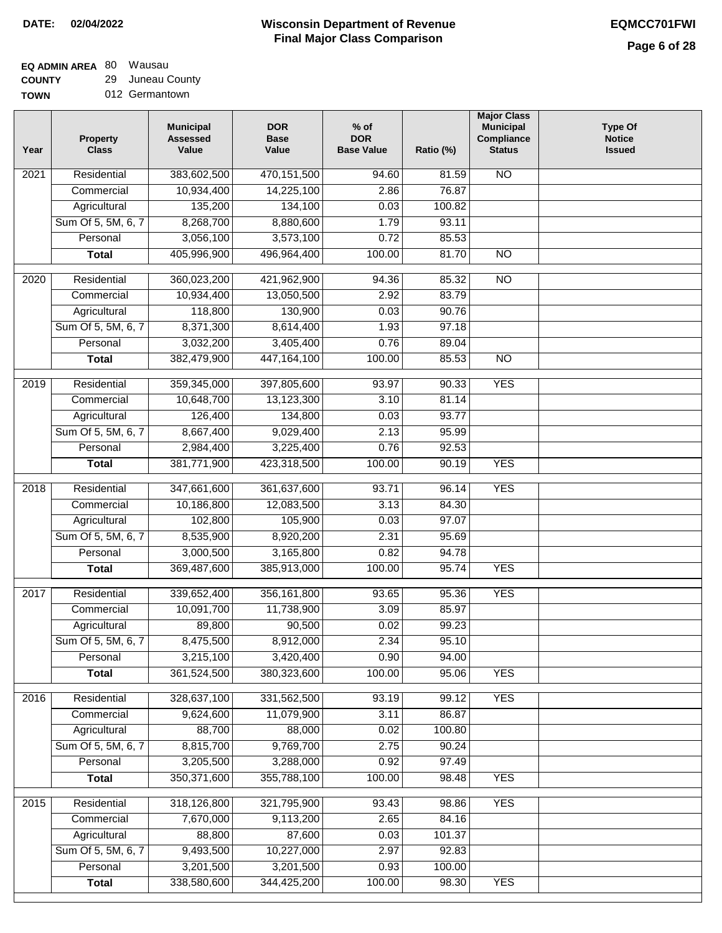# **EQ ADMIN AREA** 80 Wausau

**COUNTY TOWN** 29 Juneau County 012 Germantown

| Year | <b>Property</b><br><b>Class</b> | <b>Municipal</b><br><b>Assessed</b><br>Value | <b>DOR</b><br><b>Base</b><br>Value | $%$ of<br><b>DOR</b><br><b>Base Value</b> | Ratio (%) | <b>Major Class</b><br><b>Municipal</b><br>Compliance<br><b>Status</b> | <b>Type Of</b><br><b>Notice</b><br><b>Issued</b> |
|------|---------------------------------|----------------------------------------------|------------------------------------|-------------------------------------------|-----------|-----------------------------------------------------------------------|--------------------------------------------------|
| 2021 | Residential                     | 383,602,500                                  | 470,151,500                        | 94.60                                     | 81.59     | <b>NO</b>                                                             |                                                  |
|      | Commercial                      | 10,934,400                                   | 14,225,100                         | 2.86                                      | 76.87     |                                                                       |                                                  |
|      | Agricultural                    | 135,200                                      | 134,100                            | 0.03                                      | 100.82    |                                                                       |                                                  |
|      | Sum Of 5, 5M, 6, 7              | 8,268,700                                    | 8,880,600                          | 1.79                                      | 93.11     |                                                                       |                                                  |
|      | Personal                        | 3,056,100                                    | 3,573,100                          | 0.72                                      | 85.53     |                                                                       |                                                  |
|      | <b>Total</b>                    | 405,996,900                                  | 496,964,400                        | 100.00                                    | 81.70     | $\overline{NO}$                                                       |                                                  |
| 2020 | Residential                     | 360,023,200                                  | 421,962,900                        | 94.36                                     | 85.32     | $\overline{NO}$                                                       |                                                  |
|      | Commercial                      | 10,934,400                                   | 13,050,500                         | 2.92                                      | 83.79     |                                                                       |                                                  |
|      | Agricultural                    | 118,800                                      | 130,900                            | 0.03                                      | 90.76     |                                                                       |                                                  |
|      | Sum Of 5, 5M, 6, 7              | 8,371,300                                    | 8,614,400                          | 1.93                                      | 97.18     |                                                                       |                                                  |
|      | Personal                        | 3,032,200                                    | 3,405,400                          | 0.76                                      | 89.04     |                                                                       |                                                  |
|      | <b>Total</b>                    | 382,479,900                                  | 447, 164, 100                      | 100.00                                    | 85.53     | $\overline{NO}$                                                       |                                                  |
| 2019 | Residential                     | 359,345,000                                  | 397,805,600                        | 93.97                                     | 90.33     | <b>YES</b>                                                            |                                                  |
|      | Commercial                      | 10,648,700                                   | 13,123,300                         | 3.10                                      | 81.14     |                                                                       |                                                  |
|      | Agricultural                    | 126,400                                      | 134,800                            | 0.03                                      | 93.77     |                                                                       |                                                  |
|      | Sum Of 5, 5M, 6, 7              | 8,667,400                                    | 9,029,400                          | 2.13                                      | 95.99     |                                                                       |                                                  |
|      | Personal                        | 2,984,400                                    | 3,225,400                          | 0.76                                      | 92.53     |                                                                       |                                                  |
|      | <b>Total</b>                    | 381,771,900                                  | 423,318,500                        | 100.00                                    | 90.19     | <b>YES</b>                                                            |                                                  |
|      |                                 |                                              |                                    |                                           |           |                                                                       |                                                  |
| 2018 | Residential                     | 347,661,600                                  | 361,637,600                        | 93.71                                     | 96.14     | <b>YES</b>                                                            |                                                  |
|      | Commercial                      | 10,186,800                                   | 12,083,500                         | 3.13                                      | 84.30     |                                                                       |                                                  |
|      | Agricultural                    | 102,800                                      | 105,900                            | 0.03                                      | 97.07     |                                                                       |                                                  |
|      | Sum Of 5, 5M, 6, 7              | 8,535,900                                    | 8,920,200                          | 2.31                                      | 95.69     |                                                                       |                                                  |
|      | Personal                        | 3,000,500                                    | 3,165,800                          | 0.82                                      | 94.78     |                                                                       |                                                  |
|      | <b>Total</b>                    | 369,487,600                                  | 385,913,000                        | 100.00                                    | 95.74     | <b>YES</b>                                                            |                                                  |
| 2017 | Residential                     | 339,652,400                                  | 356, 161, 800                      | 93.65                                     | 95.36     | <b>YES</b>                                                            |                                                  |
|      | Commercial                      | 10,091,700                                   | 11,738,900                         | 3.09                                      | 85.97     |                                                                       |                                                  |
|      | Agricultural                    | 89,800                                       | 90,500                             | 0.02                                      | 99.23     |                                                                       |                                                  |
|      | Sum Of 5, 5M, 6, 7              | 8,475,500                                    | 8,912,000                          | 2.34                                      | 95.10     |                                                                       |                                                  |
|      | Personal                        | 3,215,100                                    | 3,420,400                          | 0.90                                      | 94.00     |                                                                       |                                                  |
|      | <b>Total</b>                    | 361,524,500                                  | 380, 323, 600                      | 100.00                                    | 95.06     | <b>YES</b>                                                            |                                                  |
| 2016 | Residential                     | 328,637,100                                  | 331,562,500                        | 93.19                                     | 99.12     | <b>YES</b>                                                            |                                                  |
|      | Commercial                      | 9,624,600                                    | 11,079,900                         | 3.11                                      | 86.87     |                                                                       |                                                  |
|      | Agricultural                    | 88,700                                       | 88,000                             | 0.02                                      | 100.80    |                                                                       |                                                  |
|      | Sum Of 5, 5M, 6, 7              | 8,815,700                                    | 9,769,700                          | 2.75                                      | 90.24     |                                                                       |                                                  |
|      | Personal                        | 3,205,500                                    | 3,288,000                          | 0.92                                      | 97.49     |                                                                       |                                                  |
|      | <b>Total</b>                    | 350,371,600                                  | 355,788,100                        | 100.00                                    | 98.48     | <b>YES</b>                                                            |                                                  |
| 2015 | Residential                     | 318,126,800                                  | 321,795,900                        | 93.43                                     | 98.86     | <b>YES</b>                                                            |                                                  |
|      | Commercial                      | 7,670,000                                    | 9,113,200                          | 2.65                                      | 84.16     |                                                                       |                                                  |
|      | Agricultural                    | 88,800                                       | 87,600                             | 0.03                                      | 101.37    |                                                                       |                                                  |
|      | Sum Of 5, 5M, 6, 7              | 9,493,500                                    | 10,227,000                         | 2.97                                      | 92.83     |                                                                       |                                                  |
|      | Personal                        | 3,201,500                                    | 3,201,500                          | 0.93                                      | 100.00    |                                                                       |                                                  |
|      | <b>Total</b>                    | 338,580,600                                  | 344,425,200                        | 100.00                                    | 98.30     | <b>YES</b>                                                            |                                                  |
|      |                                 |                                              |                                    |                                           |           |                                                                       |                                                  |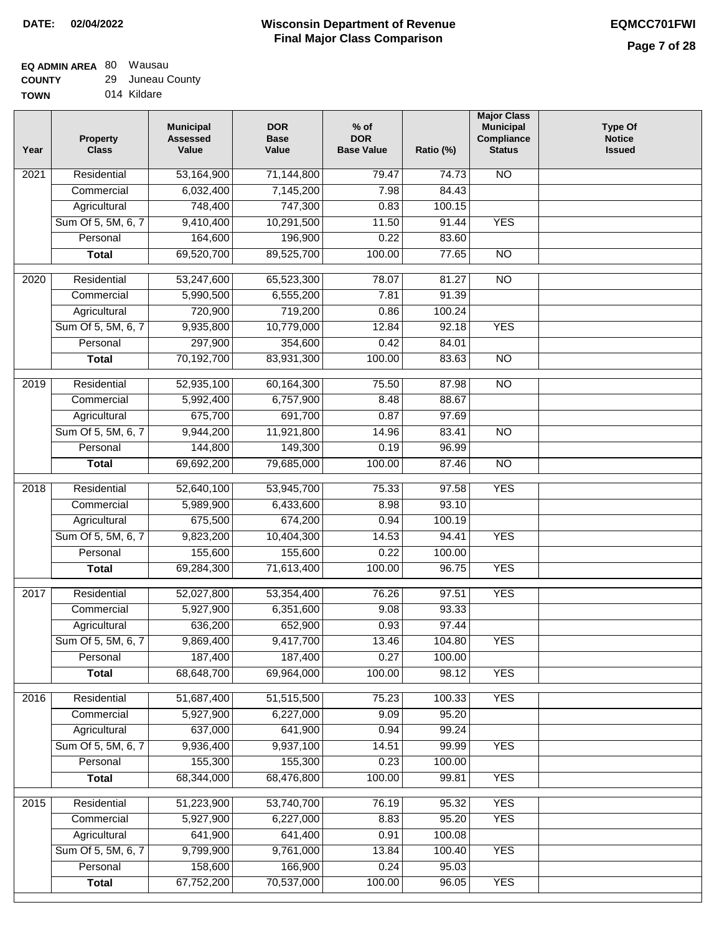| <b>TOWN</b> | 014 Kildare |  |
|-------------|-------------|--|
|             |             |  |

| Year | <b>Property</b><br><b>Class</b> | <b>Municipal</b><br><b>Assessed</b><br>Value | <b>DOR</b><br><b>Base</b><br>Value | $%$ of<br><b>DOR</b><br><b>Base Value</b> | Ratio (%)       | <b>Major Class</b><br><b>Municipal</b><br>Compliance<br><b>Status</b> | <b>Type Of</b><br><b>Notice</b><br><b>Issued</b> |
|------|---------------------------------|----------------------------------------------|------------------------------------|-------------------------------------------|-----------------|-----------------------------------------------------------------------|--------------------------------------------------|
| 2021 | Residential                     | 53,164,900                                   | 71,144,800                         | 79.47                                     | 74.73           | $\overline{NO}$                                                       |                                                  |
|      | Commercial                      | 6,032,400                                    | 7,145,200                          | 7.98                                      | 84.43           |                                                                       |                                                  |
|      | Agricultural                    | 748,400                                      | 747,300                            | 0.83                                      | 100.15          |                                                                       |                                                  |
|      | Sum Of 5, 5M, 6, 7              | 9,410,400                                    | 10,291,500                         | 11.50                                     | 91.44           | <b>YES</b>                                                            |                                                  |
|      | Personal                        | 164,600                                      | 196,900                            | 0.22                                      | 83.60           |                                                                       |                                                  |
|      | <b>Total</b>                    | 69,520,700                                   | 89,525,700                         | 100.00                                    | 77.65           | $\overline{NO}$                                                       |                                                  |
| 2020 | Residential                     | 53,247,600                                   | 65,523,300                         | 78.07                                     | 81.27           | $\overline{NO}$                                                       |                                                  |
|      | Commercial                      | 5,990,500                                    | 6,555,200                          | 7.81                                      | 91.39           |                                                                       |                                                  |
|      | Agricultural                    | 720,900                                      | 719,200                            | 0.86                                      | 100.24          |                                                                       |                                                  |
|      | Sum Of 5, 5M, 6, 7              | 9,935,800                                    | 10,779,000                         | 12.84                                     | 92.18           | <b>YES</b>                                                            |                                                  |
|      | Personal                        | 297,900                                      | 354,600                            | 0.42                                      | 84.01           |                                                                       |                                                  |
|      | <b>Total</b>                    | 70,192,700                                   | 83,931,300                         | 100.00                                    | 83.63           | $\overline{NO}$                                                       |                                                  |
| 2019 | Residential                     | 52,935,100                                   | 60,164,300                         | 75.50                                     | 87.98           | N <sub>O</sub>                                                        |                                                  |
|      | Commercial                      | 5,992,400                                    | 6,757,900                          | 8.48                                      | 88.67           |                                                                       |                                                  |
|      | Agricultural                    | 675,700                                      | 691,700                            | 0.87                                      | 97.69           |                                                                       |                                                  |
|      | Sum Of 5, 5M, 6, 7              | 9,944,200                                    | 11,921,800                         | 14.96                                     | 83.41           | $\overline{NO}$                                                       |                                                  |
|      | Personal                        | 144,800                                      | 149,300                            | 0.19                                      | 96.99           |                                                                       |                                                  |
|      | <b>Total</b>                    | 69,692,200                                   | 79,685,000                         | 100.00                                    | 87.46           | $\overline{NO}$                                                       |                                                  |
|      |                                 |                                              |                                    |                                           |                 |                                                                       |                                                  |
| 2018 | Residential                     | 52,640,100                                   | 53,945,700                         | 75.33                                     | 97.58           | <b>YES</b>                                                            |                                                  |
|      | Commercial                      | 5,989,900                                    | 6,433,600                          | 8.98                                      | 93.10           |                                                                       |                                                  |
|      | Agricultural                    | 675,500                                      | 674,200                            | 0.94                                      | 100.19          |                                                                       |                                                  |
|      | Sum Of 5, 5M, 6, 7              | 9,823,200                                    | 10,404,300                         | 14.53                                     | 94.41           | <b>YES</b>                                                            |                                                  |
|      | Personal                        | 155,600                                      | 155,600                            | 0.22                                      | 100.00          |                                                                       |                                                  |
|      | <b>Total</b>                    | 69,284,300                                   | 71,613,400                         | 100.00                                    | 96.75           | <b>YES</b>                                                            |                                                  |
| 2017 | Residential                     | 52,027,800                                   | 53,354,400                         | 76.26                                     | 97.51           | <b>YES</b>                                                            |                                                  |
|      | Commercial                      | 5,927,900                                    | 6,351,600                          | 9.08                                      | 93.33           |                                                                       |                                                  |
|      | Agricultural                    | 636,200                                      | 652,900                            | 0.93                                      | 97.44           |                                                                       |                                                  |
|      | Sum Of 5, 5M, 6, 7              | 9,869,400                                    | 9,417,700                          | 13.46                                     | 104.80          | <b>YES</b>                                                            |                                                  |
|      | Personal                        | 187,400                                      | 187,400                            | 0.27                                      | 100.00          |                                                                       |                                                  |
|      | <b>Total</b>                    | 68,648,700                                   | 69,964,000                         | 100.00                                    | 98.12           | <b>YES</b>                                                            |                                                  |
| 2016 | Residential                     | 51,687,400                                   | 51,515,500                         | 75.23                                     | 100.33          | <b>YES</b>                                                            |                                                  |
|      | Commercial                      | 5,927,900                                    | 6,227,000                          | 9.09                                      | 95.20           |                                                                       |                                                  |
|      | Agricultural                    | 637,000                                      | 641,900                            | 0.94                                      | 99.24           |                                                                       |                                                  |
|      | Sum Of 5, 5M, 6, 7              | 9,936,400                                    | 9,937,100                          | 14.51                                     | 99.99           | <b>YES</b>                                                            |                                                  |
|      | Personal                        | 155,300                                      | 155,300                            | 0.23                                      | 100.00          |                                                                       |                                                  |
|      | <b>Total</b>                    | 68,344,000                                   | 68,476,800                         | 100.00                                    | 99.81           | <b>YES</b>                                                            |                                                  |
|      |                                 |                                              |                                    |                                           |                 |                                                                       |                                                  |
| 2015 | Residential                     | 51,223,900                                   | 53,740,700                         | 76.19                                     | 95.32           | <b>YES</b>                                                            |                                                  |
|      | Commercial<br>Agricultural      | 5,927,900<br>641,900                         | 6,227,000<br>641,400               | 8.83<br>0.91                              | 95.20<br>100.08 | <b>YES</b>                                                            |                                                  |
|      | Sum Of 5, 5M, 6, 7              | 9,799,900                                    | 9,761,000                          | 13.84                                     | 100.40          | <b>YES</b>                                                            |                                                  |
|      | Personal                        | 158,600                                      | 166,900                            | 0.24                                      | 95.03           |                                                                       |                                                  |
|      | <b>Total</b>                    | 67,752,200                                   | 70,537,000                         | 100.00                                    | 96.05           | <b>YES</b>                                                            |                                                  |
|      |                                 |                                              |                                    |                                           |                 |                                                                       |                                                  |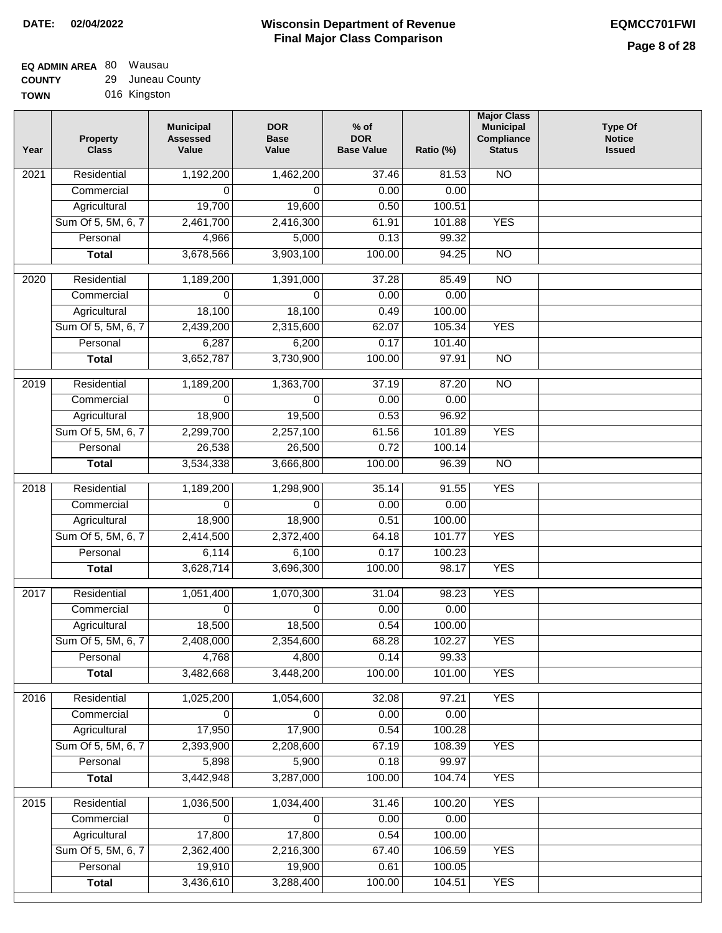| TOWN | 016 Kingston |  |
|------|--------------|--|
|      |              |  |

| Year              | <b>Property</b><br><b>Class</b> | <b>Municipal</b><br><b>Assessed</b><br>Value | <b>DOR</b><br><b>Base</b><br>Value | $%$ of<br><b>DOR</b><br><b>Base Value</b> | Ratio (%) | <b>Major Class</b><br><b>Municipal</b><br>Compliance<br><b>Status</b> | <b>Type Of</b><br><b>Notice</b><br><b>Issued</b> |
|-------------------|---------------------------------|----------------------------------------------|------------------------------------|-------------------------------------------|-----------|-----------------------------------------------------------------------|--------------------------------------------------|
| $\overline{202}1$ | Residential                     | 1,192,200                                    | 1,462,200                          | 37.46                                     | 81.53     | <b>NO</b>                                                             |                                                  |
|                   | Commercial                      | 0                                            | 0                                  | 0.00                                      | 0.00      |                                                                       |                                                  |
|                   | Agricultural                    | 19,700                                       | 19,600                             | 0.50                                      | 100.51    |                                                                       |                                                  |
|                   | Sum Of 5, 5M, 6, 7              | 2,461,700                                    | 2,416,300                          | 61.91                                     | 101.88    | <b>YES</b>                                                            |                                                  |
|                   | Personal                        | 4,966                                        | 5,000                              | 0.13                                      | 99.32     |                                                                       |                                                  |
|                   | <b>Total</b>                    | 3,678,566                                    | 3,903,100                          | 100.00                                    | 94.25     | $\overline{NO}$                                                       |                                                  |
| $\overline{2020}$ | Residential                     | 1,189,200                                    | 1,391,000                          | 37.28                                     | 85.49     | $\overline{10}$                                                       |                                                  |
|                   | Commercial                      | 0                                            | 0                                  | 0.00                                      | 0.00      |                                                                       |                                                  |
|                   | Agricultural                    | 18,100                                       | 18,100                             | 0.49                                      | 100.00    |                                                                       |                                                  |
|                   | Sum Of 5, 5M, 6, 7              | 2,439,200                                    | 2,315,600                          | 62.07                                     | 105.34    | <b>YES</b>                                                            |                                                  |
|                   | Personal                        | 6,287                                        | 6,200                              | 0.17                                      | 101.40    |                                                                       |                                                  |
|                   | <b>Total</b>                    | 3,652,787                                    | 3,730,900                          | 100.00                                    | 97.91     | $\overline{NO}$                                                       |                                                  |
| 2019              | Residential                     | 1,189,200                                    | 1,363,700                          | 37.19                                     | 87.20     | $\overline{10}$                                                       |                                                  |
|                   | Commercial                      | $\Omega$                                     | $\Omega$                           | 0.00                                      | 0.00      |                                                                       |                                                  |
|                   | Agricultural                    | 18,900                                       | 19,500                             | 0.53                                      | 96.92     |                                                                       |                                                  |
|                   | Sum Of 5, 5M, 6, 7              | 2,299,700                                    | 2,257,100                          | 61.56                                     | 101.89    | <b>YES</b>                                                            |                                                  |
|                   | Personal                        | 26,538                                       | 26,500                             | 0.72                                      | 100.14    |                                                                       |                                                  |
|                   | <b>Total</b>                    | 3,534,338                                    | 3,666,800                          | 100.00                                    | 96.39     | $\overline{NO}$                                                       |                                                  |
|                   |                                 |                                              |                                    |                                           |           |                                                                       |                                                  |
| 2018              | Residential                     | 1,189,200                                    | 1,298,900                          | 35.14                                     | 91.55     | <b>YES</b>                                                            |                                                  |
|                   | Commercial                      | $\Omega$                                     | 0                                  | 0.00                                      | 0.00      |                                                                       |                                                  |
|                   | Agricultural                    | 18,900                                       | 18,900                             | 0.51                                      | 100.00    |                                                                       |                                                  |
|                   | Sum Of 5, 5M, 6, 7              | 2,414,500                                    | 2,372,400                          | 64.18                                     | 101.77    | <b>YES</b>                                                            |                                                  |
|                   | Personal                        | 6,114                                        | 6,100                              | 0.17                                      | 100.23    |                                                                       |                                                  |
|                   | <b>Total</b>                    | 3,628,714                                    | 3,696,300                          | 100.00                                    | 98.17     | <b>YES</b>                                                            |                                                  |
| 2017              | Residential                     | 1,051,400                                    | 1,070,300                          | 31.04                                     | 98.23     | <b>YES</b>                                                            |                                                  |
|                   | Commercial                      | 0                                            | 0                                  | 0.00                                      | 0.00      |                                                                       |                                                  |
|                   | Agricultural                    | 18,500                                       | 18,500                             | 0.54                                      | 100.00    |                                                                       |                                                  |
|                   | Sum Of 5, 5M, 6, 7              | 2,408,000                                    | 2,354,600                          | 68.28                                     | 102.27    | <b>YES</b>                                                            |                                                  |
|                   | Personal                        | 4,768                                        | 4,800                              | 0.14                                      | 99.33     |                                                                       |                                                  |
|                   | <b>Total</b>                    | 3,482,668                                    | 3,448,200                          | 100.00                                    | 101.00    | <b>YES</b>                                                            |                                                  |
| 2016              | Residential                     | 1,025,200                                    | 1,054,600                          | 32.08                                     | 97.21     | <b>YES</b>                                                            |                                                  |
|                   | Commercial                      | 0                                            | 0                                  | 0.00                                      | 0.00      |                                                                       |                                                  |
|                   | Agricultural                    | 17,950                                       | 17,900                             | 0.54                                      | 100.28    |                                                                       |                                                  |
|                   | Sum Of 5, 5M, 6, 7              | 2,393,900                                    | 2,208,600                          | 67.19                                     | 108.39    | <b>YES</b>                                                            |                                                  |
|                   | Personal                        | 5,898                                        | 5,900                              | 0.18                                      | 99.97     |                                                                       |                                                  |
|                   | <b>Total</b>                    | 3,442,948                                    | 3,287,000                          | 100.00                                    | 104.74    | <b>YES</b>                                                            |                                                  |
| 2015              | Residential                     | 1,036,500                                    | 1,034,400                          | 31.46                                     | 100.20    | <b>YES</b>                                                            |                                                  |
|                   | Commercial                      | $\Omega$                                     | 0                                  | 0.00                                      | 0.00      |                                                                       |                                                  |
|                   | Agricultural                    | 17,800                                       | 17,800                             | 0.54                                      | 100.00    |                                                                       |                                                  |
|                   | Sum Of 5, 5M, 6, 7              | 2,362,400                                    | 2,216,300                          | 67.40                                     | 106.59    | <b>YES</b>                                                            |                                                  |
|                   | Personal                        | 19,910                                       | 19,900                             | 0.61                                      | 100.05    |                                                                       |                                                  |
|                   | <b>Total</b>                    | 3,436,610                                    | 3,288,400                          | 100.00                                    | 104.51    | <b>YES</b>                                                            |                                                  |
|                   |                                 |                                              |                                    |                                           |           |                                                                       |                                                  |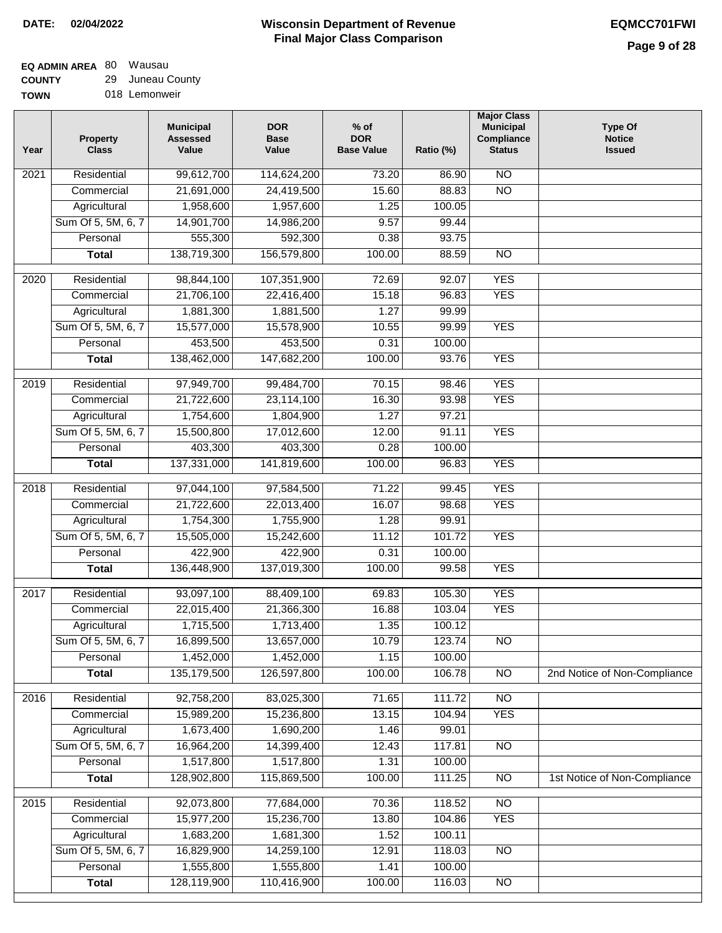#### **Wisconsin Department of Revenue Final Major Class Comparison DATE: 02/04/2022 EQMCC701FWI**

# **EQ ADMIN AREA** 80 Wausau

**COUNTY TOWN** 29 Juneau County 018 Lemonweir

| Year | Property<br><b>Class</b> | <b>Municipal</b><br><b>Assessed</b><br>Value | <b>DOR</b><br><b>Base</b><br>Value | $%$ of<br><b>DOR</b><br><b>Base Value</b> | Ratio (%) | <b>Major Class</b><br><b>Municipal</b><br>Compliance<br><b>Status</b> | <b>Type Of</b><br><b>Notice</b><br><b>Issued</b> |
|------|--------------------------|----------------------------------------------|------------------------------------|-------------------------------------------|-----------|-----------------------------------------------------------------------|--------------------------------------------------|
| 2021 | Residential              | 99,612,700                                   | 114,624,200                        | 73.20                                     | 86.90     | $\overline{NO}$                                                       |                                                  |
|      | Commercial               | 21,691,000                                   | 24,419,500                         | 15.60                                     | 88.83     | $\overline{NO}$                                                       |                                                  |
|      | Agricultural             | 1,958,600                                    | 1,957,600                          | 1.25                                      | 100.05    |                                                                       |                                                  |
|      | Sum Of 5, 5M, 6, 7       | 14,901,700                                   | 14,986,200                         | 9.57                                      | 99.44     |                                                                       |                                                  |
|      | Personal                 | 555,300                                      | 592,300                            | 0.38                                      | 93.75     |                                                                       |                                                  |
|      | <b>Total</b>             | 138,719,300                                  | 156,579,800                        | 100.00                                    | 88.59     | $\overline{NO}$                                                       |                                                  |
| 2020 | Residential              | 98,844,100                                   | 107,351,900                        | 72.69                                     | 92.07     | <b>YES</b>                                                            |                                                  |
|      | Commercial               | 21,706,100                                   | 22,416,400                         | 15.18                                     | 96.83     | <b>YES</b>                                                            |                                                  |
|      | Agricultural             | 1,881,300                                    | 1,881,500                          | 1.27                                      | 99.99     |                                                                       |                                                  |
|      | Sum Of 5, 5M, 6, 7       | 15,577,000                                   | 15,578,900                         | 10.55                                     | 99.99     | <b>YES</b>                                                            |                                                  |
|      | Personal                 | 453,500                                      | 453,500                            | 0.31                                      | 100.00    |                                                                       |                                                  |
|      | <b>Total</b>             | 138,462,000                                  | 147,682,200                        | 100.00                                    | 93.76     | <b>YES</b>                                                            |                                                  |
|      |                          |                                              |                                    |                                           |           |                                                                       |                                                  |
| 2019 | Residential              | 97,949,700                                   | 99,484,700                         | 70.15                                     | 98.46     | <b>YES</b>                                                            |                                                  |
|      | Commercial               | 21,722,600                                   | 23,114,100                         | 16.30                                     | 93.98     | <b>YES</b>                                                            |                                                  |
|      | Agricultural             | 1,754,600                                    | 1,804,900                          | 1.27                                      | 97.21     |                                                                       |                                                  |
|      | Sum Of 5, 5M, 6, 7       | 15,500,800                                   | 17,012,600                         | 12.00                                     | 91.11     | <b>YES</b>                                                            |                                                  |
|      | Personal                 | 403,300                                      | 403,300                            | 0.28                                      | 100.00    |                                                                       |                                                  |
|      | <b>Total</b>             | 137,331,000                                  | 141,819,600                        | 100.00                                    | 96.83     | <b>YES</b>                                                            |                                                  |
| 2018 | Residential              | 97,044,100                                   | 97,584,500                         | 71.22                                     | 99.45     | <b>YES</b>                                                            |                                                  |
|      | Commercial               | 21,722,600                                   | 22,013,400                         | 16.07                                     | 98.68     | <b>YES</b>                                                            |                                                  |
|      | Agricultural             | 1,754,300                                    | 1,755,900                          | 1.28                                      | 99.91     |                                                                       |                                                  |
|      | Sum Of 5, 5M, 6, 7       | 15,505,000                                   | 15,242,600                         | 11.12                                     | 101.72    | <b>YES</b>                                                            |                                                  |
|      | Personal                 | 422,900                                      | 422,900                            | 0.31                                      | 100.00    |                                                                       |                                                  |
|      | <b>Total</b>             | 136,448,900                                  | 137,019,300                        | 100.00                                    | 99.58     | <b>YES</b>                                                            |                                                  |
| 2017 | Residential              | 93,097,100                                   | 88,409,100                         | 69.83                                     | 105.30    | <b>YES</b>                                                            |                                                  |
|      | Commercial               | 22,015,400                                   | 21,366,300                         | 16.88                                     | 103.04    | <b>YES</b>                                                            |                                                  |
|      | Agricultural             | 1,715,500                                    | 1,713,400                          | 1.35                                      | 100.12    |                                                                       |                                                  |
|      | Sum Of 5, 5M, 6, 7       | 16,899,500                                   | 13,657,000                         | 10.79                                     | 123.74    | NO <sub>1</sub>                                                       |                                                  |
|      | Personal                 | 1,452,000                                    | 1,452,000                          | 1.15                                      | 100.00    |                                                                       |                                                  |
|      | <b>Total</b>             | 135,179,500                                  | 126,597,800                        | 100.00                                    | 106.78    | $\overline{NO}$                                                       | 2nd Notice of Non-Compliance                     |
| 2016 | Residential              | 92,758,200                                   | 83,025,300                         | 71.65                                     | 111.72    | $\overline{NO}$                                                       |                                                  |
|      | Commercial               | 15,989,200                                   | 15,236,800                         | 13.15                                     | 104.94    | <b>YES</b>                                                            |                                                  |
|      | Agricultural             | 1,673,400                                    | 1,690,200                          | 1.46                                      | 99.01     |                                                                       |                                                  |
|      | Sum Of 5, 5M, 6, 7       | 16,964,200                                   | 14,399,400                         | 12.43                                     | 117.81    | N <sub>O</sub>                                                        |                                                  |
|      | Personal                 | 1,517,800                                    | 1,517,800                          | 1.31                                      | 100.00    |                                                                       |                                                  |
|      | <b>Total</b>             | 128,902,800                                  | 115,869,500                        | 100.00                                    | 111.25    | $\overline{NO}$                                                       | 1st Notice of Non-Compliance                     |
| 2015 | Residential              | 92,073,800                                   | 77,684,000                         | 70.36                                     | 118.52    | N <sub>O</sub>                                                        |                                                  |
|      | Commercial               | 15,977,200                                   | 15,236,700                         | 13.80                                     | 104.86    | <b>YES</b>                                                            |                                                  |
|      | Agricultural             | 1,683,200                                    | 1,681,300                          | 1.52                                      | 100.11    |                                                                       |                                                  |
|      | Sum Of 5, 5M, 6, 7       | 16,829,900                                   | 14,259,100                         | 12.91                                     | 118.03    | $\overline{NO}$                                                       |                                                  |
|      | Personal                 | 1,555,800                                    | 1,555,800                          | 1.41                                      | 100.00    |                                                                       |                                                  |
|      | <b>Total</b>             | 128,119,900                                  | 110,416,900                        | 100.00                                    | 116.03    | $\overline{NO}$                                                       |                                                  |
|      |                          |                                              |                                    |                                           |           |                                                                       |                                                  |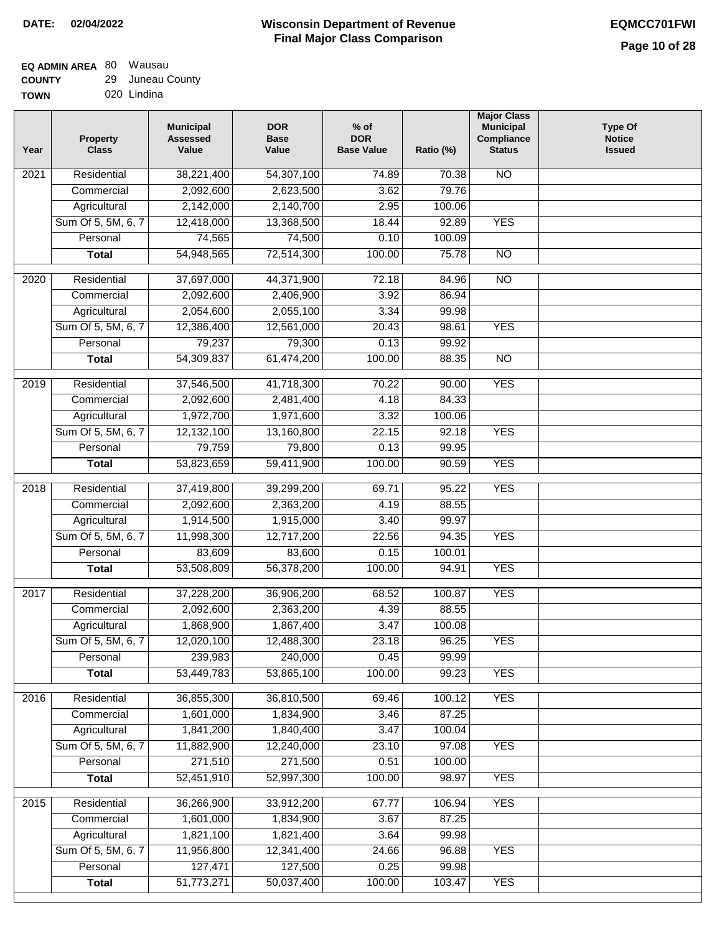٦

#### **EQ ADMIN AREA** 80 Wausau **COUNTY** 29 Juneau County

| <b>GUUNIT</b> | 29 | Julicau Coul |
|---------------|----|--------------|
| <b>TOWN</b>   |    | 020 Lindina  |

| Year | Property<br><b>Class</b> | <b>Municipal</b><br><b>Assessed</b><br>Value | <b>DOR</b><br><b>Base</b><br>Value | $%$ of<br><b>DOR</b><br><b>Base Value</b> | Ratio (%) | <b>Major Class</b><br><b>Municipal</b><br>Compliance<br><b>Status</b> | <b>Type Of</b><br><b>Notice</b><br><b>Issued</b> |
|------|--------------------------|----------------------------------------------|------------------------------------|-------------------------------------------|-----------|-----------------------------------------------------------------------|--------------------------------------------------|
| 2021 | Residential              | 38,221,400                                   | 54,307,100                         | 74.89                                     | 70.38     | <b>NO</b>                                                             |                                                  |
|      | Commercial               | 2,092,600                                    | 2,623,500                          | 3.62                                      | 79.76     |                                                                       |                                                  |
|      | Agricultural             | 2,142,000                                    | 2,140,700                          | 2.95                                      | 100.06    |                                                                       |                                                  |
|      | Sum Of 5, 5M, 6, 7       | 12,418,000                                   | 13,368,500                         | 18.44                                     | 92.89     | <b>YES</b>                                                            |                                                  |
|      | Personal                 | 74,565                                       | 74,500                             | 0.10                                      | 100.09    |                                                                       |                                                  |
|      | <b>Total</b>             | 54,948,565                                   | 72,514,300                         | 100.00                                    | 75.78     | $\overline{NO}$                                                       |                                                  |
| 2020 | Residential              | 37,697,000                                   | 44,371,900                         | 72.18                                     | 84.96     | $\overline{NO}$                                                       |                                                  |
|      | Commercial               | 2,092,600                                    | 2,406,900                          | 3.92                                      | 86.94     |                                                                       |                                                  |
|      | Agricultural             | 2,054,600                                    | 2,055,100                          | 3.34                                      | 99.98     |                                                                       |                                                  |
|      | Sum Of 5, 5M, 6, 7       | 12,386,400                                   | 12,561,000                         | 20.43                                     | 98.61     | <b>YES</b>                                                            |                                                  |
|      | Personal                 | 79,237                                       | 79,300                             | 0.13                                      | 99.92     |                                                                       |                                                  |
|      | <b>Total</b>             | 54,309,837                                   | 61,474,200                         | 100.00                                    | 88.35     | $\overline{NO}$                                                       |                                                  |
| 2019 | Residential              | 37,546,500                                   | 41,718,300                         | 70.22                                     | 90.00     | <b>YES</b>                                                            |                                                  |
|      | Commercial               | 2,092,600                                    | 2,481,400                          | 4.18                                      | 84.33     |                                                                       |                                                  |
|      | Agricultural             | 1,972,700                                    | 1,971,600                          | 3.32                                      | 100.06    |                                                                       |                                                  |
|      | Sum Of 5, 5M, 6, 7       | 12,132,100                                   | 13,160,800                         | 22.15                                     | 92.18     | <b>YES</b>                                                            |                                                  |
|      | Personal                 | 79,759                                       | 79,800                             | 0.13                                      | 99.95     |                                                                       |                                                  |
|      | <b>Total</b>             | 53,823,659                                   | 59,411,900                         | 100.00                                    | 90.59     | <b>YES</b>                                                            |                                                  |
| 2018 | Residential              | 37,419,800                                   | 39,299,200                         | 69.71                                     | 95.22     | <b>YES</b>                                                            |                                                  |
|      | Commercial               | 2,092,600                                    | 2,363,200                          | 4.19                                      | 88.55     |                                                                       |                                                  |
|      | Agricultural             | 1,914,500                                    | 1,915,000                          | 3.40                                      | 99.97     |                                                                       |                                                  |
|      | Sum Of 5, 5M, 6, 7       | 11,998,300                                   | 12,717,200                         | 22.56                                     | 94.35     | <b>YES</b>                                                            |                                                  |
|      | Personal                 | 83,609                                       | 83,600                             | 0.15                                      | 100.01    |                                                                       |                                                  |
|      | <b>Total</b>             | 53,508,809                                   | 56,378,200                         | 100.00                                    | 94.91     | <b>YES</b>                                                            |                                                  |
| 2017 | Residential              | 37,228,200                                   | 36,906,200                         | 68.52                                     | 100.87    | <b>YES</b>                                                            |                                                  |
|      | Commercial               | 2,092,600                                    | 2,363,200                          | 4.39                                      | 88.55     |                                                                       |                                                  |
|      | Agricultural             | 1,868,900                                    | 1,867,400                          | 3.47                                      | 100.08    |                                                                       |                                                  |
|      | Sum Of 5, 5M, 6, 7       | 12,020,100                                   | 12,488,300                         | 23.18                                     | 96.25     | <b>YES</b>                                                            |                                                  |
|      | Personal                 | 239,983                                      | 240,000                            | 0.45                                      | 99.99     |                                                                       |                                                  |
|      | <b>Total</b>             | 53,449,783                                   | 53,865,100                         | 100.00                                    | 99.23     | <b>YES</b>                                                            |                                                  |
| 2016 | Residential              | 36,855,300                                   | 36,810,500                         | 69.46                                     | 100.12    | <b>YES</b>                                                            |                                                  |
|      | Commercial               | 1,601,000                                    | 1,834,900                          | 3.46                                      | 87.25     |                                                                       |                                                  |
|      | Agricultural             | 1,841,200                                    | 1,840,400                          | 3.47                                      | 100.04    |                                                                       |                                                  |
|      | Sum Of 5, 5M, 6, 7       | 11,882,900                                   | 12,240,000                         | 23.10                                     | 97.08     | <b>YES</b>                                                            |                                                  |
|      | Personal                 | 271,510                                      | 271,500                            | 0.51                                      | 100.00    |                                                                       |                                                  |
|      | <b>Total</b>             | 52,451,910                                   | 52,997,300                         | 100.00                                    | 98.97     | <b>YES</b>                                                            |                                                  |
| 2015 | Residential              | 36,266,900                                   | 33,912,200                         | 67.77                                     | 106.94    | <b>YES</b>                                                            |                                                  |
|      | Commercial               | 1,601,000                                    | 1,834,900                          | 3.67                                      | 87.25     |                                                                       |                                                  |
|      | Agricultural             | 1,821,100                                    | 1,821,400                          | 3.64                                      | 99.98     |                                                                       |                                                  |
|      | Sum Of 5, 5M, 6, 7       | 11,956,800                                   | 12,341,400                         | 24.66                                     | 96.88     | <b>YES</b>                                                            |                                                  |
|      | Personal                 | 127,471                                      | 127,500                            | 0.25                                      | 99.98     |                                                                       |                                                  |
|      | <b>Total</b>             | 51,773,271                                   | 50,037,400                         | 100.00                                    | 103.47    | <b>YES</b>                                                            |                                                  |
|      |                          |                                              |                                    |                                           |           |                                                                       |                                                  |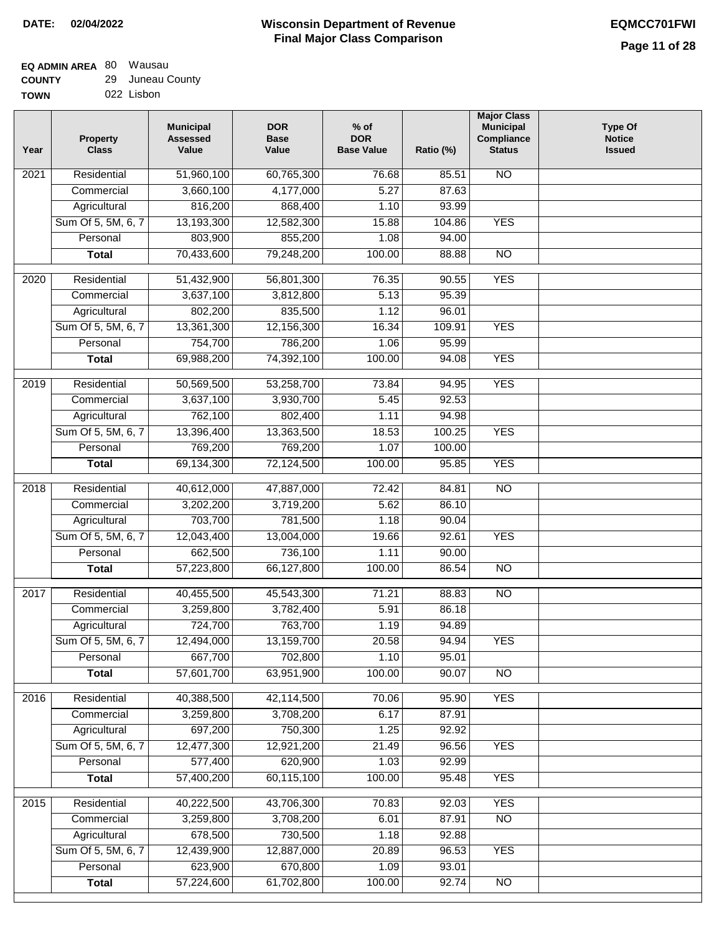#### **EQ ADMIN AREA** 80 Wausau **COUNTY** 29 Juneau County

**TOWN** 022 Lisbon

| Year | <b>Property</b><br><b>Class</b> | <b>Municipal</b><br><b>Assessed</b><br>Value | <b>DOR</b><br><b>Base</b><br>Value | $%$ of<br><b>DOR</b><br><b>Base Value</b> | Ratio (%)      | <b>Major Class</b><br><b>Municipal</b><br>Compliance<br><b>Status</b> | <b>Type Of</b><br><b>Notice</b><br><b>Issued</b> |
|------|---------------------------------|----------------------------------------------|------------------------------------|-------------------------------------------|----------------|-----------------------------------------------------------------------|--------------------------------------------------|
| 2021 | Residential                     | 51,960,100                                   | 60,765,300                         | 76.68                                     | 85.51          | N <sub>O</sub>                                                        |                                                  |
|      | Commercial                      | 3,660,100                                    | 4,177,000                          | 5.27                                      | 87.63          |                                                                       |                                                  |
|      | Agricultural                    | 816,200                                      | 868,400                            | 1.10                                      | 93.99          |                                                                       |                                                  |
|      | Sum Of 5, 5M, 6, 7              | 13,193,300                                   | 12,582,300                         | 15.88                                     | 104.86         | <b>YES</b>                                                            |                                                  |
|      | Personal                        | 803,900                                      | 855,200                            | 1.08                                      | 94.00          |                                                                       |                                                  |
|      | <b>Total</b>                    | 70,433,600                                   | 79,248,200                         | 100.00                                    | 88.88          | $\overline{NO}$                                                       |                                                  |
| 2020 | Residential                     | 51,432,900                                   | 56,801,300                         | 76.35                                     | 90.55          | <b>YES</b>                                                            |                                                  |
|      | Commercial                      | 3,637,100                                    | 3,812,800                          | 5.13                                      | 95.39          |                                                                       |                                                  |
|      | Agricultural                    | 802,200                                      | 835,500                            | 1.12                                      | 96.01          |                                                                       |                                                  |
|      | Sum Of 5, 5M, 6, 7              | 13,361,300                                   | 12,156,300                         | 16.34                                     | 109.91         | <b>YES</b>                                                            |                                                  |
|      | Personal                        | 754,700                                      | 786,200                            | 1.06                                      | 95.99          |                                                                       |                                                  |
|      | <b>Total</b>                    | 69,988,200                                   | 74,392,100                         | 100.00                                    | 94.08          | <b>YES</b>                                                            |                                                  |
| 2019 | Residential                     | 50,569,500                                   | 53,258,700                         | 73.84                                     | 94.95          | <b>YES</b>                                                            |                                                  |
|      | Commercial                      | 3,637,100                                    | 3,930,700                          | 5.45                                      | 92.53          |                                                                       |                                                  |
|      | Agricultural                    | 762,100                                      | 802,400                            | 1.11                                      | 94.98          |                                                                       |                                                  |
|      | Sum Of 5, 5M, 6, 7              | 13,396,400                                   | 13,363,500                         | 18.53                                     | 100.25         | <b>YES</b>                                                            |                                                  |
|      | Personal                        | 769,200                                      | 769,200                            | 1.07                                      | 100.00         |                                                                       |                                                  |
|      | <b>Total</b>                    | 69,134,300                                   | 72,124,500                         | 100.00                                    | 95.85          | <b>YES</b>                                                            |                                                  |
| 2018 | Residential                     | 40,612,000                                   | 47,887,000                         | 72.42                                     | 84.81          | N <sub>O</sub>                                                        |                                                  |
|      | Commercial                      | 3,202,200                                    | 3,719,200                          | 5.62                                      | 86.10          |                                                                       |                                                  |
|      | Agricultural                    | 703,700                                      | 781,500                            | 1.18                                      | 90.04          |                                                                       |                                                  |
|      | Sum Of 5, 5M, 6, 7              | 12,043,400                                   | 13,004,000                         | 19.66                                     | 92.61          | <b>YES</b>                                                            |                                                  |
|      | Personal                        | 662,500                                      | 736,100                            | 1.11                                      | 90.00          |                                                                       |                                                  |
|      | <b>Total</b>                    | 57,223,800                                   | 66,127,800                         | 100.00                                    | 86.54          | <b>NO</b>                                                             |                                                  |
| 2017 | Residential                     | 40,455,500                                   | 45,543,300                         | 71.21                                     | 88.83          | $\overline{NO}$                                                       |                                                  |
|      | Commercial                      | 3,259,800                                    | 3,782,400                          | 5.91                                      | 86.18          |                                                                       |                                                  |
|      | Agricultural                    | 724,700                                      | 763,700                            | 1.19                                      | 94.89          |                                                                       |                                                  |
|      | Sum Of 5, 5M, 6, 7              | 12,494,000                                   | 13,159,700                         | 20.58                                     | 94.94          | <b>YES</b>                                                            |                                                  |
|      | Personal                        | 667,700                                      | 702,800                            | 1.10                                      | 95.01          |                                                                       |                                                  |
|      | <b>Total</b>                    | 57,601,700                                   | 63,951,900                         | 100.00                                    | 90.07          | $\overline{30}$                                                       |                                                  |
|      | Residential                     |                                              |                                    |                                           |                | <b>YES</b>                                                            |                                                  |
| 2016 | Commercial                      | 40,388,500<br>3,259,800                      | 42,114,500<br>3,708,200            | 70.06<br>6.17                             | 95.90<br>87.91 |                                                                       |                                                  |
|      | Agricultural                    | 697,200                                      | 750,300                            | 1.25                                      | 92.92          |                                                                       |                                                  |
|      | Sum Of 5, 5M, 6, 7              | 12,477,300                                   | 12,921,200                         | 21.49                                     | 96.56          | <b>YES</b>                                                            |                                                  |
|      | Personal                        | 577,400                                      | 620,900                            | 1.03                                      | 92.99          |                                                                       |                                                  |
|      | <b>Total</b>                    | 57,400,200                                   | 60,115,100                         | 100.00                                    | 95.48          | <b>YES</b>                                                            |                                                  |
|      |                                 |                                              |                                    |                                           |                | <b>YES</b>                                                            |                                                  |
| 2015 | Residential<br>Commercial       | 40,222,500<br>3,259,800                      | 43,706,300<br>3,708,200            | 70.83<br>6.01                             | 92.03<br>87.91 | $\overline{NO}$                                                       |                                                  |
|      | Agricultural                    | 678,500                                      | 730,500                            | 1.18                                      | 92.88          |                                                                       |                                                  |
|      | Sum Of 5, 5M, 6, 7              | 12,439,900                                   | 12,887,000                         | 20.89                                     | 96.53          | <b>YES</b>                                                            |                                                  |
|      | Personal                        | 623,900                                      | 670,800                            | 1.09                                      | 93.01          |                                                                       |                                                  |
|      | <b>Total</b>                    | 57,224,600                                   | 61,702,800                         | 100.00                                    | 92.74          | <b>NO</b>                                                             |                                                  |
|      |                                 |                                              |                                    |                                           |                |                                                                       |                                                  |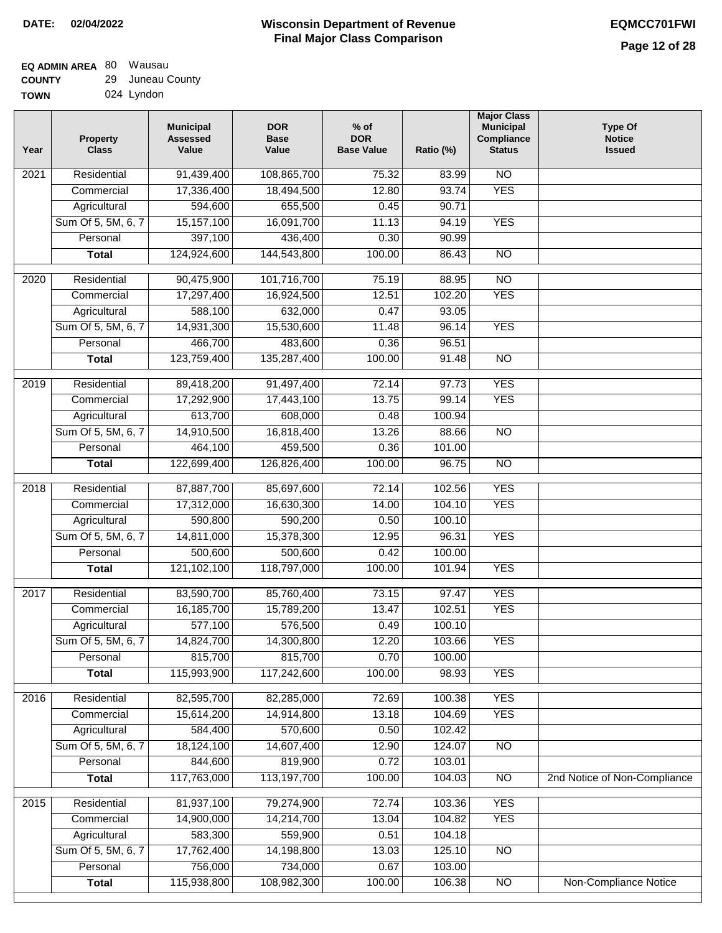#### **EQ ADMIN AREA** 80 Wausau **COUNTY** 29 Juneau County

| ------      | ------------- |  |
|-------------|---------------|--|
| <b>TOWN</b> | 024 Lyndon    |  |

| Year | <b>Property</b><br><b>Class</b> | <b>Municipal</b><br><b>Assessed</b><br>Value | <b>DOR</b><br><b>Base</b><br>Value | $%$ of<br><b>DOR</b><br><b>Base Value</b> | Ratio (%) | <b>Major Class</b><br><b>Municipal</b><br>Compliance<br><b>Status</b> | <b>Type Of</b><br><b>Notice</b><br><b>Issued</b> |
|------|---------------------------------|----------------------------------------------|------------------------------------|-------------------------------------------|-----------|-----------------------------------------------------------------------|--------------------------------------------------|
| 2021 | Residential                     | 91,439,400                                   | 108,865,700                        | 75.32                                     | 83.99     | N <sub>O</sub>                                                        |                                                  |
|      | Commercial                      | 17,336,400                                   | 18,494,500                         | 12.80                                     | 93.74     | <b>YES</b>                                                            |                                                  |
|      | Agricultural                    | 594,600                                      | 655,500                            | 0.45                                      | 90.71     |                                                                       |                                                  |
|      | Sum Of 5, 5M, 6, 7              | 15,157,100                                   | 16,091,700                         | 11.13                                     | 94.19     | <b>YES</b>                                                            |                                                  |
|      | Personal                        | 397,100                                      | 436,400                            | 0.30                                      | 90.99     |                                                                       |                                                  |
|      | <b>Total</b>                    | 124,924,600                                  | 144,543,800                        | 100.00                                    | 86.43     | $\overline{NO}$                                                       |                                                  |
| 2020 | Residential                     | 90,475,900                                   | 101,716,700                        | 75.19                                     | 88.95     | $\overline{10}$                                                       |                                                  |
|      | Commercial                      | 17,297,400                                   | 16,924,500                         | 12.51                                     | 102.20    | <b>YES</b>                                                            |                                                  |
|      | Agricultural                    | 588,100                                      | 632,000                            | 0.47                                      | 93.05     |                                                                       |                                                  |
|      | Sum Of 5, 5M, 6, 7              | 14,931,300                                   | 15,530,600                         | 11.48                                     | 96.14     | <b>YES</b>                                                            |                                                  |
|      | Personal                        | 466,700                                      | 483,600                            | 0.36                                      | 96.51     |                                                                       |                                                  |
|      | <b>Total</b>                    | 123,759,400                                  | 135,287,400                        | 100.00                                    | 91.48     | $\overline{NO}$                                                       |                                                  |
|      |                                 |                                              |                                    |                                           |           |                                                                       |                                                  |
| 2019 | Residential                     | 89,418,200                                   | 91,497,400                         | 72.14                                     | 97.73     | <b>YES</b>                                                            |                                                  |
|      | Commercial                      | 17,292,900                                   | 17,443,100                         | 13.75                                     | 99.14     | <b>YES</b>                                                            |                                                  |
|      | Agricultural                    | 613,700                                      | 608,000                            | 0.48                                      | 100.94    |                                                                       |                                                  |
|      | Sum Of 5, 5M, 6, 7              | 14,910,500                                   | 16,818,400                         | 13.26                                     | 88.66     | $\overline{NO}$                                                       |                                                  |
|      | Personal                        | 464,100                                      | 459,500                            | 0.36                                      | 101.00    |                                                                       |                                                  |
|      | <b>Total</b>                    | 122,699,400                                  | 126,826,400                        | 100.00                                    | 96.75     | $\overline{NO}$                                                       |                                                  |
| 2018 | Residential                     | 87,887,700                                   | 85,697,600                         | 72.14                                     | 102.56    | <b>YES</b>                                                            |                                                  |
|      | Commercial                      | 17,312,000                                   | 16,630,300                         | 14.00                                     | 104.10    | <b>YES</b>                                                            |                                                  |
|      | Agricultural                    | 590,800                                      | 590,200                            | 0.50                                      | 100.10    |                                                                       |                                                  |
|      | Sum Of 5, 5M, 6, 7              | 14,811,000                                   | 15,378,300                         | 12.95                                     | 96.31     | <b>YES</b>                                                            |                                                  |
|      | Personal                        | 500,600                                      | 500,600                            | 0.42                                      | 100.00    |                                                                       |                                                  |
|      | <b>Total</b>                    | 121,102,100                                  | 118,797,000                        | 100.00                                    | 101.94    | <b>YES</b>                                                            |                                                  |
| 2017 | Residential                     | 83,590,700                                   | 85,760,400                         | 73.15                                     | 97.47     | <b>YES</b>                                                            |                                                  |
|      | Commercial                      | 16,185,700                                   | 15,789,200                         | 13.47                                     | 102.51    | <b>YES</b>                                                            |                                                  |
|      | Agricultural                    | 577,100                                      | 576,500                            | 0.49                                      | 100.10    |                                                                       |                                                  |
|      | Sum Of 5, 5M, 6, 7              | 14,824,700                                   | 14,300,800                         | 12.20                                     | 103.66    | <b>YES</b>                                                            |                                                  |
|      | Personal                        | 815,700                                      | 815,700                            | 0.70                                      | 100.00    |                                                                       |                                                  |
|      | <b>Total</b>                    | 115,993,900                                  | 117,242,600                        | 100.00                                    | 98.93     | <b>YES</b>                                                            |                                                  |
| 2016 | Residential                     | 82,595,700                                   | 82,285,000                         | 72.69                                     | 100.38    | <b>YES</b>                                                            |                                                  |
|      | Commercial                      | 15,614,200                                   | 14,914,800                         | 13.18                                     | 104.69    | <b>YES</b>                                                            |                                                  |
|      | Agricultural                    | 584,400                                      | 570,600                            | 0.50                                      | 102.42    |                                                                       |                                                  |
|      | Sum Of 5, 5M, 6, 7              | 18,124,100                                   | 14,607,400                         | 12.90                                     | 124.07    | $\overline{NO}$                                                       |                                                  |
|      | Personal                        | 844,600                                      | 819,900                            | 0.72                                      | 103.01    |                                                                       |                                                  |
|      | <b>Total</b>                    | 117,763,000                                  | 113,197,700                        | 100.00                                    | 104.03    | N <sub>O</sub>                                                        | 2nd Notice of Non-Compliance                     |
| 2015 | Residential                     | 81,937,100                                   | 79,274,900                         | 72.74                                     | 103.36    | <b>YES</b>                                                            |                                                  |
|      | Commercial                      | 14,900,000                                   | 14,214,700                         | 13.04                                     | 104.82    | <b>YES</b>                                                            |                                                  |
|      | Agricultural                    | 583,300                                      | 559,900                            | 0.51                                      | 104.18    |                                                                       |                                                  |
|      | Sum Of 5, 5M, 6, 7              | 17,762,400                                   | 14,198,800                         | 13.03                                     | 125.10    | $\overline{NO}$                                                       |                                                  |
|      | Personal                        | 756,000                                      | 734,000                            | 0.67                                      | 103.00    |                                                                       |                                                  |
|      | <b>Total</b>                    | 115,938,800                                  | 108,982,300                        | 100.00                                    | 106.38    | $\overline{NO}$                                                       | Non-Compliance Notice                            |
|      |                                 |                                              |                                    |                                           |           |                                                                       |                                                  |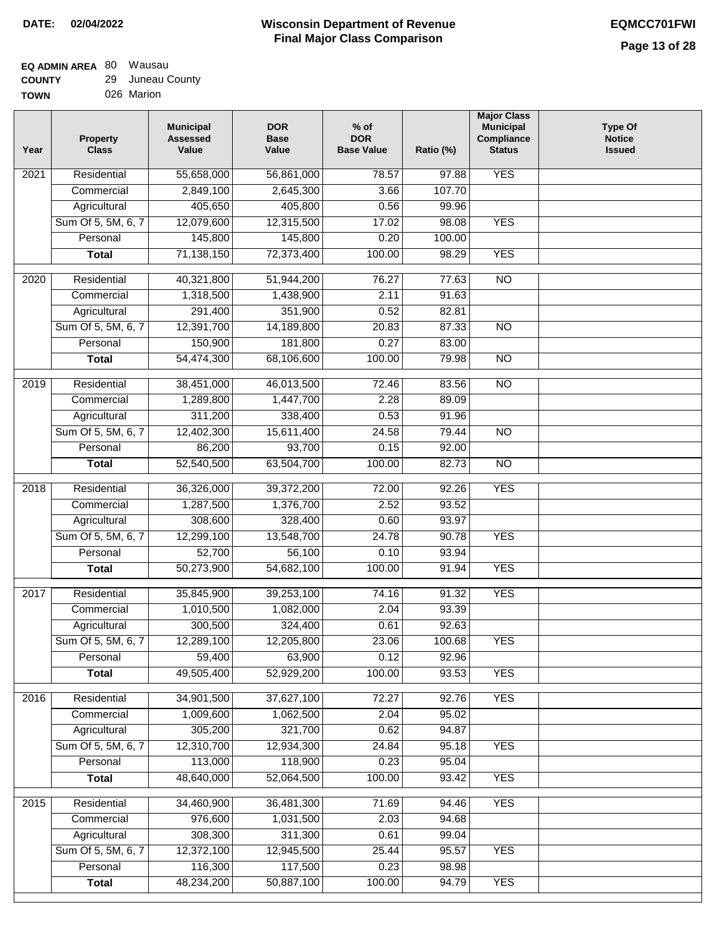| 'N | 026 Marion |
|----|------------|
|    |            |

| Year | <b>Property</b><br><b>Class</b> | <b>Municipal</b><br><b>Assessed</b><br>Value | <b>DOR</b><br><b>Base</b><br>Value | $%$ of<br><b>DOR</b><br><b>Base Value</b> | Ratio (%) | <b>Major Class</b><br><b>Municipal</b><br>Compliance<br><b>Status</b> | <b>Type Of</b><br><b>Notice</b><br><b>Issued</b> |
|------|---------------------------------|----------------------------------------------|------------------------------------|-------------------------------------------|-----------|-----------------------------------------------------------------------|--------------------------------------------------|
| 2021 | Residential                     | 55,658,000                                   | 56,861,000                         | 78.57                                     | 97.88     | <b>YES</b>                                                            |                                                  |
|      | Commercial                      | 2,849,100                                    | 2,645,300                          | 3.66                                      | 107.70    |                                                                       |                                                  |
|      | Agricultural                    | 405,650                                      | 405,800                            | 0.56                                      | 99.96     |                                                                       |                                                  |
|      | Sum Of 5, 5M, 6, 7              | 12,079,600                                   | 12,315,500                         | 17.02                                     | 98.08     | <b>YES</b>                                                            |                                                  |
|      | Personal                        | 145,800                                      | 145,800                            | 0.20                                      | 100.00    |                                                                       |                                                  |
|      | <b>Total</b>                    | 71,138,150                                   | 72,373,400                         | 100.00                                    | 98.29     | <b>YES</b>                                                            |                                                  |
| 2020 | Residential                     | 40,321,800                                   | 51,944,200                         | 76.27                                     | 77.63     | $\overline{NO}$                                                       |                                                  |
|      | Commercial                      | 1,318,500                                    | 1,438,900                          | 2.11                                      | 91.63     |                                                                       |                                                  |
|      | Agricultural                    | 291,400                                      | 351,900                            | 0.52                                      | 82.81     |                                                                       |                                                  |
|      | Sum Of 5, 5M, 6, 7              | 12,391,700                                   | 14,189,800                         | 20.83                                     | 87.33     | <b>NO</b>                                                             |                                                  |
|      | Personal                        | 150,900                                      | 181,800                            | 0.27                                      | 83.00     |                                                                       |                                                  |
|      | <b>Total</b>                    | 54,474,300                                   | 68,106,600                         | 100.00                                    | 79.98     | $\overline{NO}$                                                       |                                                  |
|      |                                 |                                              |                                    |                                           |           |                                                                       |                                                  |
| 2019 | Residential                     | 38,451,000                                   | 46,013,500                         | 72.46                                     | 83.56     | NO                                                                    |                                                  |
|      | Commercial                      | 1,289,800                                    | 1,447,700                          | 2.28                                      | 89.09     |                                                                       |                                                  |
|      | Agricultural                    | 311,200                                      | 338,400                            | 0.53                                      | 91.96     |                                                                       |                                                  |
|      | Sum Of 5, 5M, 6, 7              | 12,402,300                                   | 15,611,400                         | 24.58                                     | 79.44     | $\overline{NO}$                                                       |                                                  |
|      | Personal                        | 86,200                                       | 93,700                             | 0.15                                      | 92.00     |                                                                       |                                                  |
|      | <b>Total</b>                    | 52,540,500                                   | 63,504,700                         | 100.00                                    | 82.73     | $\overline{NO}$                                                       |                                                  |
| 2018 | Residential                     | 36,326,000                                   | 39,372,200                         | 72.00                                     | 92.26     | <b>YES</b>                                                            |                                                  |
|      | Commercial                      | 1,287,500                                    | 1,376,700                          | 2.52                                      | 93.52     |                                                                       |                                                  |
|      | Agricultural                    | 308,600                                      | 328,400                            | 0.60                                      | 93.97     |                                                                       |                                                  |
|      | Sum Of 5, 5M, 6, 7              | 12,299,100                                   | 13,548,700                         | 24.78                                     | 90.78     | <b>YES</b>                                                            |                                                  |
|      | Personal                        | 52,700                                       | 56,100                             | 0.10                                      | 93.94     |                                                                       |                                                  |
|      | <b>Total</b>                    | 50,273,900                                   | 54,682,100                         | 100.00                                    | 91.94     | <b>YES</b>                                                            |                                                  |
| 2017 | Residential                     | 35,845,900                                   | 39,253,100                         | 74.16                                     | 91.32     | <b>YES</b>                                                            |                                                  |
|      | Commercial                      | 1,010,500                                    | 1,082,000                          | 2.04                                      | 93.39     |                                                                       |                                                  |
|      | Agricultural                    | 300,500                                      | 324,400                            | 0.61                                      | 92.63     |                                                                       |                                                  |
|      | Sum Of 5, 5M, 6, 7              | 12,289,100                                   | 12,205,800                         | 23.06                                     | 100.68    | <b>YES</b>                                                            |                                                  |
|      | Personal                        | 59,400                                       | 63,900                             | 0.12                                      | 92.96     |                                                                       |                                                  |
|      | <b>Total</b>                    | 49,505,400                                   | 52,929,200                         | 100.00                                    | 93.53     | <b>YES</b>                                                            |                                                  |
| 2016 | Residential                     |                                              |                                    |                                           | 92.76     | <b>YES</b>                                                            |                                                  |
|      | Commercial                      | 34,901,500<br>1,009,600                      | 37,627,100<br>1,062,500            | 72.27<br>2.04                             | 95.02     |                                                                       |                                                  |
|      | Agricultural                    | 305,200                                      | 321,700                            | 0.62                                      | 94.87     |                                                                       |                                                  |
|      | Sum Of 5, 5M, 6, 7              | 12,310,700                                   | 12,934,300                         | 24.84                                     | 95.18     | <b>YES</b>                                                            |                                                  |
|      | Personal                        | 113,000                                      | 118,900                            | 0.23                                      | 95.04     |                                                                       |                                                  |
|      | <b>Total</b>                    | 48,640,000                                   | 52,064,500                         | 100.00                                    | 93.42     | <b>YES</b>                                                            |                                                  |
|      |                                 |                                              |                                    |                                           |           |                                                                       |                                                  |
| 2015 | Residential                     | 34,460,900                                   | 36,481,300                         | 71.69                                     | 94.46     | <b>YES</b>                                                            |                                                  |
|      | Commercial                      | 976,600                                      | 1,031,500                          | 2.03                                      | 94.68     |                                                                       |                                                  |
|      | Agricultural                    | 308,300                                      | 311,300                            | 0.61                                      | 99.04     |                                                                       |                                                  |
|      | Sum Of 5, 5M, 6, 7              | 12,372,100                                   | 12,945,500                         | 25.44                                     | 95.57     | <b>YES</b>                                                            |                                                  |
|      | Personal                        | 116,300                                      | 117,500                            | 0.23                                      | 98.98     |                                                                       |                                                  |
|      | <b>Total</b>                    | 48,234,200                                   | 50,887,100                         | 100.00                                    | 94.79     | <b>YES</b>                                                            |                                                  |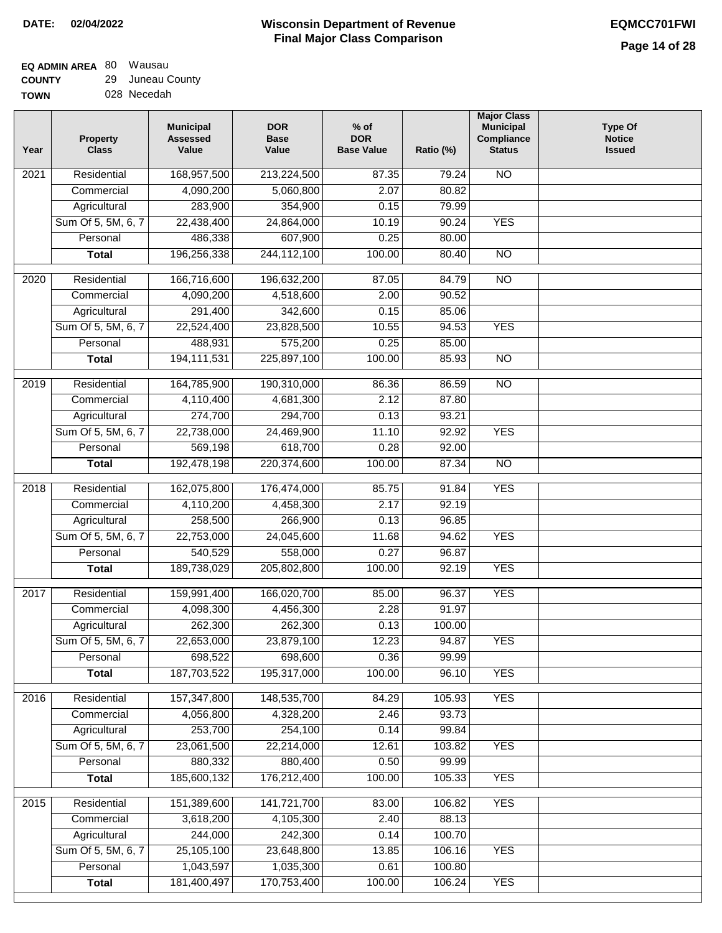#### **Wisconsin Department of Revenue Final Major Class Comparison DATE: 02/04/2022 EQMCC701FWI**

┑

#### **EQ ADMIN AREA** 80 Wausau **COUNTY** 29 Juneau County

|             | -- |             |
|-------------|----|-------------|
| <b>TOWN</b> |    | 028 Necedah |

| Year             | <b>Property</b><br><b>Class</b> | <b>Municipal</b><br><b>Assessed</b><br>Value | <b>DOR</b><br><b>Base</b><br>Value | $%$ of<br><b>DOR</b><br><b>Base Value</b> | Ratio (%)        | <b>Major Class</b><br><b>Municipal</b><br>Compliance<br><b>Status</b> | <b>Type Of</b><br><b>Notice</b><br><b>Issued</b> |
|------------------|---------------------------------|----------------------------------------------|------------------------------------|-------------------------------------------|------------------|-----------------------------------------------------------------------|--------------------------------------------------|
| 2021             | Residential                     | 168,957,500                                  | 213,224,500                        | 87.35                                     | 79.24            | <b>NO</b>                                                             |                                                  |
|                  | Commercial                      | 4,090,200                                    | 5,060,800                          | 2.07                                      | 80.82            |                                                                       |                                                  |
|                  | Agricultural                    | 283,900                                      | 354,900                            | 0.15                                      | 79.99            |                                                                       |                                                  |
|                  | Sum Of 5, 5M, 6, 7              | 22,438,400                                   | 24,864,000                         | 10.19                                     | 90.24            | <b>YES</b>                                                            |                                                  |
|                  | Personal                        | 486,338                                      | 607,900                            | 0.25                                      | 80.00            |                                                                       |                                                  |
|                  | <b>Total</b>                    | 196,256,338                                  | 244, 112, 100                      | 100.00                                    | 80.40            | $\overline{NO}$                                                       |                                                  |
| 2020             | Residential                     | 166,716,600                                  | 196,632,200                        | 87.05                                     | 84.79            | $\overline{10}$                                                       |                                                  |
|                  | Commercial                      | 4,090,200                                    | 4,518,600                          | 2.00                                      | 90.52            |                                                                       |                                                  |
|                  | Agricultural                    | 291,400                                      | 342,600                            | 0.15                                      | 85.06            |                                                                       |                                                  |
|                  | Sum Of 5, 5M, 6, 7              | 22,524,400                                   | 23,828,500                         | 10.55                                     | 94.53            | <b>YES</b>                                                            |                                                  |
|                  | Personal                        | 488,931                                      | 575,200                            | 0.25                                      | 85.00            |                                                                       |                                                  |
|                  | <b>Total</b>                    | 194, 111, 531                                | 225,897,100                        | 100.00                                    | 85.93            | <b>NO</b>                                                             |                                                  |
| $\frac{1}{2019}$ | Residential                     | 164,785,900                                  | 190,310,000                        | 86.36                                     | 86.59            | $\overline{NO}$                                                       |                                                  |
|                  | Commercial                      | 4,110,400                                    | 4,681,300                          | 2.12                                      | 87.80            |                                                                       |                                                  |
|                  | Agricultural                    | 274,700                                      | 294,700                            | 0.13                                      | 93.21            |                                                                       |                                                  |
|                  | Sum Of 5, 5M, 6, 7              | 22,738,000                                   | 24,469,900                         | 11.10                                     | 92.92            | <b>YES</b>                                                            |                                                  |
|                  | Personal                        | 569,198                                      | 618,700                            | 0.28                                      | 92.00            |                                                                       |                                                  |
|                  | <b>Total</b>                    | 192,478,198                                  | 220,374,600                        | 100.00                                    | 87.34            | $\overline{NO}$                                                       |                                                  |
|                  |                                 |                                              |                                    |                                           |                  |                                                                       |                                                  |
| 2018             | Residential                     | 162,075,800                                  | 176,474,000                        | 85.75                                     | 91.84            | <b>YES</b>                                                            |                                                  |
|                  | Commercial                      | 4,110,200                                    | 4,458,300                          | 2.17                                      | 92.19            |                                                                       |                                                  |
|                  | Agricultural                    | 258,500                                      | 266,900                            | 0.13                                      | 96.85            |                                                                       |                                                  |
|                  | Sum Of 5, 5M, 6, 7              | 22,753,000                                   | 24,045,600                         | 11.68                                     | 94.62            | <b>YES</b>                                                            |                                                  |
|                  | Personal                        | 540,529                                      | 558,000                            | 0.27                                      | 96.87            |                                                                       |                                                  |
|                  | <b>Total</b>                    | 189,738,029                                  | 205,802,800                        | 100.00                                    | 92.19            | <b>YES</b>                                                            |                                                  |
| 2017             | Residential                     | 159,991,400                                  | 166,020,700                        | 85.00                                     | 96.37            | <b>YES</b>                                                            |                                                  |
|                  | Commercial                      | 4,098,300                                    | 4,456,300                          | 2.28                                      | 91.97            |                                                                       |                                                  |
|                  | Agricultural                    | 262,300                                      | 262,300                            | 0.13                                      | 100.00           |                                                                       |                                                  |
|                  | Sum Of 5, 5M, 6, 7              | 22,653,000                                   | 23,879,100                         | 12.23                                     | 94.87            | <b>YES</b>                                                            |                                                  |
|                  | Personal                        | 698,522                                      | 698,600                            | 0.36                                      | 99.99            |                                                                       |                                                  |
|                  | <b>Total</b>                    | 187,703,522                                  | 195,317,000                        | 100.00                                    | 96.10            | <b>YES</b>                                                            |                                                  |
| 2016             | Residential                     | 157,347,800                                  | 148,535,700                        | 84.29                                     | 105.93           | <b>YES</b>                                                            |                                                  |
|                  | Commercial                      | 4,056,800                                    | 4,328,200                          | 2.46                                      | 93.73            |                                                                       |                                                  |
|                  | Agricultural                    | 253,700                                      | 254,100                            | 0.14                                      | 99.84            |                                                                       |                                                  |
|                  | Sum Of 5, 5M, 6, 7              | 23,061,500                                   | 22,214,000                         | 12.61                                     | 103.82           | <b>YES</b>                                                            |                                                  |
|                  | Personal                        | 880,332                                      | 880,400                            | 0.50                                      | 99.99            |                                                                       |                                                  |
|                  | <b>Total</b>                    | 185,600,132                                  | 176,212,400                        | 100.00                                    | 105.33           | <b>YES</b>                                                            |                                                  |
|                  |                                 |                                              |                                    |                                           |                  |                                                                       |                                                  |
| 2015             | Residential                     | 151,389,600                                  | 141,721,700                        | 83.00                                     | 106.82           | <b>YES</b>                                                            |                                                  |
|                  | Commercial                      | 3,618,200<br>244,000                         | 4,105,300                          | 2.40                                      | 88.13            |                                                                       |                                                  |
|                  | Agricultural                    |                                              | 242,300                            | 0.14                                      | 100.70           |                                                                       |                                                  |
|                  | Sum Of 5, 5M, 6, 7<br>Personal  | 25,105,100<br>1,043,597                      | 23,648,800<br>1,035,300            | 13.85<br>0.61                             | 106.16<br>100.80 | <b>YES</b>                                                            |                                                  |
|                  | <b>Total</b>                    | 181,400,497                                  | 170,753,400                        | 100.00                                    | 106.24           | <b>YES</b>                                                            |                                                  |
|                  |                                 |                                              |                                    |                                           |                  |                                                                       |                                                  |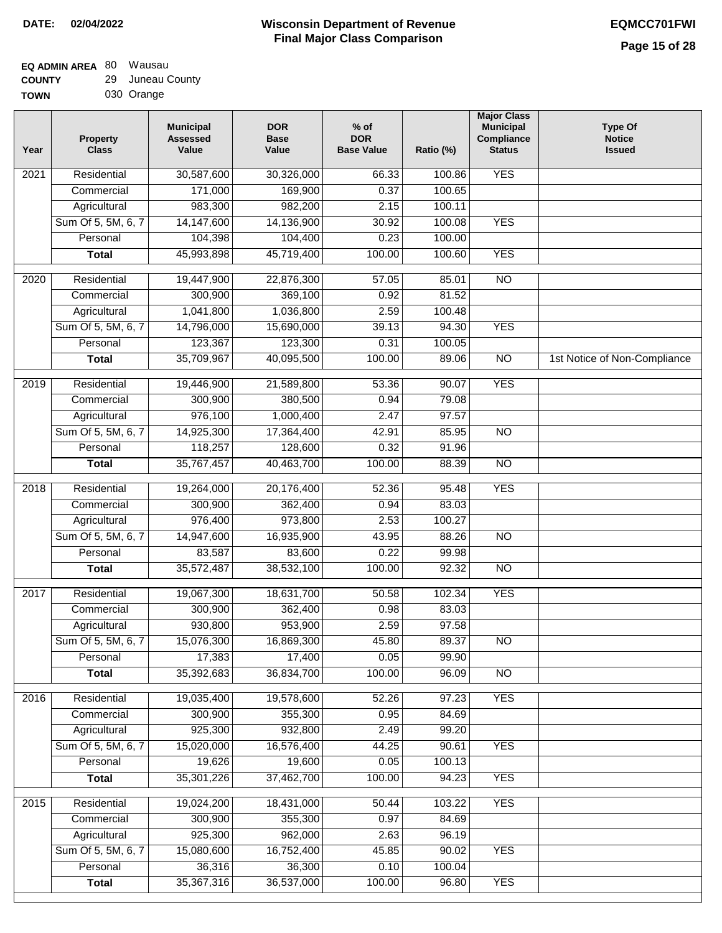| <b>UUUNII</b> | 20 | <u>Julicau Ovul</u> |
|---------------|----|---------------------|
| <b>TOWN</b>   |    | 030 Orange          |

| <b>YES</b><br>Residential<br>30,587,600<br>30,326,000<br>2021<br>66.33<br>100.86<br>0.37<br>171,000<br>169,900<br>100.65<br>Commercial<br>Agricultural<br>983,300<br>982,200<br>100.11<br>2.15<br>Sum Of 5, 5M, 6, 7<br>14,147,600<br>14,136,900<br>30.92<br>100.08<br><b>YES</b><br>0.23<br>Personal<br>104,398<br>104,400<br>100.00<br>45,719,400<br>45,993,898<br>100.00<br>100.60<br><b>YES</b><br><b>Total</b><br>$\overline{NO}$<br>Residential<br>19,447,900<br>22,876,300<br>57.05<br>85.01<br>2020<br>Commercial<br>300,900<br>369,100<br>0.92<br>81.52<br>1,041,800<br>Agricultural<br>1,036,800<br>2.59<br>100.48<br>Sum Of 5, 5M, 6, 7<br>39.13<br><b>YES</b><br>14,796,000<br>15,690,000<br>94.30<br>123,367<br>Personal<br>123,300<br>0.31<br>100.05<br><b>Total</b><br>35,709,967<br>40,095,500<br>100.00<br>89.06<br>$\overline{NO}$<br>1st Notice of Non-Compliance<br><b>YES</b><br>Residential<br>$\frac{1}{2019}$<br>19,446,900<br>21,589,800<br>53.36<br>90.07<br>300,900<br>Commercial<br>380,500<br>0.94<br>79.08<br>976,100<br>Agricultural<br>1,000,400<br>2.47<br>97.57<br>Sum Of 5, 5M, 6, 7<br>14,925,300<br>17,364,400<br>42.91<br>85.95<br>$\overline{NO}$<br>118,257<br>128,600<br>Personal<br>0.32<br>91.96<br>35,767,457<br>40,463,700<br>100.00<br>88.39<br>$\overline{NO}$<br><b>Total</b><br><b>YES</b><br>2018<br>Residential<br>19,264,000<br>20,176,400<br>52.36<br>95.48<br>300,900<br>83.03<br>Commercial<br>362,400<br>0.94<br>976,400<br>2.53<br>973,800<br>100.27<br>Agricultural<br>Sum Of 5, 5M, 6, 7<br>14,947,600<br>16,935,900<br>43.95<br>88.26<br>$\overline{10}$<br>83,587<br>0.22<br>99.98<br>Personal<br>83,600<br>35,572,487<br>38,532,100<br>100.00<br>92.32<br>$\overline{10}$<br><b>Total</b><br>Residential<br>19,067,300<br>50.58<br>102.34<br><b>YES</b><br>2017<br>18,631,700<br>300,900<br>0.98<br>83.03<br>Commercial<br>362,400<br>930,800<br>953,900<br>2.59<br>97.58<br>Agricultural<br>Sum Of 5, 5M, 6, 7<br>15,076,300<br>16,869,300<br>45.80<br>89.37<br>NO.<br>17,383<br>17,400<br>0.05<br>Personal<br>99.90<br>35,392,683<br>36,834,700<br>100.00<br>96.09<br>$\overline{N}$<br><b>Total</b><br><b>YES</b><br>Residential<br>19,035,400<br>19,578,600<br>52.26<br>97.23<br>2016<br>300,900<br>Commercial<br>355,300<br>0.95<br>84.69<br>925,300<br>932,800<br>Agricultural<br>2.49<br>99.20<br>Sum Of 5, 5M, 6, 7<br>15,020,000<br>16,576,400<br>44.25<br>90.61<br><b>YES</b><br>19,626<br>19,600<br>Personal<br>0.05<br>100.13<br><b>Total</b><br>35,301,226<br>37,462,700<br>100.00<br>94.23<br><b>YES</b><br><b>YES</b><br>Residential<br>2015<br>19,024,200<br>18,431,000<br>50.44<br>103.22<br>300,900<br>355,300<br>0.97<br>84.69<br>Commercial<br>925,300<br>Agricultural<br>962,000<br>2.63<br>96.19<br>Sum Of 5, 5M, 6, 7<br>15,080,600<br>16,752,400<br>45.85<br><b>YES</b><br>90.02<br>36,316<br>Personal<br>36,300<br>0.10<br>100.04<br>35,367,316<br>36,537,000<br>100.00<br><b>YES</b><br><b>Total</b><br>96.80 | Year | <b>Property</b><br><b>Class</b> | <b>Municipal</b><br><b>Assessed</b><br>Value | <b>DOR</b><br><b>Base</b><br>Value | $%$ of<br><b>DOR</b><br><b>Base Value</b> | Ratio (%) | <b>Major Class</b><br><b>Municipal</b><br>Compliance<br><b>Status</b> | <b>Type Of</b><br><b>Notice</b><br><b>Issued</b> |
|-------------------------------------------------------------------------------------------------------------------------------------------------------------------------------------------------------------------------------------------------------------------------------------------------------------------------------------------------------------------------------------------------------------------------------------------------------------------------------------------------------------------------------------------------------------------------------------------------------------------------------------------------------------------------------------------------------------------------------------------------------------------------------------------------------------------------------------------------------------------------------------------------------------------------------------------------------------------------------------------------------------------------------------------------------------------------------------------------------------------------------------------------------------------------------------------------------------------------------------------------------------------------------------------------------------------------------------------------------------------------------------------------------------------------------------------------------------------------------------------------------------------------------------------------------------------------------------------------------------------------------------------------------------------------------------------------------------------------------------------------------------------------------------------------------------------------------------------------------------------------------------------------------------------------------------------------------------------------------------------------------------------------------------------------------------------------------------------------------------------------------------------------------------------------------------------------------------------------------------------------------------------------------------------------------------------------------------------------------------------------------------------------------------------------------------------------------------------------------------------------------------------------------------------------------------------------------------------------------------------------------------------------------------------------------------------------------------------------------------------------------------------------------------------------------------------------------------------------------------------------------------------------------------------------------------------------------------------------------------------------------|------|---------------------------------|----------------------------------------------|------------------------------------|-------------------------------------------|-----------|-----------------------------------------------------------------------|--------------------------------------------------|
|                                                                                                                                                                                                                                                                                                                                                                                                                                                                                                                                                                                                                                                                                                                                                                                                                                                                                                                                                                                                                                                                                                                                                                                                                                                                                                                                                                                                                                                                                                                                                                                                                                                                                                                                                                                                                                                                                                                                                                                                                                                                                                                                                                                                                                                                                                                                                                                                                                                                                                                                                                                                                                                                                                                                                                                                                                                                                                                                                                                                       |      |                                 |                                              |                                    |                                           |           |                                                                       |                                                  |
|                                                                                                                                                                                                                                                                                                                                                                                                                                                                                                                                                                                                                                                                                                                                                                                                                                                                                                                                                                                                                                                                                                                                                                                                                                                                                                                                                                                                                                                                                                                                                                                                                                                                                                                                                                                                                                                                                                                                                                                                                                                                                                                                                                                                                                                                                                                                                                                                                                                                                                                                                                                                                                                                                                                                                                                                                                                                                                                                                                                                       |      |                                 |                                              |                                    |                                           |           |                                                                       |                                                  |
|                                                                                                                                                                                                                                                                                                                                                                                                                                                                                                                                                                                                                                                                                                                                                                                                                                                                                                                                                                                                                                                                                                                                                                                                                                                                                                                                                                                                                                                                                                                                                                                                                                                                                                                                                                                                                                                                                                                                                                                                                                                                                                                                                                                                                                                                                                                                                                                                                                                                                                                                                                                                                                                                                                                                                                                                                                                                                                                                                                                                       |      |                                 |                                              |                                    |                                           |           |                                                                       |                                                  |
|                                                                                                                                                                                                                                                                                                                                                                                                                                                                                                                                                                                                                                                                                                                                                                                                                                                                                                                                                                                                                                                                                                                                                                                                                                                                                                                                                                                                                                                                                                                                                                                                                                                                                                                                                                                                                                                                                                                                                                                                                                                                                                                                                                                                                                                                                                                                                                                                                                                                                                                                                                                                                                                                                                                                                                                                                                                                                                                                                                                                       |      |                                 |                                              |                                    |                                           |           |                                                                       |                                                  |
|                                                                                                                                                                                                                                                                                                                                                                                                                                                                                                                                                                                                                                                                                                                                                                                                                                                                                                                                                                                                                                                                                                                                                                                                                                                                                                                                                                                                                                                                                                                                                                                                                                                                                                                                                                                                                                                                                                                                                                                                                                                                                                                                                                                                                                                                                                                                                                                                                                                                                                                                                                                                                                                                                                                                                                                                                                                                                                                                                                                                       |      |                                 |                                              |                                    |                                           |           |                                                                       |                                                  |
|                                                                                                                                                                                                                                                                                                                                                                                                                                                                                                                                                                                                                                                                                                                                                                                                                                                                                                                                                                                                                                                                                                                                                                                                                                                                                                                                                                                                                                                                                                                                                                                                                                                                                                                                                                                                                                                                                                                                                                                                                                                                                                                                                                                                                                                                                                                                                                                                                                                                                                                                                                                                                                                                                                                                                                                                                                                                                                                                                                                                       |      |                                 |                                              |                                    |                                           |           |                                                                       |                                                  |
|                                                                                                                                                                                                                                                                                                                                                                                                                                                                                                                                                                                                                                                                                                                                                                                                                                                                                                                                                                                                                                                                                                                                                                                                                                                                                                                                                                                                                                                                                                                                                                                                                                                                                                                                                                                                                                                                                                                                                                                                                                                                                                                                                                                                                                                                                                                                                                                                                                                                                                                                                                                                                                                                                                                                                                                                                                                                                                                                                                                                       |      |                                 |                                              |                                    |                                           |           |                                                                       |                                                  |
|                                                                                                                                                                                                                                                                                                                                                                                                                                                                                                                                                                                                                                                                                                                                                                                                                                                                                                                                                                                                                                                                                                                                                                                                                                                                                                                                                                                                                                                                                                                                                                                                                                                                                                                                                                                                                                                                                                                                                                                                                                                                                                                                                                                                                                                                                                                                                                                                                                                                                                                                                                                                                                                                                                                                                                                                                                                                                                                                                                                                       |      |                                 |                                              |                                    |                                           |           |                                                                       |                                                  |
|                                                                                                                                                                                                                                                                                                                                                                                                                                                                                                                                                                                                                                                                                                                                                                                                                                                                                                                                                                                                                                                                                                                                                                                                                                                                                                                                                                                                                                                                                                                                                                                                                                                                                                                                                                                                                                                                                                                                                                                                                                                                                                                                                                                                                                                                                                                                                                                                                                                                                                                                                                                                                                                                                                                                                                                                                                                                                                                                                                                                       |      |                                 |                                              |                                    |                                           |           |                                                                       |                                                  |
|                                                                                                                                                                                                                                                                                                                                                                                                                                                                                                                                                                                                                                                                                                                                                                                                                                                                                                                                                                                                                                                                                                                                                                                                                                                                                                                                                                                                                                                                                                                                                                                                                                                                                                                                                                                                                                                                                                                                                                                                                                                                                                                                                                                                                                                                                                                                                                                                                                                                                                                                                                                                                                                                                                                                                                                                                                                                                                                                                                                                       |      |                                 |                                              |                                    |                                           |           |                                                                       |                                                  |
|                                                                                                                                                                                                                                                                                                                                                                                                                                                                                                                                                                                                                                                                                                                                                                                                                                                                                                                                                                                                                                                                                                                                                                                                                                                                                                                                                                                                                                                                                                                                                                                                                                                                                                                                                                                                                                                                                                                                                                                                                                                                                                                                                                                                                                                                                                                                                                                                                                                                                                                                                                                                                                                                                                                                                                                                                                                                                                                                                                                                       |      |                                 |                                              |                                    |                                           |           |                                                                       |                                                  |
|                                                                                                                                                                                                                                                                                                                                                                                                                                                                                                                                                                                                                                                                                                                                                                                                                                                                                                                                                                                                                                                                                                                                                                                                                                                                                                                                                                                                                                                                                                                                                                                                                                                                                                                                                                                                                                                                                                                                                                                                                                                                                                                                                                                                                                                                                                                                                                                                                                                                                                                                                                                                                                                                                                                                                                                                                                                                                                                                                                                                       |      |                                 |                                              |                                    |                                           |           |                                                                       |                                                  |
|                                                                                                                                                                                                                                                                                                                                                                                                                                                                                                                                                                                                                                                                                                                                                                                                                                                                                                                                                                                                                                                                                                                                                                                                                                                                                                                                                                                                                                                                                                                                                                                                                                                                                                                                                                                                                                                                                                                                                                                                                                                                                                                                                                                                                                                                                                                                                                                                                                                                                                                                                                                                                                                                                                                                                                                                                                                                                                                                                                                                       |      |                                 |                                              |                                    |                                           |           |                                                                       |                                                  |
|                                                                                                                                                                                                                                                                                                                                                                                                                                                                                                                                                                                                                                                                                                                                                                                                                                                                                                                                                                                                                                                                                                                                                                                                                                                                                                                                                                                                                                                                                                                                                                                                                                                                                                                                                                                                                                                                                                                                                                                                                                                                                                                                                                                                                                                                                                                                                                                                                                                                                                                                                                                                                                                                                                                                                                                                                                                                                                                                                                                                       |      |                                 |                                              |                                    |                                           |           |                                                                       |                                                  |
|                                                                                                                                                                                                                                                                                                                                                                                                                                                                                                                                                                                                                                                                                                                                                                                                                                                                                                                                                                                                                                                                                                                                                                                                                                                                                                                                                                                                                                                                                                                                                                                                                                                                                                                                                                                                                                                                                                                                                                                                                                                                                                                                                                                                                                                                                                                                                                                                                                                                                                                                                                                                                                                                                                                                                                                                                                                                                                                                                                                                       |      |                                 |                                              |                                    |                                           |           |                                                                       |                                                  |
|                                                                                                                                                                                                                                                                                                                                                                                                                                                                                                                                                                                                                                                                                                                                                                                                                                                                                                                                                                                                                                                                                                                                                                                                                                                                                                                                                                                                                                                                                                                                                                                                                                                                                                                                                                                                                                                                                                                                                                                                                                                                                                                                                                                                                                                                                                                                                                                                                                                                                                                                                                                                                                                                                                                                                                                                                                                                                                                                                                                                       |      |                                 |                                              |                                    |                                           |           |                                                                       |                                                  |
|                                                                                                                                                                                                                                                                                                                                                                                                                                                                                                                                                                                                                                                                                                                                                                                                                                                                                                                                                                                                                                                                                                                                                                                                                                                                                                                                                                                                                                                                                                                                                                                                                                                                                                                                                                                                                                                                                                                                                                                                                                                                                                                                                                                                                                                                                                                                                                                                                                                                                                                                                                                                                                                                                                                                                                                                                                                                                                                                                                                                       |      |                                 |                                              |                                    |                                           |           |                                                                       |                                                  |
|                                                                                                                                                                                                                                                                                                                                                                                                                                                                                                                                                                                                                                                                                                                                                                                                                                                                                                                                                                                                                                                                                                                                                                                                                                                                                                                                                                                                                                                                                                                                                                                                                                                                                                                                                                                                                                                                                                                                                                                                                                                                                                                                                                                                                                                                                                                                                                                                                                                                                                                                                                                                                                                                                                                                                                                                                                                                                                                                                                                                       |      |                                 |                                              |                                    |                                           |           |                                                                       |                                                  |
|                                                                                                                                                                                                                                                                                                                                                                                                                                                                                                                                                                                                                                                                                                                                                                                                                                                                                                                                                                                                                                                                                                                                                                                                                                                                                                                                                                                                                                                                                                                                                                                                                                                                                                                                                                                                                                                                                                                                                                                                                                                                                                                                                                                                                                                                                                                                                                                                                                                                                                                                                                                                                                                                                                                                                                                                                                                                                                                                                                                                       |      |                                 |                                              |                                    |                                           |           |                                                                       |                                                  |
|                                                                                                                                                                                                                                                                                                                                                                                                                                                                                                                                                                                                                                                                                                                                                                                                                                                                                                                                                                                                                                                                                                                                                                                                                                                                                                                                                                                                                                                                                                                                                                                                                                                                                                                                                                                                                                                                                                                                                                                                                                                                                                                                                                                                                                                                                                                                                                                                                                                                                                                                                                                                                                                                                                                                                                                                                                                                                                                                                                                                       |      |                                 |                                              |                                    |                                           |           |                                                                       |                                                  |
|                                                                                                                                                                                                                                                                                                                                                                                                                                                                                                                                                                                                                                                                                                                                                                                                                                                                                                                                                                                                                                                                                                                                                                                                                                                                                                                                                                                                                                                                                                                                                                                                                                                                                                                                                                                                                                                                                                                                                                                                                                                                                                                                                                                                                                                                                                                                                                                                                                                                                                                                                                                                                                                                                                                                                                                                                                                                                                                                                                                                       |      |                                 |                                              |                                    |                                           |           |                                                                       |                                                  |
|                                                                                                                                                                                                                                                                                                                                                                                                                                                                                                                                                                                                                                                                                                                                                                                                                                                                                                                                                                                                                                                                                                                                                                                                                                                                                                                                                                                                                                                                                                                                                                                                                                                                                                                                                                                                                                                                                                                                                                                                                                                                                                                                                                                                                                                                                                                                                                                                                                                                                                                                                                                                                                                                                                                                                                                                                                                                                                                                                                                                       |      |                                 |                                              |                                    |                                           |           |                                                                       |                                                  |
|                                                                                                                                                                                                                                                                                                                                                                                                                                                                                                                                                                                                                                                                                                                                                                                                                                                                                                                                                                                                                                                                                                                                                                                                                                                                                                                                                                                                                                                                                                                                                                                                                                                                                                                                                                                                                                                                                                                                                                                                                                                                                                                                                                                                                                                                                                                                                                                                                                                                                                                                                                                                                                                                                                                                                                                                                                                                                                                                                                                                       |      |                                 |                                              |                                    |                                           |           |                                                                       |                                                  |
|                                                                                                                                                                                                                                                                                                                                                                                                                                                                                                                                                                                                                                                                                                                                                                                                                                                                                                                                                                                                                                                                                                                                                                                                                                                                                                                                                                                                                                                                                                                                                                                                                                                                                                                                                                                                                                                                                                                                                                                                                                                                                                                                                                                                                                                                                                                                                                                                                                                                                                                                                                                                                                                                                                                                                                                                                                                                                                                                                                                                       |      |                                 |                                              |                                    |                                           |           |                                                                       |                                                  |
|                                                                                                                                                                                                                                                                                                                                                                                                                                                                                                                                                                                                                                                                                                                                                                                                                                                                                                                                                                                                                                                                                                                                                                                                                                                                                                                                                                                                                                                                                                                                                                                                                                                                                                                                                                                                                                                                                                                                                                                                                                                                                                                                                                                                                                                                                                                                                                                                                                                                                                                                                                                                                                                                                                                                                                                                                                                                                                                                                                                                       |      |                                 |                                              |                                    |                                           |           |                                                                       |                                                  |
|                                                                                                                                                                                                                                                                                                                                                                                                                                                                                                                                                                                                                                                                                                                                                                                                                                                                                                                                                                                                                                                                                                                                                                                                                                                                                                                                                                                                                                                                                                                                                                                                                                                                                                                                                                                                                                                                                                                                                                                                                                                                                                                                                                                                                                                                                                                                                                                                                                                                                                                                                                                                                                                                                                                                                                                                                                                                                                                                                                                                       |      |                                 |                                              |                                    |                                           |           |                                                                       |                                                  |
|                                                                                                                                                                                                                                                                                                                                                                                                                                                                                                                                                                                                                                                                                                                                                                                                                                                                                                                                                                                                                                                                                                                                                                                                                                                                                                                                                                                                                                                                                                                                                                                                                                                                                                                                                                                                                                                                                                                                                                                                                                                                                                                                                                                                                                                                                                                                                                                                                                                                                                                                                                                                                                                                                                                                                                                                                                                                                                                                                                                                       |      |                                 |                                              |                                    |                                           |           |                                                                       |                                                  |
|                                                                                                                                                                                                                                                                                                                                                                                                                                                                                                                                                                                                                                                                                                                                                                                                                                                                                                                                                                                                                                                                                                                                                                                                                                                                                                                                                                                                                                                                                                                                                                                                                                                                                                                                                                                                                                                                                                                                                                                                                                                                                                                                                                                                                                                                                                                                                                                                                                                                                                                                                                                                                                                                                                                                                                                                                                                                                                                                                                                                       |      |                                 |                                              |                                    |                                           |           |                                                                       |                                                  |
|                                                                                                                                                                                                                                                                                                                                                                                                                                                                                                                                                                                                                                                                                                                                                                                                                                                                                                                                                                                                                                                                                                                                                                                                                                                                                                                                                                                                                                                                                                                                                                                                                                                                                                                                                                                                                                                                                                                                                                                                                                                                                                                                                                                                                                                                                                                                                                                                                                                                                                                                                                                                                                                                                                                                                                                                                                                                                                                                                                                                       |      |                                 |                                              |                                    |                                           |           |                                                                       |                                                  |
|                                                                                                                                                                                                                                                                                                                                                                                                                                                                                                                                                                                                                                                                                                                                                                                                                                                                                                                                                                                                                                                                                                                                                                                                                                                                                                                                                                                                                                                                                                                                                                                                                                                                                                                                                                                                                                                                                                                                                                                                                                                                                                                                                                                                                                                                                                                                                                                                                                                                                                                                                                                                                                                                                                                                                                                                                                                                                                                                                                                                       |      |                                 |                                              |                                    |                                           |           |                                                                       |                                                  |
|                                                                                                                                                                                                                                                                                                                                                                                                                                                                                                                                                                                                                                                                                                                                                                                                                                                                                                                                                                                                                                                                                                                                                                                                                                                                                                                                                                                                                                                                                                                                                                                                                                                                                                                                                                                                                                                                                                                                                                                                                                                                                                                                                                                                                                                                                                                                                                                                                                                                                                                                                                                                                                                                                                                                                                                                                                                                                                                                                                                                       |      |                                 |                                              |                                    |                                           |           |                                                                       |                                                  |
|                                                                                                                                                                                                                                                                                                                                                                                                                                                                                                                                                                                                                                                                                                                                                                                                                                                                                                                                                                                                                                                                                                                                                                                                                                                                                                                                                                                                                                                                                                                                                                                                                                                                                                                                                                                                                                                                                                                                                                                                                                                                                                                                                                                                                                                                                                                                                                                                                                                                                                                                                                                                                                                                                                                                                                                                                                                                                                                                                                                                       |      |                                 |                                              |                                    |                                           |           |                                                                       |                                                  |
|                                                                                                                                                                                                                                                                                                                                                                                                                                                                                                                                                                                                                                                                                                                                                                                                                                                                                                                                                                                                                                                                                                                                                                                                                                                                                                                                                                                                                                                                                                                                                                                                                                                                                                                                                                                                                                                                                                                                                                                                                                                                                                                                                                                                                                                                                                                                                                                                                                                                                                                                                                                                                                                                                                                                                                                                                                                                                                                                                                                                       |      |                                 |                                              |                                    |                                           |           |                                                                       |                                                  |
|                                                                                                                                                                                                                                                                                                                                                                                                                                                                                                                                                                                                                                                                                                                                                                                                                                                                                                                                                                                                                                                                                                                                                                                                                                                                                                                                                                                                                                                                                                                                                                                                                                                                                                                                                                                                                                                                                                                                                                                                                                                                                                                                                                                                                                                                                                                                                                                                                                                                                                                                                                                                                                                                                                                                                                                                                                                                                                                                                                                                       |      |                                 |                                              |                                    |                                           |           |                                                                       |                                                  |
|                                                                                                                                                                                                                                                                                                                                                                                                                                                                                                                                                                                                                                                                                                                                                                                                                                                                                                                                                                                                                                                                                                                                                                                                                                                                                                                                                                                                                                                                                                                                                                                                                                                                                                                                                                                                                                                                                                                                                                                                                                                                                                                                                                                                                                                                                                                                                                                                                                                                                                                                                                                                                                                                                                                                                                                                                                                                                                                                                                                                       |      |                                 |                                              |                                    |                                           |           |                                                                       |                                                  |
|                                                                                                                                                                                                                                                                                                                                                                                                                                                                                                                                                                                                                                                                                                                                                                                                                                                                                                                                                                                                                                                                                                                                                                                                                                                                                                                                                                                                                                                                                                                                                                                                                                                                                                                                                                                                                                                                                                                                                                                                                                                                                                                                                                                                                                                                                                                                                                                                                                                                                                                                                                                                                                                                                                                                                                                                                                                                                                                                                                                                       |      |                                 |                                              |                                    |                                           |           |                                                                       |                                                  |
|                                                                                                                                                                                                                                                                                                                                                                                                                                                                                                                                                                                                                                                                                                                                                                                                                                                                                                                                                                                                                                                                                                                                                                                                                                                                                                                                                                                                                                                                                                                                                                                                                                                                                                                                                                                                                                                                                                                                                                                                                                                                                                                                                                                                                                                                                                                                                                                                                                                                                                                                                                                                                                                                                                                                                                                                                                                                                                                                                                                                       |      |                                 |                                              |                                    |                                           |           |                                                                       |                                                  |
|                                                                                                                                                                                                                                                                                                                                                                                                                                                                                                                                                                                                                                                                                                                                                                                                                                                                                                                                                                                                                                                                                                                                                                                                                                                                                                                                                                                                                                                                                                                                                                                                                                                                                                                                                                                                                                                                                                                                                                                                                                                                                                                                                                                                                                                                                                                                                                                                                                                                                                                                                                                                                                                                                                                                                                                                                                                                                                                                                                                                       |      |                                 |                                              |                                    |                                           |           |                                                                       |                                                  |
|                                                                                                                                                                                                                                                                                                                                                                                                                                                                                                                                                                                                                                                                                                                                                                                                                                                                                                                                                                                                                                                                                                                                                                                                                                                                                                                                                                                                                                                                                                                                                                                                                                                                                                                                                                                                                                                                                                                                                                                                                                                                                                                                                                                                                                                                                                                                                                                                                                                                                                                                                                                                                                                                                                                                                                                                                                                                                                                                                                                                       |      |                                 |                                              |                                    |                                           |           |                                                                       |                                                  |
|                                                                                                                                                                                                                                                                                                                                                                                                                                                                                                                                                                                                                                                                                                                                                                                                                                                                                                                                                                                                                                                                                                                                                                                                                                                                                                                                                                                                                                                                                                                                                                                                                                                                                                                                                                                                                                                                                                                                                                                                                                                                                                                                                                                                                                                                                                                                                                                                                                                                                                                                                                                                                                                                                                                                                                                                                                                                                                                                                                                                       |      |                                 |                                              |                                    |                                           |           |                                                                       |                                                  |
|                                                                                                                                                                                                                                                                                                                                                                                                                                                                                                                                                                                                                                                                                                                                                                                                                                                                                                                                                                                                                                                                                                                                                                                                                                                                                                                                                                                                                                                                                                                                                                                                                                                                                                                                                                                                                                                                                                                                                                                                                                                                                                                                                                                                                                                                                                                                                                                                                                                                                                                                                                                                                                                                                                                                                                                                                                                                                                                                                                                                       |      |                                 |                                              |                                    |                                           |           |                                                                       |                                                  |
|                                                                                                                                                                                                                                                                                                                                                                                                                                                                                                                                                                                                                                                                                                                                                                                                                                                                                                                                                                                                                                                                                                                                                                                                                                                                                                                                                                                                                                                                                                                                                                                                                                                                                                                                                                                                                                                                                                                                                                                                                                                                                                                                                                                                                                                                                                                                                                                                                                                                                                                                                                                                                                                                                                                                                                                                                                                                                                                                                                                                       |      |                                 |                                              |                                    |                                           |           |                                                                       |                                                  |
|                                                                                                                                                                                                                                                                                                                                                                                                                                                                                                                                                                                                                                                                                                                                                                                                                                                                                                                                                                                                                                                                                                                                                                                                                                                                                                                                                                                                                                                                                                                                                                                                                                                                                                                                                                                                                                                                                                                                                                                                                                                                                                                                                                                                                                                                                                                                                                                                                                                                                                                                                                                                                                                                                                                                                                                                                                                                                                                                                                                                       |      |                                 |                                              |                                    |                                           |           |                                                                       |                                                  |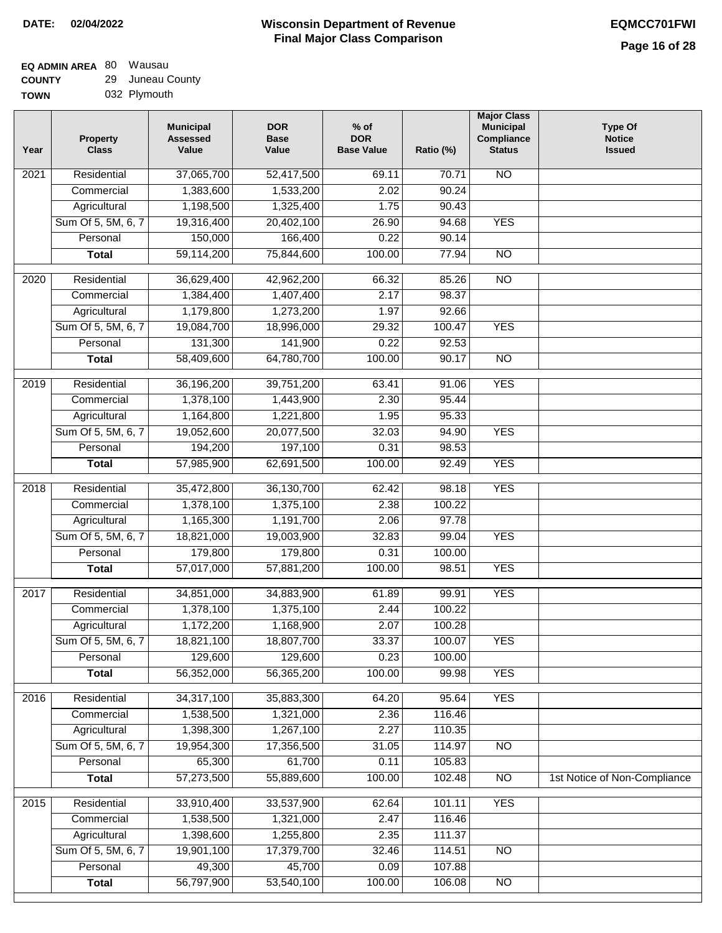# **EQ ADMIN AREA** 80 Wausau **COUNTY**

| <b>COUNTY</b> | 29 Juneau County |
|---------------|------------------|
| TOWN          | 032 Plymouth     |

| Year              | <b>Property</b><br><b>Class</b> | <b>Municipal</b><br><b>Assessed</b><br>Value | <b>DOR</b><br><b>Base</b><br>Value | $%$ of<br><b>DOR</b><br><b>Base Value</b> | Ratio (%) | <b>Major Class</b><br><b>Municipal</b><br>Compliance<br><b>Status</b> | <b>Type Of</b><br><b>Notice</b><br><b>Issued</b> |
|-------------------|---------------------------------|----------------------------------------------|------------------------------------|-------------------------------------------|-----------|-----------------------------------------------------------------------|--------------------------------------------------|
| 2021              | Residential                     | 37,065,700                                   | 52,417,500                         | 69.11                                     | 70.71     | N <sub>O</sub>                                                        |                                                  |
|                   | Commercial                      | 1,383,600                                    | 1,533,200                          | 2.02                                      | 90.24     |                                                                       |                                                  |
|                   | Agricultural                    | 1,198,500                                    | 1,325,400                          | 1.75                                      | 90.43     |                                                                       |                                                  |
|                   | Sum Of 5, 5M, 6, 7              | 19,316,400                                   | 20,402,100                         | 26.90                                     | 94.68     | <b>YES</b>                                                            |                                                  |
|                   | Personal                        | 150,000                                      | 166,400                            | 0.22                                      | 90.14     |                                                                       |                                                  |
|                   | <b>Total</b>                    | 59,114,200                                   | 75,844,600                         | 100.00                                    | 77.94     | $\overline{NO}$                                                       |                                                  |
| 2020              | Residential                     | 36,629,400                                   | 42,962,200                         | 66.32                                     | 85.26     | $\overline{3}$                                                        |                                                  |
|                   | Commercial                      | 1,384,400                                    | 1,407,400                          | 2.17                                      | 98.37     |                                                                       |                                                  |
|                   | Agricultural                    | 1,179,800                                    | 1,273,200                          | 1.97                                      | 92.66     |                                                                       |                                                  |
|                   | Sum Of 5, 5M, 6, 7              | 19,084,700                                   | 18,996,000                         | 29.32                                     | 100.47    | <b>YES</b>                                                            |                                                  |
|                   | Personal                        | 131,300                                      | 141,900                            | 0.22                                      | 92.53     |                                                                       |                                                  |
|                   | <b>Total</b>                    | 58,409,600                                   | 64,780,700                         | 100.00                                    | 90.17     | $\overline{NO}$                                                       |                                                  |
| 2019              | Residential                     | 36,196,200                                   | 39,751,200                         | 63.41                                     | 91.06     | <b>YES</b>                                                            |                                                  |
|                   | Commercial                      | 1,378,100                                    | 1,443,900                          | 2.30                                      | 95.44     |                                                                       |                                                  |
|                   | Agricultural                    | 1,164,800                                    | 1,221,800                          | 1.95                                      | 95.33     |                                                                       |                                                  |
|                   | Sum Of 5, 5M, 6, 7              | 19,052,600                                   | 20,077,500                         | 32.03                                     | 94.90     | <b>YES</b>                                                            |                                                  |
|                   | Personal                        | 194,200                                      | 197,100                            | 0.31                                      | 98.53     |                                                                       |                                                  |
|                   | <b>Total</b>                    | 57,985,900                                   | 62,691,500                         | 100.00                                    | 92.49     | <b>YES</b>                                                            |                                                  |
| 2018              | Residential                     | 35,472,800                                   | 36,130,700                         | 62.42                                     | 98.18     | <b>YES</b>                                                            |                                                  |
|                   | Commercial                      | 1,378,100                                    | 1,375,100                          | 2.38                                      | 100.22    |                                                                       |                                                  |
|                   | Agricultural                    | 1,165,300                                    | 1,191,700                          | 2.06                                      | 97.78     |                                                                       |                                                  |
|                   | Sum Of 5, 5M, 6, 7              | 18,821,000                                   | 19,003,900                         | 32.83                                     | 99.04     | <b>YES</b>                                                            |                                                  |
|                   | Personal                        | 179,800                                      | 179,800                            | 0.31                                      | 100.00    |                                                                       |                                                  |
|                   | <b>Total</b>                    | 57,017,000                                   | 57,881,200                         | 100.00                                    | 98.51     | <b>YES</b>                                                            |                                                  |
| 2017              | Residential                     | 34,851,000                                   | 34,883,900                         | 61.89                                     | 99.91     | <b>YES</b>                                                            |                                                  |
|                   | Commercial                      | 1,378,100                                    | 1,375,100                          | 2.44                                      | 100.22    |                                                                       |                                                  |
|                   | Agricultural                    | 1,172,200                                    | 1,168,900                          | 2.07                                      | 100.28    |                                                                       |                                                  |
|                   | Sum Of 5, 5M, 6, 7              | 18,821,100                                   | 18,807,700                         | 33.37                                     | 100.07    | <b>YES</b>                                                            |                                                  |
|                   | Personal                        | 129,600                                      | 129,600                            | 0.23                                      | 100.00    |                                                                       |                                                  |
|                   | <b>Total</b>                    | 56,352,000                                   | 56,365,200                         | 100.00                                    | 99.98     | <b>YES</b>                                                            |                                                  |
| 2016              | Residential                     | 34,317,100                                   | 35,883,300                         | 64.20                                     | 95.64     | <b>YES</b>                                                            |                                                  |
|                   | Commercial                      | 1,538,500                                    | 1,321,000                          | 2.36                                      | 116.46    |                                                                       |                                                  |
|                   | Agricultural                    | 1,398,300                                    | 1,267,100                          | 2.27                                      | 110.35    |                                                                       |                                                  |
|                   | Sum Of 5, 5M, 6, 7              | 19,954,300                                   | 17,356,500                         | 31.05                                     | 114.97    | N <sub>O</sub>                                                        |                                                  |
|                   | Personal                        | 65,300                                       | 61,700                             | 0.11                                      | 105.83    |                                                                       |                                                  |
|                   | <b>Total</b>                    | 57,273,500                                   | 55,889,600                         | 100.00                                    | 102.48    | N <sub>O</sub>                                                        | 1st Notice of Non-Compliance                     |
| $\overline{2015}$ | Residential                     | 33,910,400                                   | 33,537,900                         | 62.64                                     | 101.11    | <b>YES</b>                                                            |                                                  |
|                   | Commercial                      | 1,538,500                                    | 1,321,000                          | 2.47                                      | 116.46    |                                                                       |                                                  |
|                   | Agricultural                    | 1,398,600                                    | 1,255,800                          | 2.35                                      | 111.37    |                                                                       |                                                  |
|                   | Sum Of 5, 5M, 6, 7              | 19,901,100                                   | 17,379,700                         | 32.46                                     | 114.51    | N <sub>O</sub>                                                        |                                                  |
|                   | Personal                        | 49,300                                       | 45,700                             | 0.09                                      | 107.88    |                                                                       |                                                  |
|                   | <b>Total</b>                    | 56,797,900                                   | 53,540,100                         | 100.00                                    | 106.08    | N <sub>O</sub>                                                        |                                                  |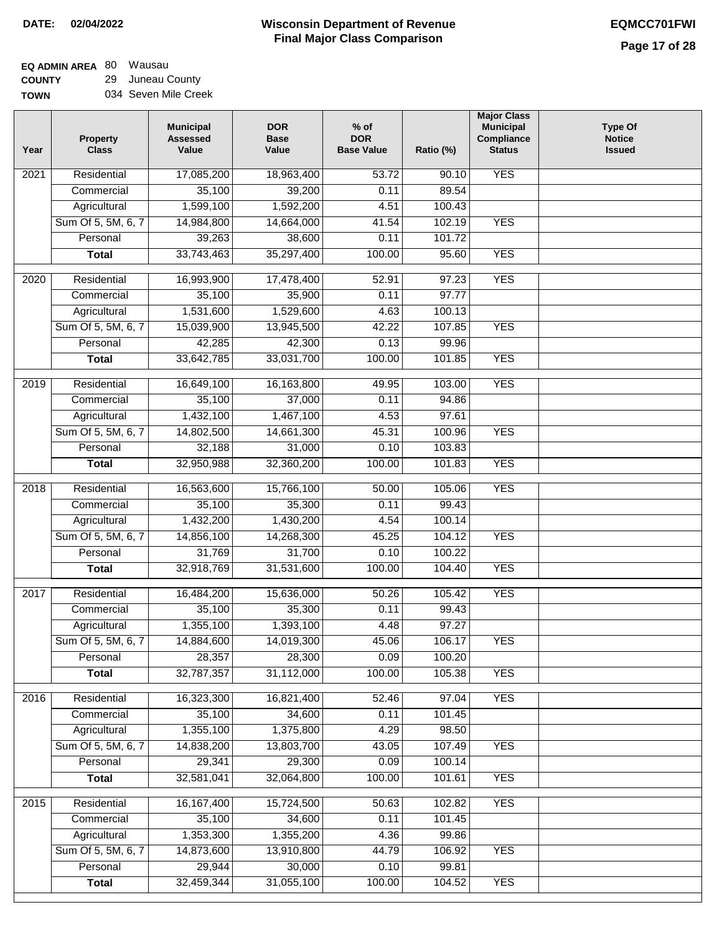$\Box$ 

#### **Wisconsin Department of Revenue Final Major Class Comparison DATE: 02/04/2022 EQMCC701FWI**

#### **EQ ADMIN AREA** 80 Wausau **COUNTY** 29 Juneau County

**TOWN** 034 Seven Mile Creek

| Year | <b>Property</b><br><b>Class</b> | <b>Municipal</b><br><b>Assessed</b><br>Value | <b>DOR</b><br><b>Base</b><br>Value | $%$ of<br><b>DOR</b><br><b>Base Value</b> | Ratio (%) | <b>Major Class</b><br><b>Municipal</b><br>Compliance<br><b>Status</b> | <b>Type Of</b><br><b>Notice</b><br><b>Issued</b> |
|------|---------------------------------|----------------------------------------------|------------------------------------|-------------------------------------------|-----------|-----------------------------------------------------------------------|--------------------------------------------------|
| 2021 | Residential                     | 17,085,200                                   | 18,963,400                         | $\overline{53.72}$                        | 90.10     | <b>YES</b>                                                            |                                                  |
|      | Commercial                      | 35,100                                       | 39,200                             | 0.11                                      | 89.54     |                                                                       |                                                  |
|      | Agricultural                    | 1,599,100                                    | 1,592,200                          | 4.51                                      | 100.43    |                                                                       |                                                  |
|      | Sum Of 5, 5M, 6, 7              | 14,984,800                                   | 14,664,000                         | 41.54                                     | 102.19    | <b>YES</b>                                                            |                                                  |
|      | Personal                        | 39,263                                       | 38,600                             | 0.11                                      | 101.72    |                                                                       |                                                  |
|      | <b>Total</b>                    | 33,743,463                                   | 35,297,400                         | 100.00                                    | 95.60     | <b>YES</b>                                                            |                                                  |
| 2020 | Residential                     | 16,993,900                                   | 17,478,400                         | 52.91                                     | 97.23     | <b>YES</b>                                                            |                                                  |
|      | Commercial                      | 35,100                                       | 35,900                             | 0.11                                      | 97.77     |                                                                       |                                                  |
|      | Agricultural                    | 1,531,600                                    | 1,529,600                          | 4.63                                      | 100.13    |                                                                       |                                                  |
|      | Sum Of 5, 5M, 6, 7              | 15,039,900                                   | 13,945,500                         | 42.22                                     | 107.85    | <b>YES</b>                                                            |                                                  |
|      | Personal                        | 42,285                                       | 42,300                             | 0.13                                      | 99.96     |                                                                       |                                                  |
|      | <b>Total</b>                    | 33,642,785                                   | 33,031,700                         | 100.00                                    | 101.85    | <b>YES</b>                                                            |                                                  |
| 2019 | Residential                     | 16,649,100                                   | 16,163,800                         | 49.95                                     | 103.00    | <b>YES</b>                                                            |                                                  |
|      | Commercial                      | 35,100                                       | 37,000                             | 0.11                                      | 94.86     |                                                                       |                                                  |
|      | Agricultural                    | 1,432,100                                    | 1,467,100                          | 4.53                                      | 97.61     |                                                                       |                                                  |
|      | Sum Of 5, 5M, 6, 7              | 14,802,500                                   | 14,661,300                         | 45.31                                     | 100.96    | <b>YES</b>                                                            |                                                  |
|      | Personal                        | 32,188                                       | 31,000                             | 0.10                                      | 103.83    |                                                                       |                                                  |
|      | <b>Total</b>                    | 32,950,988                                   | 32,360,200                         | 100.00                                    | 101.83    | <b>YES</b>                                                            |                                                  |
| 2018 | Residential                     | 16,563,600                                   | 15,766,100                         | 50.00                                     | 105.06    | <b>YES</b>                                                            |                                                  |
|      | Commercial                      | 35,100                                       | 35,300                             | 0.11                                      | 99.43     |                                                                       |                                                  |
|      | Agricultural                    | 1,432,200                                    | 1,430,200                          | 4.54                                      | 100.14    |                                                                       |                                                  |
|      | Sum Of 5, 5M, 6, 7              | 14,856,100                                   | 14,268,300                         | 45.25                                     | 104.12    | <b>YES</b>                                                            |                                                  |
|      | Personal                        | 31,769                                       | 31,700                             | 0.10                                      | 100.22    |                                                                       |                                                  |
|      | <b>Total</b>                    | 32,918,769                                   | 31,531,600                         | 100.00                                    | 104.40    | <b>YES</b>                                                            |                                                  |
| 2017 | Residential                     | 16,484,200                                   | 15,636,000                         | 50.26                                     | 105.42    | <b>YES</b>                                                            |                                                  |
|      | Commercial                      | 35,100                                       | 35,300                             | 0.11                                      | 99.43     |                                                                       |                                                  |
|      | Agricultural                    | 1,355,100                                    | 1,393,100                          | 4.48                                      | 97.27     |                                                                       |                                                  |
|      | Sum Of 5, 5M, 6, 7              | 14,884,600                                   | 14,019,300                         | 45.06                                     | 106.17    | <b>YES</b>                                                            |                                                  |
|      | Personal                        | 28,357                                       | 28,300                             | 0.09                                      | 100.20    |                                                                       |                                                  |
|      | <b>Total</b>                    | 32,787,357                                   | 31,112,000                         | 100.00                                    | 105.38    | <b>YES</b>                                                            |                                                  |
| 2016 | Residential                     | 16,323,300                                   | 16,821,400                         | 52.46                                     | 97.04     | <b>YES</b>                                                            |                                                  |
|      | Commercial                      | 35,100                                       | 34,600                             | 0.11                                      | 101.45    |                                                                       |                                                  |
|      | Agricultural                    | 1,355,100                                    | 1,375,800                          | 4.29                                      | 98.50     |                                                                       |                                                  |
|      | Sum Of 5, 5M, 6, 7              | 14,838,200                                   | 13,803,700                         | 43.05                                     | 107.49    | <b>YES</b>                                                            |                                                  |
|      | Personal                        | 29,341                                       | 29,300                             | 0.09                                      | 100.14    |                                                                       |                                                  |
|      | <b>Total</b>                    | 32,581,041                                   | 32,064,800                         | 100.00                                    | 101.61    | <b>YES</b>                                                            |                                                  |
| 2015 | Residential                     | 16, 167, 400                                 | 15,724,500                         | 50.63                                     | 102.82    | <b>YES</b>                                                            |                                                  |
|      | Commercial                      | 35,100                                       | 34,600                             | 0.11                                      | 101.45    |                                                                       |                                                  |
|      | Agricultural                    | 1,353,300                                    | 1,355,200                          | 4.36                                      | 99.86     |                                                                       |                                                  |
|      | Sum Of 5, 5M, 6, 7              | 14,873,600                                   | 13,910,800                         | 44.79                                     | 106.92    | <b>YES</b>                                                            |                                                  |
|      | Personal                        | 29,944                                       | 30,000                             | 0.10                                      | 99.81     |                                                                       |                                                  |
|      | <b>Total</b>                    | 32,459,344                                   | 31,055,100                         | 100.00                                    | 104.52    | <b>YES</b>                                                            |                                                  |
|      |                                 |                                              |                                    |                                           |           |                                                                       |                                                  |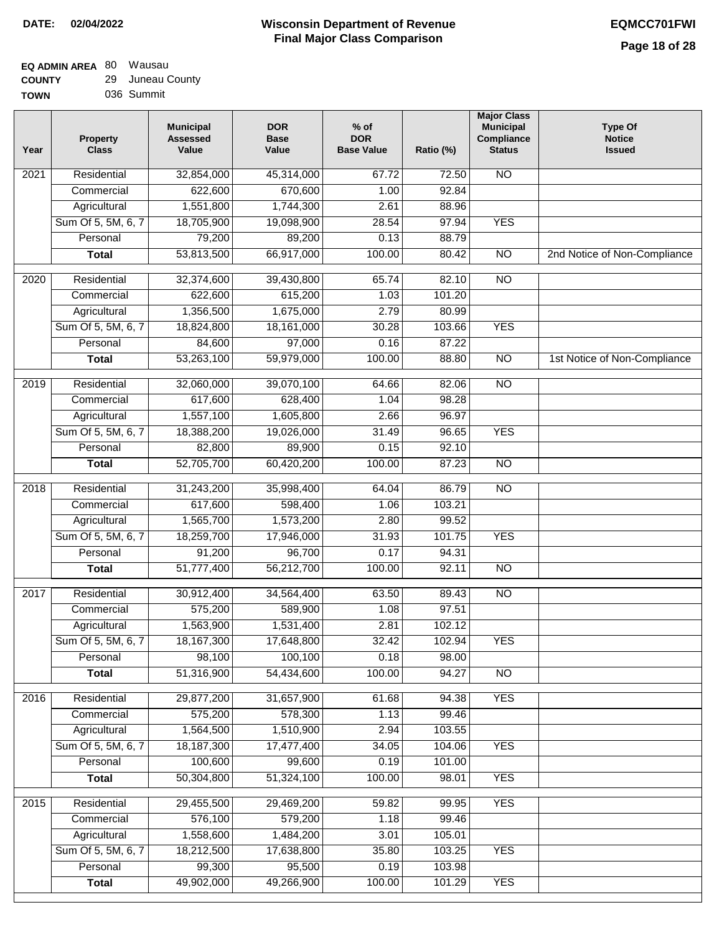| <b>TOWN</b> | 036 Summit |
|-------------|------------|
|             |            |

| Year              | <b>Property</b><br><b>Class</b> | <b>Municipal</b><br><b>Assessed</b><br>Value | <b>DOR</b><br><b>Base</b><br>Value | % of<br><b>DOR</b><br><b>Base Value</b> | Ratio (%) | <b>Major Class</b><br><b>Municipal</b><br>Compliance<br><b>Status</b> | <b>Type Of</b><br><b>Notice</b><br><b>Issued</b> |
|-------------------|---------------------------------|----------------------------------------------|------------------------------------|-----------------------------------------|-----------|-----------------------------------------------------------------------|--------------------------------------------------|
| $\overline{202}1$ | Residential                     | 32,854,000                                   | 45,314,000                         | 67.72                                   | 72.50     | <b>NO</b>                                                             |                                                  |
|                   | Commercial                      | 622,600                                      | 670,600                            | 1.00                                    | 92.84     |                                                                       |                                                  |
|                   | Agricultural                    | 1,551,800                                    | 1,744,300                          | 2.61                                    | 88.96     |                                                                       |                                                  |
|                   | Sum Of 5, 5M, 6, 7              | 18,705,900                                   | 19,098,900                         | 28.54                                   | 97.94     | <b>YES</b>                                                            |                                                  |
|                   | Personal                        | 79,200                                       | 89,200                             | 0.13                                    | 88.79     |                                                                       |                                                  |
|                   | <b>Total</b>                    | 53,813,500                                   | 66,917,000                         | 100.00                                  | 80.42     | $\overline{NO}$                                                       | 2nd Notice of Non-Compliance                     |
| $\overline{2020}$ | Residential                     | 32,374,600                                   | 39,430,800                         | 65.74                                   | 82.10     | $\overline{NO}$                                                       |                                                  |
|                   | Commercial                      | 622,600                                      | 615,200                            | 1.03                                    | 101.20    |                                                                       |                                                  |
|                   | Agricultural                    | 1,356,500                                    | 1,675,000                          | 2.79                                    | 80.99     |                                                                       |                                                  |
|                   | Sum Of 5, 5M, 6, 7              | 18,824,800                                   | 18,161,000                         | 30.28                                   | 103.66    | <b>YES</b>                                                            |                                                  |
|                   | Personal                        | 84,600                                       | 97,000                             | 0.16                                    | 87.22     |                                                                       |                                                  |
|                   | <b>Total</b>                    | 53,263,100                                   | 59,979,000                         | 100.00                                  | 88.80     | $\overline{NO}$                                                       | 1st Notice of Non-Compliance                     |
| 2019              | Residential                     | 32,060,000                                   | 39,070,100                         | 64.66                                   | 82.06     | $\overline{3}$                                                        |                                                  |
|                   | Commercial                      | 617,600                                      | 628,400                            | 1.04                                    | 98.28     |                                                                       |                                                  |
|                   | Agricultural                    | 1,557,100                                    | 1,605,800                          | 2.66                                    | 96.97     |                                                                       |                                                  |
|                   | Sum Of 5, 5M, 6, 7              | 18,388,200                                   | 19,026,000                         | 31.49                                   | 96.65     | <b>YES</b>                                                            |                                                  |
|                   | Personal                        | 82,800                                       | 89,900                             | 0.15                                    | 92.10     |                                                                       |                                                  |
|                   | <b>Total</b>                    | 52,705,700                                   | 60,420,200                         | 100.00                                  | 87.23     | $\overline{NO}$                                                       |                                                  |
| 2018              | Residential                     | 31,243,200                                   | 35,998,400                         | 64.04                                   | 86.79     | $\overline{10}$                                                       |                                                  |
|                   | Commercial                      | 617,600                                      | 598,400                            | 1.06                                    | 103.21    |                                                                       |                                                  |
|                   | Agricultural                    | 1,565,700                                    | 1,573,200                          | 2.80                                    | 99.52     |                                                                       |                                                  |
|                   | Sum Of 5, 5M, 6, 7              | 18,259,700                                   | 17,946,000                         | 31.93                                   | 101.75    | <b>YES</b>                                                            |                                                  |
|                   | Personal                        | 91,200                                       | 96,700                             | 0.17                                    | 94.31     |                                                                       |                                                  |
|                   | <b>Total</b>                    | 51,777,400                                   | 56,212,700                         | 100.00                                  | 92.11     | <b>NO</b>                                                             |                                                  |
| $\overline{2017}$ | Residential                     | 30,912,400                                   | 34,564,400                         | 63.50                                   | 89.43     | <b>NO</b>                                                             |                                                  |
|                   | Commercial                      | 575,200                                      | 589,900                            | 1.08                                    | 97.51     |                                                                       |                                                  |
|                   | Agricultural                    | 1,563,900                                    | 1,531,400                          | 2.81                                    | 102.12    |                                                                       |                                                  |
|                   | Sum Of 5, 5M, 6, 7              | 18,167,300                                   | 17,648,800                         | 32.42                                   | 102.94    | <b>YES</b>                                                            |                                                  |
|                   | Personal                        | 98,100                                       | 100,100                            | 0.18                                    | 98.00     |                                                                       |                                                  |
|                   | <b>Total</b>                    | 51,316,900                                   | 54,434,600                         | 100.00                                  | 94.27     | <b>NO</b>                                                             |                                                  |
| 2016              | Residential                     | 29,877,200                                   | 31,657,900                         | 61.68                                   | 94.38     | <b>YES</b>                                                            |                                                  |
|                   | Commercial                      | 575,200                                      | 578,300                            | 1.13                                    | 99.46     |                                                                       |                                                  |
|                   | Agricultural                    | 1,564,500                                    | 1,510,900                          | 2.94                                    | 103.55    |                                                                       |                                                  |
|                   | Sum Of 5, 5M, 6, 7              | 18,187,300                                   | 17,477,400                         | 34.05                                   | 104.06    | <b>YES</b>                                                            |                                                  |
|                   | Personal                        | 100,600                                      | 99,600                             | 0.19                                    | 101.00    |                                                                       |                                                  |
|                   | <b>Total</b>                    | 50,304,800                                   | 51,324,100                         | 100.00                                  | 98.01     | <b>YES</b>                                                            |                                                  |
| 2015              | Residential                     | 29,455,500                                   | 29,469,200                         | 59.82                                   | 99.95     | <b>YES</b>                                                            |                                                  |
|                   | Commercial                      | 576,100                                      | 579,200                            | 1.18                                    | 99.46     |                                                                       |                                                  |
|                   | Agricultural                    | 1,558,600                                    | 1,484,200                          | 3.01                                    | 105.01    |                                                                       |                                                  |
|                   | Sum Of 5, 5M, 6, 7              | 18,212,500                                   | 17,638,800                         | 35.80                                   | 103.25    | <b>YES</b>                                                            |                                                  |
|                   | Personal                        | 99,300                                       | 95,500                             | 0.19                                    | 103.98    |                                                                       |                                                  |
|                   | <b>Total</b>                    | 49,902,000                                   | 49,266,900                         | 100.00                                  | 101.29    | <b>YES</b>                                                            |                                                  |
|                   |                                 |                                              |                                    |                                         |           |                                                                       |                                                  |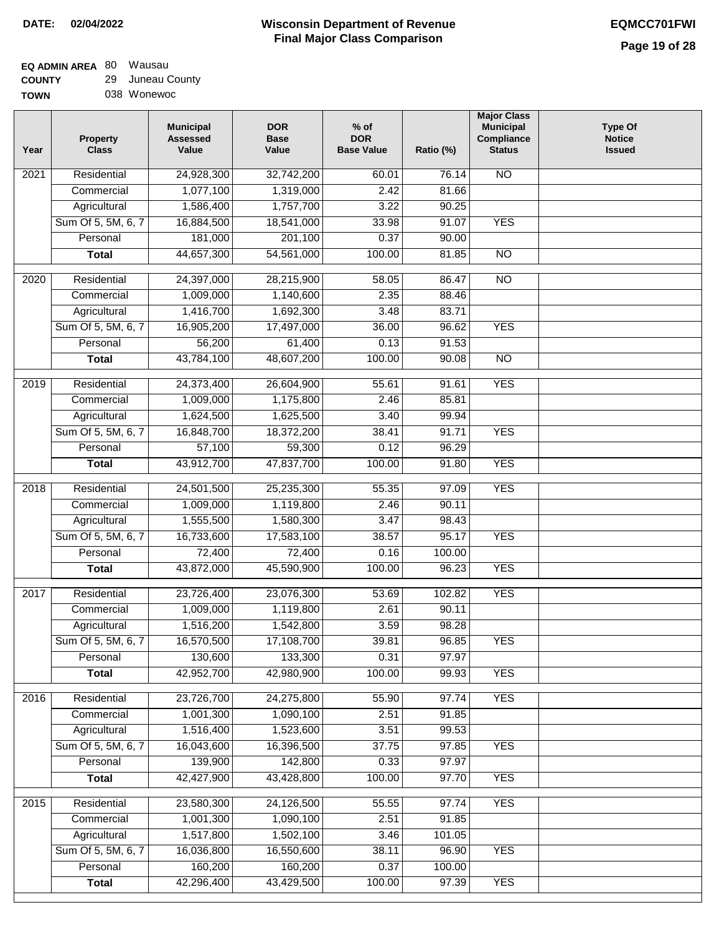#### **EQ ADMIN AREA** 80 Wausau **COUNTY** 29 Juneau County

| <b>TOWN</b> | 038 Wonewoc |
|-------------|-------------|

| Year              | <b>Property</b><br><b>Class</b> | <b>Municipal</b><br><b>Assessed</b><br>Value | <b>DOR</b><br><b>Base</b><br>Value | $%$ of<br><b>DOR</b><br><b>Base Value</b> | Ratio (%) | <b>Major Class</b><br><b>Municipal</b><br>Compliance<br><b>Status</b> | <b>Type Of</b><br><b>Notice</b><br><b>Issued</b> |
|-------------------|---------------------------------|----------------------------------------------|------------------------------------|-------------------------------------------|-----------|-----------------------------------------------------------------------|--------------------------------------------------|
| 2021              | Residential                     | 24,928,300                                   | 32,742,200                         | 60.01                                     | 76.14     | <b>NO</b>                                                             |                                                  |
|                   | Commercial                      | 1,077,100                                    | 1,319,000                          | 2.42                                      | 81.66     |                                                                       |                                                  |
|                   | Agricultural                    | 1,586,400                                    | 1,757,700                          | 3.22                                      | 90.25     |                                                                       |                                                  |
|                   | Sum Of 5, 5M, 6, 7              | 16,884,500                                   | 18,541,000                         | 33.98                                     | 91.07     | <b>YES</b>                                                            |                                                  |
|                   | Personal                        | 181,000                                      | 201,100                            | 0.37                                      | 90.00     |                                                                       |                                                  |
|                   | <b>Total</b>                    | 44,657,300                                   | 54,561,000                         | 100.00                                    | 81.85     | $\overline{NO}$                                                       |                                                  |
| 2020              | Residential                     | 24,397,000                                   | 28,215,900                         | 58.05                                     | 86.47     | $\overline{3}$                                                        |                                                  |
|                   | Commercial                      | 1,009,000                                    | 1,140,600                          | 2.35                                      | 88.46     |                                                                       |                                                  |
|                   | Agricultural                    | 1,416,700                                    | 1,692,300                          | 3.48                                      | 83.71     |                                                                       |                                                  |
|                   | Sum Of 5, 5M, 6, 7              | 16,905,200                                   | 17,497,000                         | 36.00                                     | 96.62     | <b>YES</b>                                                            |                                                  |
|                   | Personal                        | 56,200                                       | 61,400                             | 0.13                                      | 91.53     |                                                                       |                                                  |
|                   | <b>Total</b>                    | 43,784,100                                   | 48,607,200                         | 100.00                                    | 90.08     | $\overline{NO}$                                                       |                                                  |
| 2019              | Residential                     | 24,373,400                                   | 26,604,900                         | 55.61                                     | 91.61     | <b>YES</b>                                                            |                                                  |
|                   | Commercial                      | 1,009,000                                    | 1,175,800                          | 2.46                                      | 85.81     |                                                                       |                                                  |
|                   | Agricultural                    | 1,624,500                                    | 1,625,500                          | 3.40                                      | 99.94     |                                                                       |                                                  |
|                   | Sum Of 5, 5M, 6, 7              | 16,848,700                                   | 18,372,200                         | 38.41                                     | 91.71     | <b>YES</b>                                                            |                                                  |
|                   | Personal                        | 57,100                                       | 59,300                             | 0.12                                      | 96.29     |                                                                       |                                                  |
|                   | <b>Total</b>                    | 43,912,700                                   | 47,837,700                         | 100.00                                    | 91.80     | <b>YES</b>                                                            |                                                  |
|                   |                                 |                                              |                                    |                                           |           |                                                                       |                                                  |
| $\overline{2018}$ | Residential                     | 24,501,500                                   | 25,235,300                         | 55.35                                     | 97.09     | <b>YES</b>                                                            |                                                  |
|                   | Commercial                      | 1,009,000                                    | 1,119,800                          | 2.46                                      | 90.11     |                                                                       |                                                  |
|                   | Agricultural                    | 1,555,500                                    | 1,580,300                          | 3.47                                      | 98.43     |                                                                       |                                                  |
|                   | Sum Of 5, 5M, 6, 7              | 16,733,600                                   | 17,583,100                         | 38.57                                     | 95.17     | <b>YES</b>                                                            |                                                  |
|                   | Personal                        | 72,400                                       | 72,400                             | 0.16                                      | 100.00    |                                                                       |                                                  |
|                   | <b>Total</b>                    | 43,872,000                                   | 45,590,900                         | 100.00                                    | 96.23     | <b>YES</b>                                                            |                                                  |
| 2017              | Residential                     | 23,726,400                                   | 23,076,300                         | 53.69                                     | 102.82    | <b>YES</b>                                                            |                                                  |
|                   | Commercial                      | 1,009,000                                    | 1,119,800                          | 2.61                                      | 90.11     |                                                                       |                                                  |
|                   | Agricultural                    | 1,516,200                                    | 1,542,800                          | 3.59                                      | 98.28     |                                                                       |                                                  |
|                   | Sum Of 5, 5M, 6, 7              | 16,570,500                                   | 17,108,700                         | 39.81                                     | 96.85     | <b>YES</b>                                                            |                                                  |
|                   | Personal                        | 130,600                                      | 133,300                            | 0.31                                      | 97.97     |                                                                       |                                                  |
|                   | <b>Total</b>                    | 42,952,700                                   | 42,980,900                         | 100.00                                    | 99.93     | <b>YES</b>                                                            |                                                  |
| 2016              | Residential                     | 23,726,700                                   | 24,275,800                         | 55.90                                     | 97.74     | <b>YES</b>                                                            |                                                  |
|                   | Commercial                      | 1,001,300                                    | 1,090,100                          | 2.51                                      | 91.85     |                                                                       |                                                  |
|                   | Agricultural                    | 1,516,400                                    | 1,523,600                          | 3.51                                      | 99.53     |                                                                       |                                                  |
|                   | Sum Of 5, 5M, 6, 7              | 16,043,600                                   | 16,396,500                         | 37.75                                     | 97.85     | <b>YES</b>                                                            |                                                  |
|                   | Personal                        | 139,900                                      | 142,800                            | 0.33                                      | 97.97     |                                                                       |                                                  |
|                   | <b>Total</b>                    | 42,427,900                                   | 43,428,800                         | 100.00                                    | 97.70     | <b>YES</b>                                                            |                                                  |
| 2015              | Residential                     | 23,580,300                                   | 24,126,500                         | 55.55                                     | 97.74     | <b>YES</b>                                                            |                                                  |
|                   | Commercial                      | 1,001,300                                    | 1,090,100                          | 2.51                                      | 91.85     |                                                                       |                                                  |
|                   | Agricultural                    | 1,517,800                                    | 1,502,100                          | 3.46                                      | 101.05    |                                                                       |                                                  |
|                   | Sum Of 5, 5M, 6, 7              | 16,036,800                                   | 16,550,600                         | 38.11                                     | 96.90     | <b>YES</b>                                                            |                                                  |
|                   | Personal                        | 160,200                                      | 160,200                            | 0.37                                      | 100.00    |                                                                       |                                                  |
|                   | <b>Total</b>                    | 42,296,400                                   | 43,429,500                         | 100.00                                    | 97.39     | <b>YES</b>                                                            |                                                  |
|                   |                                 |                                              |                                    |                                           |           |                                                                       |                                                  |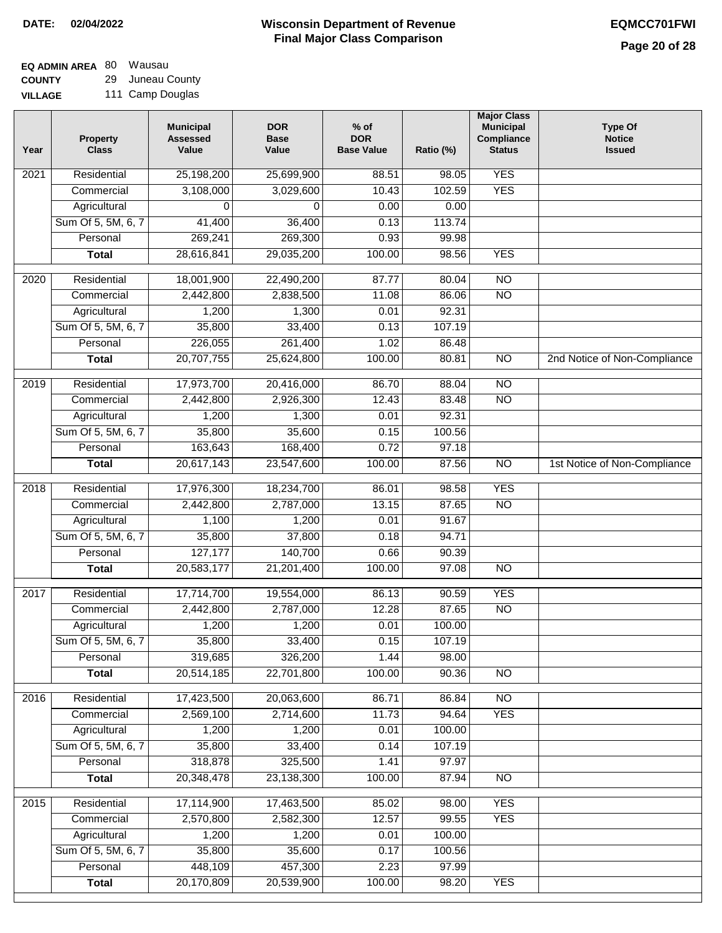#### **EQ ADMIN AREA** 80 Wausau **COUNTY** 29 Juneau County

**VILLAGE** 111 Camp Douglas

| Year | <b>Property</b><br><b>Class</b>    | <b>Municipal</b><br><b>Assessed</b><br>Value | <b>DOR</b><br><b>Base</b><br>Value | $%$ of<br><b>DOR</b><br><b>Base Value</b> | Ratio (%)       | <b>Major Class</b><br><b>Municipal</b><br>Compliance<br><b>Status</b> | <b>Type Of</b><br><b>Notice</b><br><b>Issued</b> |
|------|------------------------------------|----------------------------------------------|------------------------------------|-------------------------------------------|-----------------|-----------------------------------------------------------------------|--------------------------------------------------|
| 2021 | Residential                        | 25,198,200                                   | 25,699,900                         | 88.51                                     | 98.05           | <b>YES</b>                                                            |                                                  |
|      | Commercial                         | 3,108,000                                    | 3,029,600                          | 10.43                                     | 102.59          | <b>YES</b>                                                            |                                                  |
|      | Agricultural                       | 0                                            | 0                                  | 0.00                                      | 0.00            |                                                                       |                                                  |
|      | Sum Of 5, 5M, 6, 7                 | 41,400                                       | 36,400                             | 0.13                                      | 113.74          |                                                                       |                                                  |
|      | Personal                           | 269,241                                      | 269,300                            | 0.93                                      | 99.98           |                                                                       |                                                  |
|      | <b>Total</b>                       | 28,616,841                                   | 29,035,200                         | 100.00                                    | 98.56           | <b>YES</b>                                                            |                                                  |
| 2020 | Residential                        | 18,001,900                                   | 22,490,200                         | 87.77                                     | 80.04           | $\overline{NO}$                                                       |                                                  |
|      | Commercial                         | 2,442,800                                    | 2,838,500                          | 11.08                                     | 86.06           | $\overline{NO}$                                                       |                                                  |
|      | Agricultural                       | 1,200                                        | 1,300                              | 0.01                                      | 92.31           |                                                                       |                                                  |
|      | Sum Of 5, 5M, 6, 7                 | 35,800                                       | 33,400                             | 0.13                                      | 107.19          |                                                                       |                                                  |
|      | Personal                           | 226,055                                      | 261,400                            | 1.02                                      | 86.48           |                                                                       |                                                  |
|      | <b>Total</b>                       | 20,707,755                                   | 25,624,800                         | 100.00                                    | 80.81           | $\overline{NO}$                                                       | 2nd Notice of Non-Compliance                     |
| 2019 | Residential                        | 17,973,700                                   | 20,416,000                         | 86.70                                     | 88.04           | $\overline{10}$                                                       |                                                  |
|      | Commercial                         | 2,442,800                                    | 2,926,300                          | 12.43                                     | 83.48           | $\overline{NO}$                                                       |                                                  |
|      | Agricultural                       | 1,200                                        | 1,300                              | 0.01                                      | 92.31           |                                                                       |                                                  |
|      | Sum Of 5, 5M, 6, 7                 | 35,800                                       | 35,600                             | 0.15                                      | 100.56          |                                                                       |                                                  |
|      | Personal                           | 163,643                                      | 168,400                            | 0.72                                      | 97.18           |                                                                       |                                                  |
|      | <b>Total</b>                       | 20,617,143                                   | 23,547,600                         | 100.00                                    | 87.56           | $\overline{NO}$                                                       | 1st Notice of Non-Compliance                     |
| 2018 | Residential                        | 17,976,300                                   | 18,234,700                         | 86.01                                     | 98.58           | <b>YES</b>                                                            |                                                  |
|      | Commercial                         | 2,442,800                                    | 2,787,000                          | 13.15                                     | 87.65           | <b>NO</b>                                                             |                                                  |
|      | Agricultural                       | 1,100                                        | 1,200                              | 0.01                                      | 91.67           |                                                                       |                                                  |
|      | Sum Of 5, 5M, 6, 7                 | 35,800                                       | 37,800                             | 0.18                                      | 94.71           |                                                                       |                                                  |
|      | Personal                           | 127,177                                      | 140,700                            | 0.66                                      | 90.39           |                                                                       |                                                  |
|      | <b>Total</b>                       | 20,583,177                                   | 21,201,400                         | 100.00                                    | 97.08           | <b>NO</b>                                                             |                                                  |
| 2017 | Residential                        | 17,714,700                                   | 19,554,000                         | 86.13                                     | 90.59           | <b>YES</b>                                                            |                                                  |
|      | Commercial                         | 2,442,800                                    | 2,787,000                          | 12.28                                     | 87.65           | <b>NO</b>                                                             |                                                  |
|      | Agricultural                       | 1,200                                        | 1,200                              | 0.01                                      | 100.00          |                                                                       |                                                  |
|      | Sum Of 5, 5M, 6, 7                 | 35,800                                       | 33,400                             | 0.15                                      | 107.19          |                                                                       |                                                  |
|      | Personal                           | 319,685                                      | 326,200                            | 1.44                                      | 98.00           |                                                                       |                                                  |
|      | <b>Total</b>                       | 20,514,185                                   | 22,701,800                         | 100.00                                    | 90.36           | <b>NO</b>                                                             |                                                  |
|      |                                    |                                              |                                    |                                           |                 |                                                                       |                                                  |
| 2016 | Residential                        | 17,423,500                                   | 20,063,600                         | 86.71                                     | 86.84           | N <sub>O</sub>                                                        |                                                  |
|      | Commercial                         | 2,569,100<br>1,200                           | 2,714,600<br>1,200                 | 11.73<br>0.01                             | 94.64<br>100.00 | <b>YES</b>                                                            |                                                  |
|      | Agricultural<br>Sum Of 5, 5M, 6, 7 | 35,800                                       | 33,400                             | 0.14                                      | 107.19          |                                                                       |                                                  |
|      | Personal                           | 318,878                                      | 325,500                            | 1.41                                      | 97.97           |                                                                       |                                                  |
|      | <b>Total</b>                       | 20,348,478                                   | 23,138,300                         | 100.00                                    | 87.94           | $\overline{NO}$                                                       |                                                  |
|      |                                    |                                              |                                    |                                           |                 |                                                                       |                                                  |
| 2015 | Residential                        | 17,114,900                                   | 17,463,500                         | 85.02                                     | 98.00           | <b>YES</b>                                                            |                                                  |
|      | Commercial                         | 2,570,800                                    | 2,582,300                          | 12.57                                     | 99.55           | <b>YES</b>                                                            |                                                  |
|      | Agricultural                       | 1,200                                        | 1,200                              | 0.01                                      | 100.00          |                                                                       |                                                  |
|      | Sum Of 5, 5M, 6, 7                 | 35,800                                       | 35,600                             | 0.17                                      | 100.56          |                                                                       |                                                  |
|      | Personal                           | 448,109                                      | 457,300                            | 2.23                                      | 97.99           |                                                                       |                                                  |
|      | <b>Total</b>                       | 20,170,809                                   | 20,539,900                         | 100.00                                    | 98.20           | <b>YES</b>                                                            |                                                  |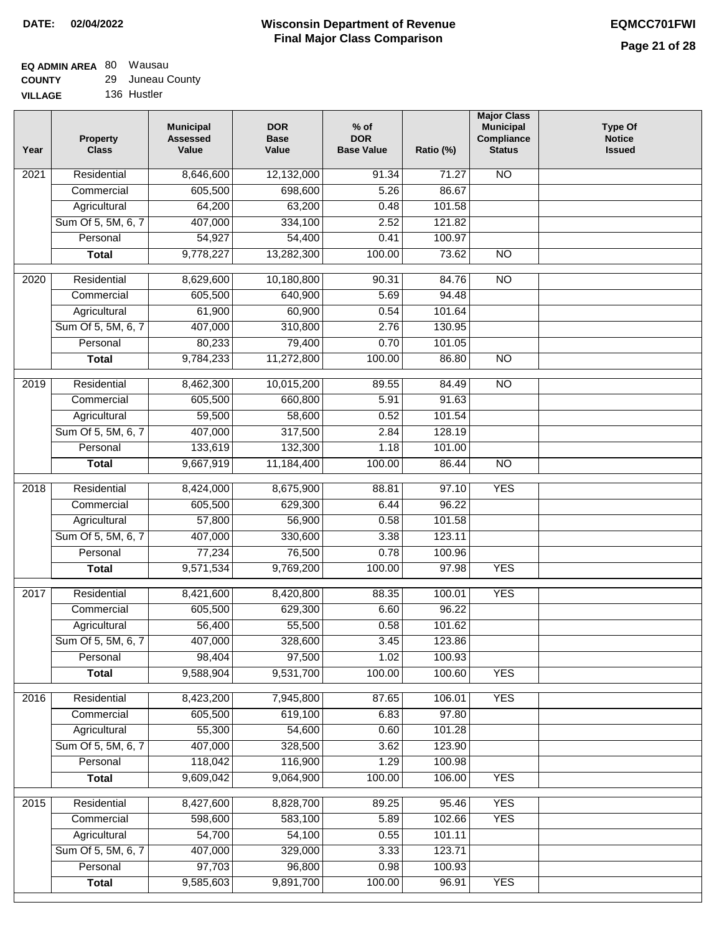#### **EQ ADMIN AREA** 80 Wausau **COUNTY** 29 Juneau County

**VILLAGE** 136 Hustler

| Year             | <b>Property</b><br><b>Class</b> | <b>Municipal</b><br><b>Assessed</b><br>Value | <b>DOR</b><br><b>Base</b><br>Value | $%$ of<br><b>DOR</b><br><b>Base Value</b> | Ratio (%) | <b>Major Class</b><br><b>Municipal</b><br>Compliance<br><b>Status</b> | <b>Type Of</b><br><b>Notice</b><br><b>Issued</b> |
|------------------|---------------------------------|----------------------------------------------|------------------------------------|-------------------------------------------|-----------|-----------------------------------------------------------------------|--------------------------------------------------|
| 2021             | Residential                     | 8,646,600                                    | 12,132,000                         | 91.34                                     | 71.27     | <b>NO</b>                                                             |                                                  |
|                  | Commercial                      | 605,500                                      | 698,600                            | 5.26                                      | 86.67     |                                                                       |                                                  |
|                  | Agricultural                    | 64,200                                       | 63,200                             | 0.48                                      | 101.58    |                                                                       |                                                  |
|                  | Sum Of 5, 5M, 6, 7              | 407,000                                      | 334,100                            | 2.52                                      | 121.82    |                                                                       |                                                  |
|                  | Personal                        | 54,927                                       | 54,400                             | 0.41                                      | 100.97    |                                                                       |                                                  |
|                  | <b>Total</b>                    | 9,778,227                                    | 13,282,300                         | 100.00                                    | 73.62     | $\overline{NO}$                                                       |                                                  |
| $\frac{1}{2020}$ | Residential                     | 8,629,600                                    | 10,180,800                         | 90.31                                     | 84.76     | $\overline{10}$                                                       |                                                  |
|                  | Commercial                      | 605,500                                      | 640,900                            | 5.69                                      | 94.48     |                                                                       |                                                  |
|                  | Agricultural                    | 61,900                                       | 60,900                             | 0.54                                      | 101.64    |                                                                       |                                                  |
|                  | Sum Of 5, 5M, 6, 7              | 407,000                                      | 310,800                            | 2.76                                      | 130.95    |                                                                       |                                                  |
|                  | Personal                        | 80,233                                       | 79,400                             | 0.70                                      | 101.05    |                                                                       |                                                  |
|                  | <b>Total</b>                    | 9,784,233                                    | 11,272,800                         | 100.00                                    | 86.80     | $\overline{NO}$                                                       |                                                  |
|                  |                                 |                                              |                                    |                                           |           |                                                                       |                                                  |
| 2019             | Residential                     | 8,462,300                                    | 10,015,200                         | 89.55                                     | 84.49     | $\overline{NO}$                                                       |                                                  |
|                  | Commercial                      | 605,500                                      | 660,800                            | 5.91                                      | 91.63     |                                                                       |                                                  |
|                  | Agricultural                    | 59,500                                       | 58,600                             | 0.52                                      | 101.54    |                                                                       |                                                  |
|                  | Sum Of 5, 5M, 6, 7              | 407,000                                      | 317,500                            | 2.84                                      | 128.19    |                                                                       |                                                  |
|                  | Personal                        | 133,619                                      | 132,300                            | 1.18                                      | 101.00    |                                                                       |                                                  |
|                  | <b>Total</b>                    | 9,667,919                                    | 11,184,400                         | 100.00                                    | 86.44     | $\overline{NO}$                                                       |                                                  |
| 2018             | Residential                     | 8,424,000                                    | 8,675,900                          | 88.81                                     | 97.10     | <b>YES</b>                                                            |                                                  |
|                  | Commercial                      | 605,500                                      | 629,300                            | 6.44                                      | 96.22     |                                                                       |                                                  |
|                  | Agricultural                    | 57,800                                       | 56,900                             | 0.58                                      | 101.58    |                                                                       |                                                  |
|                  | Sum Of 5, 5M, 6, 7              | 407,000                                      | 330,600                            | 3.38                                      | 123.11    |                                                                       |                                                  |
|                  | Personal                        | 77,234                                       | 76,500                             | 0.78                                      | 100.96    |                                                                       |                                                  |
|                  | <b>Total</b>                    | 9,571,534                                    | 9,769,200                          | 100.00                                    | 97.98     | <b>YES</b>                                                            |                                                  |
| 2017             | Residential                     | 8,421,600                                    | 8,420,800                          | 88.35                                     | 100.01    | <b>YES</b>                                                            |                                                  |
|                  | Commercial                      | 605,500                                      | 629,300                            | 6.60                                      | 96.22     |                                                                       |                                                  |
|                  | Agricultural                    | 56,400                                       | 55,500                             | 0.58                                      | 101.62    |                                                                       |                                                  |
|                  | Sum Of 5, 5M, 6, 7              | 407,000                                      | 328,600                            | 3.45                                      | 123.86    |                                                                       |                                                  |
|                  | Personal                        | 98,404                                       | 97,500                             | 1.02                                      | 100.93    |                                                                       |                                                  |
|                  | <b>Total</b>                    | 9,588,904                                    | 9,531,700                          | 100.00                                    | 100.60    | <b>YES</b>                                                            |                                                  |
| 2016             | Residential                     | 8,423,200                                    | 7,945,800                          | 87.65                                     | 106.01    | <b>YES</b>                                                            |                                                  |
|                  | Commercial                      | 605,500                                      | 619,100                            | 6.83                                      | 97.80     |                                                                       |                                                  |
|                  | Agricultural                    | 55,300                                       | 54,600                             | 0.60                                      | 101.28    |                                                                       |                                                  |
|                  | Sum Of 5, 5M, 6, 7              | 407,000                                      | 328,500                            | 3.62                                      | 123.90    |                                                                       |                                                  |
|                  | Personal                        | 118,042                                      | 116,900                            | 1.29                                      | 100.98    |                                                                       |                                                  |
|                  | <b>Total</b>                    | 9,609,042                                    | 9,064,900                          | 100.00                                    | 106.00    | <b>YES</b>                                                            |                                                  |
| 2015             | Residential                     | 8,427,600                                    | 8,828,700                          | 89.25                                     | 95.46     | <b>YES</b>                                                            |                                                  |
|                  | Commercial                      | 598,600                                      | 583,100                            | 5.89                                      | 102.66    | <b>YES</b>                                                            |                                                  |
|                  | Agricultural                    | 54,700                                       | 54,100                             | 0.55                                      | 101.11    |                                                                       |                                                  |
|                  | Sum Of 5, 5M, 6, 7              | 407,000                                      | 329,000                            | 3.33                                      | 123.71    |                                                                       |                                                  |
|                  | Personal                        | 97,703                                       | 96,800                             | 0.98                                      | 100.93    |                                                                       |                                                  |
|                  | <b>Total</b>                    | 9,585,603                                    | 9,891,700                          | 100.00                                    | 96.91     | <b>YES</b>                                                            |                                                  |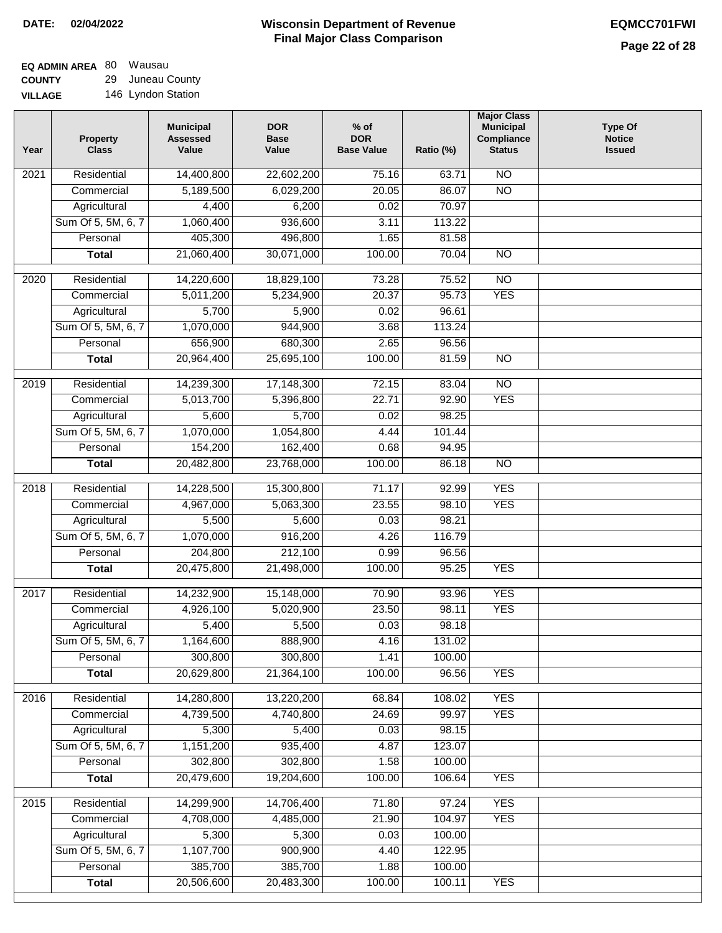### **EQ ADMIN AREA** 80 Wausau **COUNTY** 29 Juneau County

**VILLAGE** 146 Lyndon Station

| Year | <b>Property</b><br><b>Class</b> | <b>Municipal</b><br><b>Assessed</b><br>Value | <b>DOR</b><br><b>Base</b><br>Value | $%$ of<br><b>DOR</b><br><b>Base Value</b> | Ratio (%)       | <b>Major Class</b><br><b>Municipal</b><br>Compliance<br><b>Status</b> | <b>Type Of</b><br><b>Notice</b><br><b>Issued</b> |
|------|---------------------------------|----------------------------------------------|------------------------------------|-------------------------------------------|-----------------|-----------------------------------------------------------------------|--------------------------------------------------|
| 2021 | Residential                     | 14,400,800                                   | 22,602,200                         | 75.16                                     | 63.71           | N <sub>O</sub>                                                        |                                                  |
|      | Commercial                      | 5,189,500                                    | 6,029,200                          | 20.05                                     | 86.07           | $\overline{NO}$                                                       |                                                  |
|      | Agricultural                    | 4,400                                        | 6,200                              | 0.02                                      | 70.97           |                                                                       |                                                  |
|      | Sum Of 5, 5M, 6, 7              | 1,060,400                                    | 936,600                            | 3.11                                      | 113.22          |                                                                       |                                                  |
|      | Personal                        | 405,300                                      | 496,800                            | 1.65                                      | 81.58           |                                                                       |                                                  |
|      | <b>Total</b>                    | 21,060,400                                   | 30,071,000                         | 100.00                                    | 70.04           | $\overline{NO}$                                                       |                                                  |
| 2020 | Residential                     | 14,220,600                                   | 18,829,100                         | 73.28                                     | 75.52           | $\overline{NO}$                                                       |                                                  |
|      | Commercial                      | 5,011,200                                    | 5,234,900                          | 20.37                                     | 95.73           | <b>YES</b>                                                            |                                                  |
|      | Agricultural                    | 5,700                                        | 5,900                              | 0.02                                      | 96.61           |                                                                       |                                                  |
|      | Sum Of 5, 5M, 6, 7              | 1,070,000                                    | 944,900                            | 3.68                                      | 113.24          |                                                                       |                                                  |
|      | Personal                        | 656,900                                      | 680,300                            | 2.65                                      | 96.56           |                                                                       |                                                  |
|      | <b>Total</b>                    | 20,964,400                                   | 25,695,100                         | 100.00                                    | 81.59           | $\overline{NO}$                                                       |                                                  |
| 2019 | Residential                     | 14,239,300                                   | 17,148,300                         | 72.15                                     | 83.04           | $\overline{10}$                                                       |                                                  |
|      | Commercial                      | 5,013,700                                    | 5,396,800                          | 22.71                                     | 92.90           | <b>YES</b>                                                            |                                                  |
|      | Agricultural                    | 5,600                                        | 5,700                              | 0.02                                      | 98.25           |                                                                       |                                                  |
|      | Sum Of 5, 5M, 6, 7              | 1,070,000                                    | 1,054,800                          | 4.44                                      | 101.44          |                                                                       |                                                  |
|      | Personal                        | 154,200                                      | 162,400                            | 0.68                                      | 94.95           |                                                                       |                                                  |
|      | <b>Total</b>                    | 20,482,800                                   | 23,768,000                         | 100.00                                    | 86.18           | $\overline{NO}$                                                       |                                                  |
|      | Residential                     |                                              |                                    | 71.17                                     | 92.99           | <b>YES</b>                                                            |                                                  |
| 2018 | Commercial                      | 14,228,500<br>4,967,000                      | 15,300,800<br>5,063,300            | 23.55                                     | 98.10           | <b>YES</b>                                                            |                                                  |
|      | Agricultural                    | 5,500                                        | 5,600                              | 0.03                                      | 98.21           |                                                                       |                                                  |
|      | Sum Of 5, 5M, 6, 7              | 1,070,000                                    | 916,200                            | 4.26                                      | 116.79          |                                                                       |                                                  |
|      | Personal                        | 204,800                                      | 212,100                            | 0.99                                      | 96.56           |                                                                       |                                                  |
|      | <b>Total</b>                    | 20,475,800                                   | 21,498,000                         | 100.00                                    | 95.25           | <b>YES</b>                                                            |                                                  |
|      |                                 |                                              |                                    |                                           |                 |                                                                       |                                                  |
| 2017 | Residential                     | 14,232,900                                   | 15,148,000                         | 70.90                                     | 93.96           | <b>YES</b>                                                            |                                                  |
|      | Commercial                      | 4,926,100                                    | 5,020,900                          | 23.50                                     | 98.11           | <b>YES</b>                                                            |                                                  |
|      | Agricultural                    | 5,400                                        | 5,500                              | 0.03                                      | 98.18           |                                                                       |                                                  |
|      | Sum Of 5, 5M, 6, 7              | 1,164,600                                    | 888,900                            | 4.16                                      | 131.02          |                                                                       |                                                  |
|      | Personal                        | 300,800<br>20,629,800                        | 300,800<br>21,364,100              | 1.41<br>100.00                            | 100.00<br>96.56 | <b>YES</b>                                                            |                                                  |
|      | <b>Total</b>                    |                                              |                                    |                                           |                 |                                                                       |                                                  |
| 2016 | Residential                     | 14,280,800                                   | 13,220,200                         | 68.84                                     | 108.02          | <b>YES</b>                                                            |                                                  |
|      | Commercial                      | 4,739,500                                    | 4,740,800                          | 24.69                                     | 99.97           | <b>YES</b>                                                            |                                                  |
|      | Agricultural                    | 5,300                                        | 5,400                              | 0.03                                      | 98.15           |                                                                       |                                                  |
|      | Sum Of 5, 5M, 6, 7              | 1,151,200                                    | 935,400                            | 4.87                                      | 123.07          |                                                                       |                                                  |
|      | Personal                        | 302,800                                      | 302,800                            | 1.58                                      | 100.00          |                                                                       |                                                  |
|      | <b>Total</b>                    | 20,479,600                                   | 19,204,600                         | 100.00                                    | 106.64          | <b>YES</b>                                                            |                                                  |
| 2015 | Residential                     | 14,299,900                                   | 14,706,400                         | 71.80                                     | 97.24           | <b>YES</b>                                                            |                                                  |
|      | Commercial                      | 4,708,000                                    | 4,485,000                          | 21.90                                     | 104.97          | <b>YES</b>                                                            |                                                  |
|      | Agricultural                    | 5,300                                        | 5,300                              | 0.03                                      | 100.00          |                                                                       |                                                  |
|      | Sum Of 5, 5M, 6, 7              | 1,107,700                                    | 900,900                            | 4.40                                      | 122.95          |                                                                       |                                                  |
|      | Personal                        | 385,700                                      | 385,700                            | 1.88                                      | 100.00          |                                                                       |                                                  |
|      | <b>Total</b>                    | 20,506,600                                   | 20,483,300                         | 100.00                                    | 100.11          | <b>YES</b>                                                            |                                                  |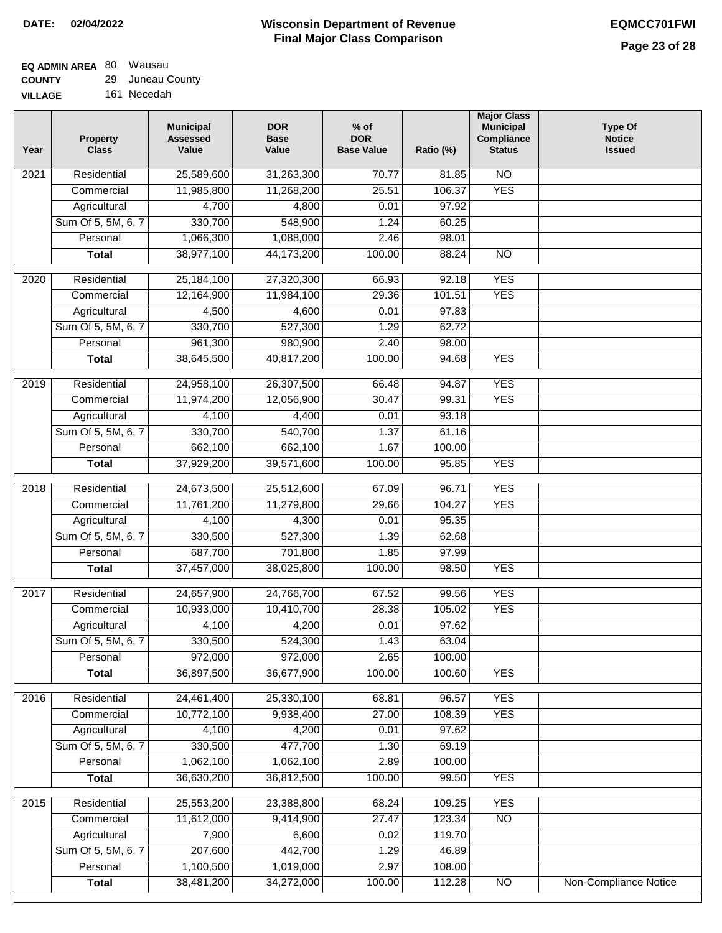#### **Wisconsin Department of Revenue Final Major Class Comparison DATE: 02/04/2022 EQMCC701FWI**

| <b>COUNTY</b>  | 29 JUNEAU COUL |
|----------------|----------------|
| <b>VILLAGE</b> | 161 Necedah    |

| Year | <b>Property</b><br><b>Class</b> | <b>Municipal</b><br><b>Assessed</b><br>Value | <b>DOR</b><br><b>Base</b><br>Value | $%$ of<br><b>DOR</b><br><b>Base Value</b> | Ratio (%) | <b>Major Class</b><br><b>Municipal</b><br>Compliance<br><b>Status</b> | <b>Type Of</b><br><b>Notice</b><br><b>Issued</b> |
|------|---------------------------------|----------------------------------------------|------------------------------------|-------------------------------------------|-----------|-----------------------------------------------------------------------|--------------------------------------------------|
| 2021 | Residential                     | 25,589,600                                   | 31,263,300                         | 70.77                                     | 81.85     | N <sub>O</sub>                                                        |                                                  |
|      | Commercial                      | 11,985,800                                   | 11,268,200                         | 25.51                                     | 106.37    | <b>YES</b>                                                            |                                                  |
|      | Agricultural                    | 4,700                                        | 4,800                              | 0.01                                      | 97.92     |                                                                       |                                                  |
|      | Sum Of 5, 5M, 6, 7              | 330,700                                      | 548,900                            | 1.24                                      | 60.25     |                                                                       |                                                  |
|      | Personal                        | 1,066,300                                    | 1,088,000                          | 2.46                                      | 98.01     |                                                                       |                                                  |
|      | <b>Total</b>                    | 38,977,100                                   | 44,173,200                         | 100.00                                    | 88.24     | $\overline{NO}$                                                       |                                                  |
| 2020 | Residential                     | 25,184,100                                   | 27,320,300                         | 66.93                                     | 92.18     | <b>YES</b>                                                            |                                                  |
|      | Commercial                      | 12,164,900                                   | 11,984,100                         | 29.36                                     | 101.51    | <b>YES</b>                                                            |                                                  |
|      | Agricultural                    | 4,500                                        | 4,600                              | 0.01                                      | 97.83     |                                                                       |                                                  |
|      | Sum Of 5, 5M, 6, 7              | 330,700                                      | 527,300                            | 1.29                                      | 62.72     |                                                                       |                                                  |
|      | Personal                        | 961,300                                      | 980,900                            | 2.40                                      | 98.00     |                                                                       |                                                  |
|      | <b>Total</b>                    | 38,645,500                                   | 40,817,200                         | 100.00                                    | 94.68     | <b>YES</b>                                                            |                                                  |
| 2019 | Residential                     | 24,958,100                                   | 26,307,500                         | 66.48                                     | 94.87     | <b>YES</b>                                                            |                                                  |
|      | Commercial                      | 11,974,200                                   | 12,056,900                         | 30.47                                     | 99.31     | <b>YES</b>                                                            |                                                  |
|      | Agricultural                    | 4,100                                        | 4,400                              | 0.01                                      | 93.18     |                                                                       |                                                  |
|      | Sum Of 5, 5M, 6, 7              | 330,700                                      | 540,700                            | 1.37                                      | 61.16     |                                                                       |                                                  |
|      | Personal                        | 662,100                                      | 662,100                            | 1.67                                      | 100.00    |                                                                       |                                                  |
|      | <b>Total</b>                    | 37,929,200                                   | 39,571,600                         | 100.00                                    | 95.85     | <b>YES</b>                                                            |                                                  |
| 2018 | Residential                     | 24,673,500                                   | 25,512,600                         | 67.09                                     | 96.71     | <b>YES</b>                                                            |                                                  |
|      | Commercial                      | 11,761,200                                   | 11,279,800                         | 29.66                                     | 104.27    | <b>YES</b>                                                            |                                                  |
|      | Agricultural                    | 4,100                                        | 4,300                              | 0.01                                      | 95.35     |                                                                       |                                                  |
|      | Sum Of 5, 5M, 6, 7              | 330,500                                      | 527,300                            | 1.39                                      | 62.68     |                                                                       |                                                  |
|      | Personal                        | 687,700                                      | 701,800                            | 1.85                                      | 97.99     |                                                                       |                                                  |
|      | <b>Total</b>                    | 37,457,000                                   | 38,025,800                         | 100.00                                    | 98.50     | <b>YES</b>                                                            |                                                  |
|      |                                 |                                              |                                    |                                           |           |                                                                       |                                                  |
| 2017 | Residential                     | 24,657,900                                   | 24,766,700                         | 67.52                                     | 99.56     | <b>YES</b>                                                            |                                                  |
|      | Commercial                      | 10,933,000                                   | 10,410,700                         | 28.38                                     | 105.02    | <b>YES</b>                                                            |                                                  |
|      | Agricultural                    | 4,100                                        | 4,200                              | 0.01                                      | 97.62     |                                                                       |                                                  |
|      | Sum Of 5, 5M, 6, 7              | 330,500                                      | 524,300                            | 1.43                                      | 63.04     |                                                                       |                                                  |
|      | Personal                        | 972,000                                      | 972,000                            | 2.65                                      | 100.00    |                                                                       |                                                  |
|      | <b>Total</b>                    | 36,897,500                                   | 36,677,900                         | 100.00                                    | 100.60    | <b>YES</b>                                                            |                                                  |
| 2016 | Residential                     | 24,461,400                                   | 25,330,100                         | 68.81                                     | 96.57     | <b>YES</b>                                                            |                                                  |
|      | Commercial                      | 10,772,100                                   | 9,938,400                          | 27.00                                     | 108.39    | <b>YES</b>                                                            |                                                  |
|      | Agricultural                    | 4,100                                        | 4,200                              | 0.01                                      | 97.62     |                                                                       |                                                  |
|      | Sum Of 5, 5M, 6, 7              | 330,500                                      | 477,700                            | 1.30                                      | 69.19     |                                                                       |                                                  |
|      | Personal                        | 1,062,100                                    | 1,062,100                          | 2.89                                      | 100.00    |                                                                       |                                                  |
|      | <b>Total</b>                    | 36,630,200                                   | 36,812,500                         | 100.00                                    | 99.50     | <b>YES</b>                                                            |                                                  |
| 2015 | Residential                     | 25,553,200                                   | 23,388,800                         | 68.24                                     | 109.25    | <b>YES</b>                                                            |                                                  |
|      | Commercial                      | 11,612,000                                   | 9,414,900                          | 27.47                                     | 123.34    | $\overline{NO}$                                                       |                                                  |
|      | Agricultural                    | 7,900                                        | 6,600                              | 0.02                                      | 119.70    |                                                                       |                                                  |
|      | Sum Of 5, 5M, 6, 7              | 207,600                                      | 442,700                            | 1.29                                      | 46.89     |                                                                       |                                                  |
|      | Personal                        | 1,100,500                                    | 1,019,000                          | 2.97                                      | 108.00    |                                                                       |                                                  |
|      | <b>Total</b>                    | 38,481,200                                   | 34,272,000                         | 100.00                                    | 112.28    | $\overline{NO}$                                                       | Non-Compliance Notice                            |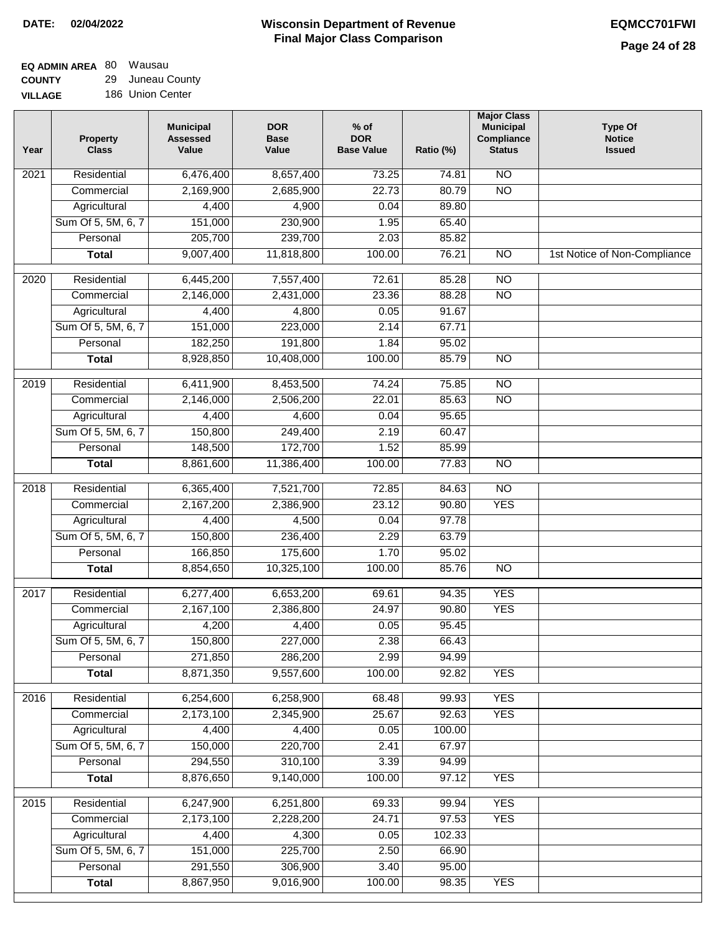$\Box$ 

#### **Wisconsin Department of Revenue Final Major Class Comparison DATE: 02/04/2022 EQMCC701FWI**

#### **EQ ADMIN AREA** 80 Wausau **COUNTY** 29 Juneau County

**VILLAGE** 186 Union Center

| Year | <b>Property</b><br><b>Class</b> | <b>Municipal</b><br><b>Assessed</b><br>Value | <b>DOR</b><br><b>Base</b><br>Value | $%$ of<br><b>DOR</b><br><b>Base Value</b> | Ratio (%) | <b>Major Class</b><br><b>Municipal</b><br>Compliance<br><b>Status</b> | <b>Type Of</b><br><b>Notice</b><br><b>Issued</b> |
|------|---------------------------------|----------------------------------------------|------------------------------------|-------------------------------------------|-----------|-----------------------------------------------------------------------|--------------------------------------------------|
| 2021 | Residential                     | 6,476,400                                    | 8,657,400                          | 73.25                                     | 74.81     | <b>NO</b>                                                             |                                                  |
|      | Commercial                      | 2,169,900                                    | 2,685,900                          | 22.73                                     | 80.79     | $\overline{NO}$                                                       |                                                  |
|      | Agricultural                    | 4,400                                        | 4,900                              | 0.04                                      | 89.80     |                                                                       |                                                  |
|      | Sum Of 5, 5M, 6, 7              | 151,000                                      | 230,900                            | 1.95                                      | 65.40     |                                                                       |                                                  |
|      | Personal                        | 205,700                                      | 239,700                            | 2.03                                      | 85.82     |                                                                       |                                                  |
|      | <b>Total</b>                    | 9,007,400                                    | 11,818,800                         | 100.00                                    | 76.21     | $\overline{NO}$                                                       | 1st Notice of Non-Compliance                     |
| 2020 | Residential                     | 6,445,200                                    | 7,557,400                          | 72.61                                     | 85.28     | $\overline{NO}$                                                       |                                                  |
|      | Commercial                      | 2,146,000                                    | 2,431,000                          | 23.36                                     | 88.28     | $\overline{NO}$                                                       |                                                  |
|      | Agricultural                    | 4,400                                        | 4,800                              | 0.05                                      | 91.67     |                                                                       |                                                  |
|      | Sum Of 5, 5M, 6, 7              | 151,000                                      | 223,000                            | 2.14                                      | 67.71     |                                                                       |                                                  |
|      | Personal                        | 182,250                                      | 191,800                            | 1.84                                      | 95.02     |                                                                       |                                                  |
|      | <b>Total</b>                    | 8,928,850                                    | 10,408,000                         | 100.00                                    | 85.79     | <b>NO</b>                                                             |                                                  |
| 2019 | Residential                     | 6,411,900                                    | 8,453,500                          | 74.24                                     | 75.85     | $\overline{NO}$                                                       |                                                  |
|      | Commercial                      | 2,146,000                                    | 2,506,200                          | 22.01                                     | 85.63     | $\overline{NO}$                                                       |                                                  |
|      | Agricultural                    | 4,400                                        | 4,600                              | 0.04                                      | 95.65     |                                                                       |                                                  |
|      | Sum Of 5, 5M, 6, 7              | 150,800                                      | 249,400                            | 2.19                                      | 60.47     |                                                                       |                                                  |
|      | Personal                        | 148,500                                      | 172,700                            | 1.52                                      | 85.99     |                                                                       |                                                  |
|      | <b>Total</b>                    | 8,861,600                                    | 11,386,400                         | 100.00                                    | 77.83     | $\overline{NO}$                                                       |                                                  |
| 2018 | Residential                     | 6,365,400                                    | 7,521,700                          | 72.85                                     | 84.63     | $\overline{NO}$                                                       |                                                  |
|      | Commercial                      | 2,167,200                                    | 2,386,900                          | 23.12                                     | 90.80     | <b>YES</b>                                                            |                                                  |
|      | Agricultural                    | 4,400                                        | 4,500                              | 0.04                                      | 97.78     |                                                                       |                                                  |
|      | Sum Of 5, 5M, 6, 7              | 150,800                                      | 236,400                            | 2.29                                      | 63.79     |                                                                       |                                                  |
|      | Personal                        | 166,850                                      | 175,600                            | 1.70                                      | 95.02     |                                                                       |                                                  |
|      | <b>Total</b>                    | 8,854,650                                    | 10,325,100                         | 100.00                                    | 85.76     | $\overline{NO}$                                                       |                                                  |
| 2017 | Residential                     | 6,277,400                                    | 6,653,200                          | 69.61                                     | 94.35     | <b>YES</b>                                                            |                                                  |
|      | Commercial                      | 2,167,100                                    | 2,386,800                          | 24.97                                     | 90.80     | <b>YES</b>                                                            |                                                  |
|      | Agricultural                    | 4,200                                        | 4,400                              | 0.05                                      | 95.45     |                                                                       |                                                  |
|      | Sum Of 5, 5M, 6, 7              | 150,800                                      | 227,000                            | 2.38                                      | 66.43     |                                                                       |                                                  |
|      | Personal                        | 271,850                                      | 286,200                            | 2.99                                      | 94.99     |                                                                       |                                                  |
|      | <b>Total</b>                    | 8,871,350                                    | 9,557,600                          | 100.00                                    | 92.82     | <b>YES</b>                                                            |                                                  |
| 2016 | Residential                     | 6,254,600                                    | 6,258,900                          | 68.48                                     | 99.93     | <b>YES</b>                                                            |                                                  |
|      | Commercial                      | 2,173,100                                    | 2,345,900                          | 25.67                                     | 92.63     | <b>YES</b>                                                            |                                                  |
|      | Agricultural                    | 4,400                                        | 4,400                              | 0.05                                      | 100.00    |                                                                       |                                                  |
|      | Sum Of 5, 5M, 6, 7              | 150,000                                      | 220,700                            | 2.41                                      | 67.97     |                                                                       |                                                  |
|      | Personal                        | 294,550                                      | 310,100                            | 3.39                                      | 94.99     |                                                                       |                                                  |
|      | <b>Total</b>                    | 8,876,650                                    | 9,140,000                          | 100.00                                    | 97.12     | <b>YES</b>                                                            |                                                  |
| 2015 | Residential                     | 6,247,900                                    | 6,251,800                          | 69.33                                     | 99.94     | <b>YES</b>                                                            |                                                  |
|      | Commercial                      | 2,173,100                                    | 2,228,200                          | 24.71                                     | 97.53     | <b>YES</b>                                                            |                                                  |
|      | Agricultural                    | 4,400                                        | 4,300                              | 0.05                                      | 102.33    |                                                                       |                                                  |
|      | Sum Of 5, 5M, 6, 7              | 151,000                                      | 225,700                            | 2.50                                      | 66.90     |                                                                       |                                                  |
|      | Personal                        | 291,550                                      | 306,900                            | 3.40                                      | 95.00     |                                                                       |                                                  |
|      | <b>Total</b>                    | 8,867,950                                    | 9,016,900                          | 100.00                                    | 98.35     | <b>YES</b>                                                            |                                                  |
|      |                                 |                                              |                                    |                                           |           |                                                                       |                                                  |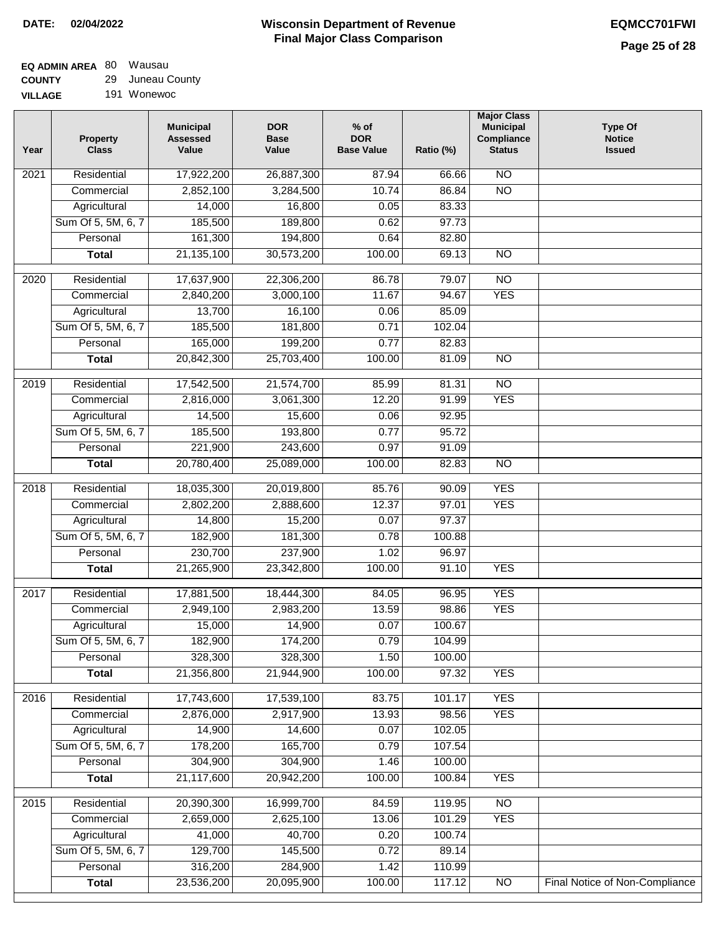#### **EQ ADMIN AREA** 80 Wausau **COUNTY** 29 Juneau County

**VILLAGE** 191 Wonewoc

| Year              | <b>Property</b><br><b>Class</b> | <b>Municipal</b><br><b>Assessed</b><br>Value | <b>DOR</b><br><b>Base</b><br>Value | $%$ of<br><b>DOR</b><br><b>Base Value</b> | Ratio (%)        | <b>Major Class</b><br><b>Municipal</b><br>Compliance<br><b>Status</b> | <b>Type Of</b><br><b>Notice</b><br><b>Issued</b> |
|-------------------|---------------------------------|----------------------------------------------|------------------------------------|-------------------------------------------|------------------|-----------------------------------------------------------------------|--------------------------------------------------|
| 2021              | Residential                     | 17,922,200                                   | 26,887,300                         | 87.94                                     | 66.66            | <b>NO</b>                                                             |                                                  |
|                   | Commercial                      | 2,852,100                                    | 3,284,500                          | 10.74                                     | 86.84            | $\overline{NO}$                                                       |                                                  |
|                   | Agricultural                    | 14,000                                       | 16,800                             | 0.05                                      | 83.33            |                                                                       |                                                  |
|                   | Sum Of 5, 5M, 6, 7              | 185,500                                      | 189,800                            | 0.62                                      | 97.73            |                                                                       |                                                  |
|                   | Personal                        | 161,300                                      | 194,800                            | 0.64                                      | 82.80            |                                                                       |                                                  |
|                   | <b>Total</b>                    | 21, 135, 100                                 | 30,573,200                         | 100.00                                    | 69.13            | $\overline{NO}$                                                       |                                                  |
| $\overline{20}20$ | Residential                     | 17,637,900                                   | 22,306,200                         | 86.78                                     | 79.07            | $\overline{10}$                                                       |                                                  |
|                   | Commercial                      | 2,840,200                                    | 3,000,100                          | 11.67                                     | 94.67            | <b>YES</b>                                                            |                                                  |
|                   | Agricultural                    | 13,700                                       | 16,100                             | 0.06                                      | 85.09            |                                                                       |                                                  |
|                   | Sum Of 5, 5M, 6, 7              | 185,500                                      | 181,800                            | 0.71                                      | 102.04           |                                                                       |                                                  |
|                   | Personal                        | 165,000                                      | 199,200                            | 0.77                                      | 82.83            |                                                                       |                                                  |
|                   | <b>Total</b>                    | 20,842,300                                   | 25,703,400                         | 100.00                                    | 81.09            | <b>NO</b>                                                             |                                                  |
|                   |                                 |                                              |                                    |                                           |                  |                                                                       |                                                  |
| $\frac{1}{2019}$  | Residential                     | 17,542,500                                   | 21,574,700                         | 85.99                                     | 81.31            | $\overline{NO}$                                                       |                                                  |
|                   | Commercial                      | 2,816,000                                    | 3,061,300                          | 12.20                                     | 91.99            | <b>YES</b>                                                            |                                                  |
|                   | Agricultural                    | 14,500                                       | 15,600                             | 0.06                                      | 92.95            |                                                                       |                                                  |
|                   | Sum Of 5, 5M, 6, 7              | 185,500                                      | 193,800                            | 0.77                                      | 95.72            |                                                                       |                                                  |
|                   | Personal                        | 221,900                                      | 243,600                            | 0.97                                      | 91.09            |                                                                       |                                                  |
|                   | <b>Total</b>                    | 20,780,400                                   | 25,089,000                         | 100.00                                    | 82.83            | $\overline{NO}$                                                       |                                                  |
| 2018              | Residential                     | 18,035,300                                   | 20,019,800                         | 85.76                                     | 90.09            | <b>YES</b>                                                            |                                                  |
|                   | Commercial                      | 2,802,200                                    | 2,888,600                          | 12.37                                     | 97.01            | <b>YES</b>                                                            |                                                  |
|                   | Agricultural                    | 14,800                                       | 15,200                             | 0.07                                      | 97.37            |                                                                       |                                                  |
|                   | Sum Of 5, 5M, 6, 7              | 182,900                                      | 181,300                            | 0.78                                      | 100.88           |                                                                       |                                                  |
|                   | Personal                        | 230,700                                      | 237,900                            | 1.02                                      | 96.97            |                                                                       |                                                  |
|                   | <b>Total</b>                    | 21,265,900                                   | 23,342,800                         | 100.00                                    | 91.10            | <b>YES</b>                                                            |                                                  |
| 2017              | Residential                     | 17,881,500                                   | 18,444,300                         | 84.05                                     | 96.95            | <b>YES</b>                                                            |                                                  |
|                   | Commercial                      | 2,949,100                                    | 2,983,200                          | 13.59                                     | 98.86            | <b>YES</b>                                                            |                                                  |
|                   | Agricultural                    | 15,000                                       | 14,900                             | 0.07                                      | 100.67           |                                                                       |                                                  |
|                   | Sum Of 5, 5M, 6, 7              | 182,900                                      | 174,200                            | 0.79                                      | 104.99           |                                                                       |                                                  |
|                   | Personal                        | 328,300                                      | 328,300                            | 1.50                                      | 100.00           |                                                                       |                                                  |
|                   | <b>Total</b>                    | 21,356,800                                   | 21,944,900                         | 100.00                                    | 97.32            | <b>YES</b>                                                            |                                                  |
| 2016              | Residential                     | 17,743,600                                   | 17,539,100                         | 83.75                                     | 101.17           | <b>YES</b>                                                            |                                                  |
|                   | Commercial                      | 2,876,000                                    | 2,917,900                          | 13.93                                     | 98.56            | <b>YES</b>                                                            |                                                  |
|                   | Agricultural                    | 14,900                                       | 14,600                             | 0.07                                      | 102.05           |                                                                       |                                                  |
|                   | Sum Of 5, 5M, 6, 7              | 178,200                                      | 165,700                            | 0.79                                      | 107.54           |                                                                       |                                                  |
|                   | Personal                        | 304,900                                      | 304,900                            | 1.46                                      | 100.00           |                                                                       |                                                  |
|                   | <b>Total</b>                    | 21,117,600                                   | 20,942,200                         | 100.00                                    | 100.84           | <b>YES</b>                                                            |                                                  |
|                   |                                 |                                              |                                    |                                           |                  | $\overline{NO}$                                                       |                                                  |
| 2015              | Residential<br>Commercial       | 20,390,300<br>2,659,000                      | 16,999,700<br>2,625,100            | 84.59<br>13.06                            | 119.95<br>101.29 | <b>YES</b>                                                            |                                                  |
|                   |                                 | 41,000                                       | 40,700                             |                                           |                  |                                                                       |                                                  |
|                   | Agricultural                    | 129,700                                      |                                    | 0.20                                      | 100.74           |                                                                       |                                                  |
|                   | Sum Of 5, 5M, 6, 7              | 316,200                                      | 145,500                            | 0.72                                      | 89.14            |                                                                       |                                                  |
|                   | Personal                        | 23,536,200                                   | 284,900<br>20,095,900              | 1.42<br>100.00                            | 110.99<br>117.12 | $\overline{NO}$                                                       | Final Notice of Non-Compliance                   |
|                   | <b>Total</b>                    |                                              |                                    |                                           |                  |                                                                       |                                                  |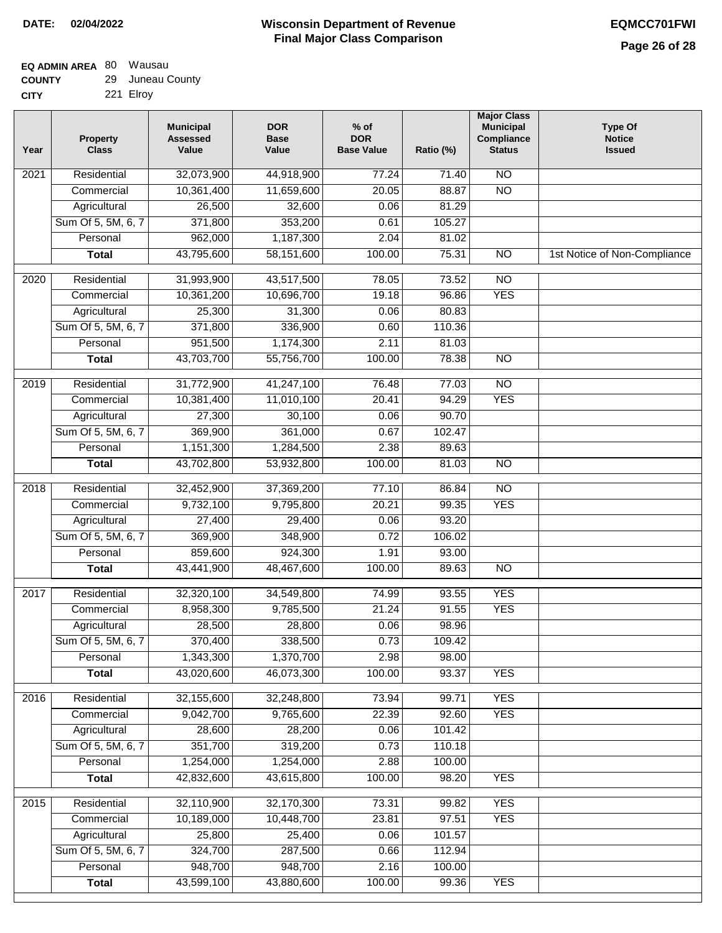# **Wisconsin Department of Revenue DATE: 02/04/2022 EQMCC701FWI Final Major Class Comparison**

٦

| EQ ADMIN AREA 80 Wausau |                  |
|-------------------------|------------------|
| <b>COUNTY</b>           | 29 Juneau County |

| <b>UUUNII</b> | 20 JUNGU OVU |
|---------------|--------------|
| <b>CITY</b>   | 221 Elroy    |

| Year              | <b>Property</b><br><b>Class</b> | <b>Municipal</b><br><b>Assessed</b><br>Value | <b>DOR</b><br><b>Base</b><br>Value | $%$ of<br><b>DOR</b><br><b>Base Value</b> | Ratio (%) | <b>Major Class</b><br><b>Municipal</b><br>Compliance<br><b>Status</b> | <b>Type Of</b><br><b>Notice</b><br><b>Issued</b> |
|-------------------|---------------------------------|----------------------------------------------|------------------------------------|-------------------------------------------|-----------|-----------------------------------------------------------------------|--------------------------------------------------|
| 2021              | Residential                     | 32,073,900                                   | 44,918,900                         | 77.24                                     | 71.40     | $\overline{NO}$                                                       |                                                  |
|                   | Commercial                      | 10,361,400                                   | 11,659,600                         | 20.05                                     | 88.87     | $\overline{NO}$                                                       |                                                  |
|                   | Agricultural                    | 26,500                                       | 32,600                             | 0.06                                      | 81.29     |                                                                       |                                                  |
|                   | Sum Of 5, 5M, 6, 7              | 371,800                                      | 353,200                            | 0.61                                      | 105.27    |                                                                       |                                                  |
|                   | Personal                        | 962,000                                      | 1,187,300                          | 2.04                                      | 81.02     |                                                                       |                                                  |
|                   | <b>Total</b>                    | 43,795,600                                   | 58,151,600                         | 100.00                                    | 75.31     | $\overline{NO}$                                                       | 1st Notice of Non-Compliance                     |
| $\overline{2020}$ | Residential                     | 31,993,900                                   | 43,517,500                         | 78.05                                     | 73.52     | $\overline{NO}$                                                       |                                                  |
|                   | Commercial                      | 10,361,200                                   | 10,696,700                         | 19.18                                     | 96.86     | <b>YES</b>                                                            |                                                  |
|                   | Agricultural                    | 25,300                                       | 31,300                             | 0.06                                      | 80.83     |                                                                       |                                                  |
|                   | Sum Of 5, 5M, 6, 7              | 371,800                                      | 336,900                            | 0.60                                      | 110.36    |                                                                       |                                                  |
|                   | Personal                        | 951,500                                      | 1,174,300                          | 2.11                                      | 81.03     |                                                                       |                                                  |
|                   | <b>Total</b>                    | 43,703,700                                   | 55,756,700                         | 100.00                                    | 78.38     | $\overline{NO}$                                                       |                                                  |
| $\frac{1}{2019}$  | Residential                     | 31,772,900                                   | 41,247,100                         | 76.48                                     | 77.03     | $\overline{NO}$                                                       |                                                  |
|                   | Commercial                      | 10,381,400                                   | 11,010,100                         | 20.41                                     | 94.29     | <b>YES</b>                                                            |                                                  |
|                   | Agricultural                    | 27,300                                       | 30,100                             | 0.06                                      | 90.70     |                                                                       |                                                  |
|                   | Sum Of 5, 5M, 6, 7              | 369,900                                      | 361,000                            | 0.67                                      | 102.47    |                                                                       |                                                  |
|                   | Personal                        | 1,151,300                                    | 1,284,500                          | 2.38                                      | 89.63     |                                                                       |                                                  |
|                   | <b>Total</b>                    | 43,702,800                                   | 53,932,800                         | 100.00                                    | 81.03     | $\overline{NO}$                                                       |                                                  |
|                   |                                 |                                              |                                    |                                           |           |                                                                       |                                                  |
| 2018              | Residential                     | 32,452,900                                   | 37,369,200                         | 77.10                                     | 86.84     | $\overline{NO}$                                                       |                                                  |
|                   | Commercial                      | 9,732,100                                    | 9,795,800                          | 20.21                                     | 99.35     | <b>YES</b>                                                            |                                                  |
|                   | Agricultural                    | 27,400                                       | 29,400                             | 0.06                                      | 93.20     |                                                                       |                                                  |
|                   | Sum Of 5, 5M, 6, 7              | 369,900                                      | 348,900                            | 0.72                                      | 106.02    |                                                                       |                                                  |
|                   | Personal                        | 859,600                                      | 924,300                            | 1.91                                      | 93.00     |                                                                       |                                                  |
|                   | <b>Total</b>                    | 43,441,900                                   | 48,467,600                         | 100.00                                    | 89.63     | $\overline{NO}$                                                       |                                                  |
| 2017              | Residential                     | 32,320,100                                   | 34,549,800                         | 74.99                                     | 93.55     | <b>YES</b>                                                            |                                                  |
|                   | Commercial                      | 8,958,300                                    | 9,785,500                          | 21.24                                     | 91.55     | <b>YES</b>                                                            |                                                  |
|                   | Agricultural                    | 28,500                                       | 28,800                             | 0.06                                      | 98.96     |                                                                       |                                                  |
|                   | Sum Of 5, 5M, 6, 7              | 370,400                                      | 338,500                            | 0.73                                      | 109.42    |                                                                       |                                                  |
|                   | Personal                        | 1,343,300                                    | 1,370,700                          | 2.98                                      | 98.00     |                                                                       |                                                  |
|                   | <b>Total</b>                    | 43,020,600                                   | 46,073,300                         | 100.00                                    | 93.37     | <b>YES</b>                                                            |                                                  |
| 2016              | Residential                     | 32,155,600                                   | 32,248,800                         | 73.94                                     | 99.71     | <b>YES</b>                                                            |                                                  |
|                   | Commercial                      | 9,042,700                                    | 9,765,600                          | 22.39                                     | 92.60     | <b>YES</b>                                                            |                                                  |
|                   | Agricultural                    | 28,600                                       | 28,200                             | 0.06                                      | 101.42    |                                                                       |                                                  |
|                   | Sum Of 5, 5M, 6, 7              | 351,700                                      | 319,200                            | 0.73                                      | 110.18    |                                                                       |                                                  |
|                   | Personal                        | 1,254,000                                    | 1,254,000                          | 2.88                                      | 100.00    |                                                                       |                                                  |
|                   | <b>Total</b>                    | 42,832,600                                   | 43,615,800                         | 100.00                                    | 98.20     | <b>YES</b>                                                            |                                                  |
|                   |                                 |                                              |                                    |                                           |           |                                                                       |                                                  |
| 2015              | Residential                     | 32,110,900                                   | 32,170,300                         | 73.31                                     | 99.82     | <b>YES</b>                                                            |                                                  |
|                   | Commercial                      | 10,189,000                                   | 10,448,700                         | 23.81                                     | 97.51     | <b>YES</b>                                                            |                                                  |
|                   | Agricultural                    | 25,800                                       | 25,400                             | 0.06                                      | 101.57    |                                                                       |                                                  |
|                   | Sum Of 5, 5M, 6, 7              | 324,700                                      | 287,500                            | 0.66                                      | 112.94    |                                                                       |                                                  |
|                   | Personal                        | 948,700                                      | 948,700                            | 2.16                                      | 100.00    |                                                                       |                                                  |
|                   | <b>Total</b>                    | 43,599,100                                   | 43,880,600                         | 100.00                                    | 99.36     | <b>YES</b>                                                            |                                                  |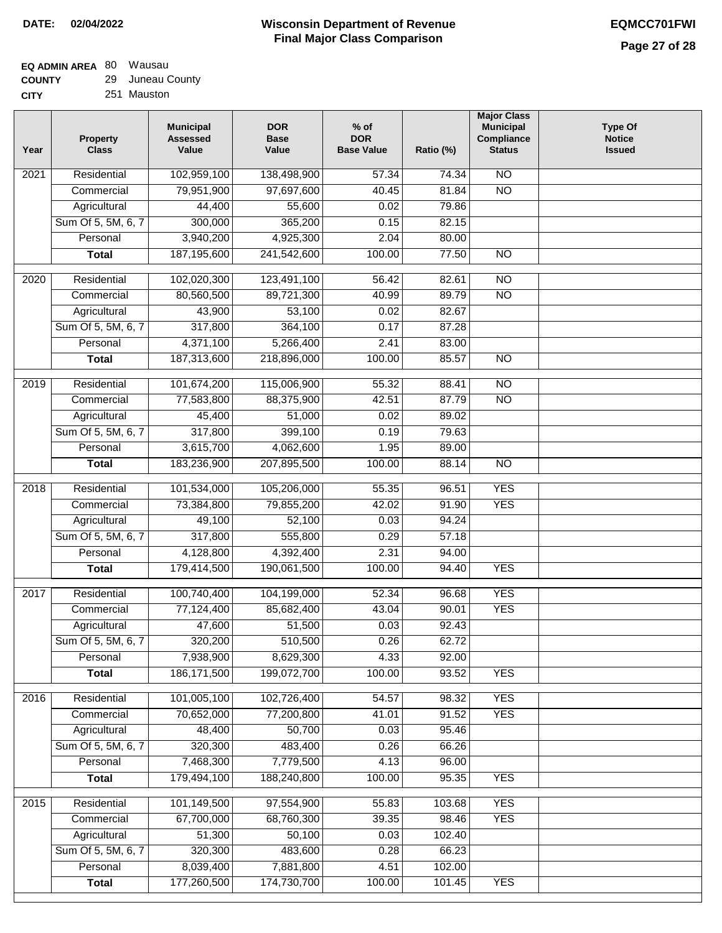#### **EQ ADMIN AREA** 80 Wausau **COUNTY** 29 Juneau County

| <b>LUUNIT</b> | 29 JULICAU OUUL |
|---------------|-----------------|
| CITY          | 251 Mauston     |

| Year | Property<br><b>Class</b> | <b>Municipal</b><br><b>Assessed</b><br>Value | <b>DOR</b><br><b>Base</b><br>Value | $%$ of<br><b>DOR</b><br><b>Base Value</b> | Ratio (%) | <b>Major Class</b><br><b>Municipal</b><br>Compliance<br><b>Status</b> | <b>Type Of</b><br><b>Notice</b><br><b>Issued</b> |
|------|--------------------------|----------------------------------------------|------------------------------------|-------------------------------------------|-----------|-----------------------------------------------------------------------|--------------------------------------------------|
| 2021 | Residential              | 102,959,100                                  | 138,498,900                        | 57.34                                     | 74.34     | $\overline{NO}$                                                       |                                                  |
|      | Commercial               | 79,951,900                                   | 97,697,600                         | 40.45                                     | 81.84     | $\overline{NO}$                                                       |                                                  |
|      | Agricultural             | 44,400                                       | 55,600                             | 0.02                                      | 79.86     |                                                                       |                                                  |
|      | Sum Of 5, 5M, 6, 7       | 300,000                                      | 365,200                            | 0.15                                      | 82.15     |                                                                       |                                                  |
|      | Personal                 | 3,940,200                                    | 4,925,300                          | 2.04                                      | 80.00     |                                                                       |                                                  |
|      | <b>Total</b>             | 187,195,600                                  | 241,542,600                        | 100.00                                    | 77.50     | $\overline{NO}$                                                       |                                                  |
| 2020 | Residential              | 102,020,300                                  | 123,491,100                        | 56.42                                     | 82.61     | $\overline{NO}$                                                       |                                                  |
|      | Commercial               | 80,560,500                                   | 89,721,300                         | 40.99                                     | 89.79     | $\overline{NO}$                                                       |                                                  |
|      | Agricultural             | 43,900                                       | 53,100                             | 0.02                                      | 82.67     |                                                                       |                                                  |
|      | Sum Of 5, 5M, 6, 7       | 317,800                                      | 364,100                            | 0.17                                      | 87.28     |                                                                       |                                                  |
|      | Personal                 | 4,371,100                                    | 5,266,400                          | 2.41                                      | 83.00     |                                                                       |                                                  |
|      | <b>Total</b>             | 187,313,600                                  | 218,896,000                        | 100.00                                    | 85.57     | $\overline{NO}$                                                       |                                                  |
|      |                          |                                              |                                    |                                           |           |                                                                       |                                                  |
| 2019 | Residential              | 101,674,200                                  | 115,006,900                        | 55.32                                     | 88.41     | <b>NO</b>                                                             |                                                  |
|      | Commercial               | 77,583,800                                   | 88,375,900                         | 42.51                                     | 87.79     | $\overline{NO}$                                                       |                                                  |
|      | Agricultural             | 45,400                                       | 51,000                             | 0.02                                      | 89.02     |                                                                       |                                                  |
|      | Sum Of 5, 5M, 6, 7       | 317,800                                      | 399,100                            | 0.19                                      | 79.63     |                                                                       |                                                  |
|      | Personal                 | 3,615,700                                    | 4,062,600                          | 1.95                                      | 89.00     |                                                                       |                                                  |
|      | <b>Total</b>             | 183,236,900                                  | 207,895,500                        | 100.00                                    | 88.14     | <b>NO</b>                                                             |                                                  |
| 2018 | Residential              | 101,534,000                                  | 105,206,000                        | 55.35                                     | 96.51     | <b>YES</b>                                                            |                                                  |
|      | Commercial               | 73,384,800                                   | 79,855,200                         | 42.02                                     | 91.90     | <b>YES</b>                                                            |                                                  |
|      | Agricultural             | 49,100                                       | 52,100                             | 0.03                                      | 94.24     |                                                                       |                                                  |
|      | Sum Of 5, 5M, 6, 7       | 317,800                                      | 555,800                            | 0.29                                      | 57.18     |                                                                       |                                                  |
|      | Personal                 | 4,128,800                                    | 4,392,400                          | 2.31                                      | 94.00     |                                                                       |                                                  |
|      | <b>Total</b>             | 179,414,500                                  | 190,061,500                        | 100.00                                    | 94.40     | <b>YES</b>                                                            |                                                  |
| 2017 | Residential              | 100,740,400                                  | 104,199,000                        | 52.34                                     | 96.68     | <b>YES</b>                                                            |                                                  |
|      | Commercial               | 77,124,400                                   | 85,682,400                         | 43.04                                     | 90.01     | <b>YES</b>                                                            |                                                  |
|      | Agricultural             | 47,600                                       | 51,500                             | 0.03                                      | 92.43     |                                                                       |                                                  |
|      | Sum Of 5, 5M, 6, 7       | 320,200                                      | 510,500                            | 0.26                                      | 62.72     |                                                                       |                                                  |
|      | Personal                 | 7,938,900                                    | 8,629,300                          | 4.33                                      | 92.00     |                                                                       |                                                  |
|      | <b>Total</b>             | 186, 171, 500                                | 199,072,700                        | 100.00                                    | 93.52     | <b>YES</b>                                                            |                                                  |
| 2016 | Residential              | 101,005,100                                  | 102,726,400                        | 54.57                                     | 98.32     | <b>YES</b>                                                            |                                                  |
|      | Commercial               | 70,652,000                                   | 77,200,800                         | 41.01                                     | 91.52     | <b>YES</b>                                                            |                                                  |
|      | Agricultural             | 48,400                                       | 50,700                             | 0.03                                      | 95.46     |                                                                       |                                                  |
|      | Sum Of 5, 5M, 6, 7       | 320,300                                      | 483,400                            | 0.26                                      | 66.26     |                                                                       |                                                  |
|      | Personal                 | 7,468,300                                    | 7,779,500                          | 4.13                                      | 96.00     |                                                                       |                                                  |
|      | <b>Total</b>             | 179,494,100                                  | 188,240,800                        | 100.00                                    | 95.35     | <b>YES</b>                                                            |                                                  |
|      |                          |                                              |                                    |                                           |           |                                                                       |                                                  |
| 2015 | Residential              | 101,149,500                                  | 97,554,900                         | 55.83                                     | 103.68    | <b>YES</b>                                                            |                                                  |
|      | Commercial               | 67,700,000                                   | 68,760,300                         | 39.35                                     | 98.46     | <b>YES</b>                                                            |                                                  |
|      | Agricultural             | 51,300                                       | 50,100                             | 0.03                                      | 102.40    |                                                                       |                                                  |
|      | Sum Of 5, 5M, 6, 7       | 320,300                                      | 483,600                            | 0.28                                      | 66.23     |                                                                       |                                                  |
|      | Personal                 | 8,039,400                                    | 7,881,800                          | 4.51                                      | 102.00    |                                                                       |                                                  |
|      | <b>Total</b>             | 177,260,500                                  | 174,730,700                        | 100.00                                    | 101.45    | <b>YES</b>                                                            |                                                  |